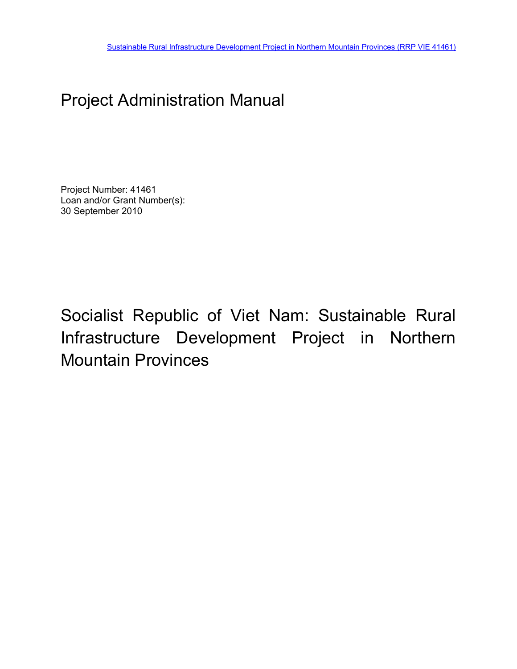# Project Administration Manual

Project Number: 41461 Loan and/or Grant Number(s): 30 September 2010

Socialist Republic of Viet Nam: Sustainable Rural Infrastructure Development Project in Northern Mountain Provinces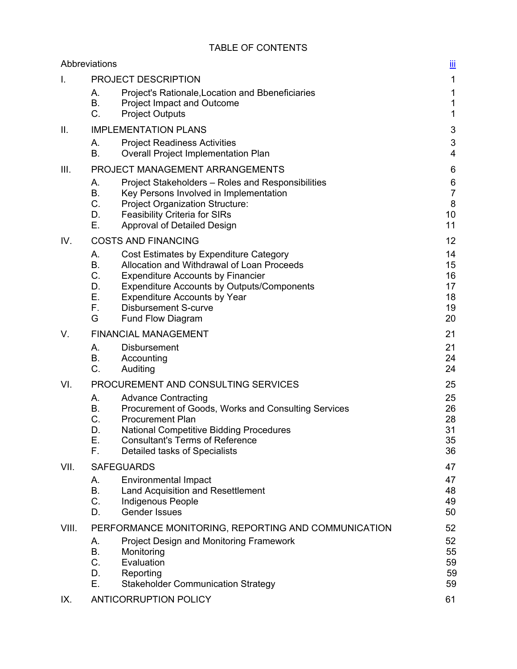|       | Abbreviations                                                                                                                                                                                                                                                                                                                    | <u>іїі</u>                             |
|-------|----------------------------------------------------------------------------------------------------------------------------------------------------------------------------------------------------------------------------------------------------------------------------------------------------------------------------------|----------------------------------------|
| I.    | PROJECT DESCRIPTION                                                                                                                                                                                                                                                                                                              | $\mathbf{1}$                           |
|       | А.<br>Project's Rationale, Location and Bbeneficiaries<br>B.<br><b>Project Impact and Outcome</b><br>C.<br><b>Project Outputs</b>                                                                                                                                                                                                | 1<br>1<br>$\mathbf{1}$                 |
| ΙΙ.   | <b>IMPLEMENTATION PLANS</b>                                                                                                                                                                                                                                                                                                      | 3                                      |
|       | А.<br><b>Project Readiness Activities</b><br>Β.<br><b>Overall Project Implementation Plan</b>                                                                                                                                                                                                                                    | 3<br>$\overline{\mathbf{4}}$           |
| III.  | PROJECT MANAGEMENT ARRANGEMENTS                                                                                                                                                                                                                                                                                                  | 6                                      |
|       | А.<br>Project Stakeholders - Roles and Responsibilities<br>Β.<br>Key Persons Involved in Implementation<br>C.<br><b>Project Organization Structure:</b><br>D.<br><b>Feasibility Criteria for SIRs</b><br>Е.<br>Approval of Detailed Design                                                                                       | 6<br>$\overline{7}$<br>8<br>10<br>11   |
| IV.   | <b>COSTS AND FINANCING</b>                                                                                                                                                                                                                                                                                                       | 12                                     |
|       | А.<br>Cost Estimates by Expenditure Category<br>Allocation and Withdrawal of Loan Proceeds<br>В.<br>C.<br><b>Expenditure Accounts by Financier</b><br>D.<br><b>Expenditure Accounts by Outputs/Components</b><br>Ε.<br><b>Expenditure Accounts by Year</b><br>F.<br><b>Disbursement S-curve</b><br>G<br><b>Fund Flow Diagram</b> | 14<br>15<br>16<br>17<br>18<br>19<br>20 |
| V.    | <b>FINANCIAL MANAGEMENT</b>                                                                                                                                                                                                                                                                                                      | 21                                     |
|       | А.<br><b>Disbursement</b><br>Β.<br>Accounting<br>C.<br>Auditing                                                                                                                                                                                                                                                                  | 21<br>24<br>24                         |
| VI.   | PROCUREMENT AND CONSULTING SERVICES                                                                                                                                                                                                                                                                                              | 25                                     |
|       | А.<br><b>Advance Contracting</b><br>В.<br>Procurement of Goods, Works and Consulting Services<br>C.<br><b>Procurement Plan</b><br>D.<br><b>National Competitive Bidding Procedures</b><br>Е.<br><b>Consultant's Terms of Reference</b><br>Detailed tasks of Specialists<br>F.                                                    | 25<br>26<br>28<br>31<br>35<br>36       |
| VII.  | <b>SAFEGUARDS</b>                                                                                                                                                                                                                                                                                                                | 47                                     |
|       | <b>Environmental Impact</b><br>А.<br>В.<br>Land Acquisition and Resettlement<br>C.<br><b>Indigenous People</b><br><b>Gender Issues</b><br>D.                                                                                                                                                                                     | 47<br>48<br>49<br>50                   |
| VIII. | PERFORMANCE MONITORING, REPORTING AND COMMUNICATION                                                                                                                                                                                                                                                                              | 52                                     |
|       | <b>Project Design and Monitoring Framework</b><br>А.<br>B.<br>Monitoring<br>C.<br>Evaluation<br>D.<br>Reporting<br>Ε.<br><b>Stakeholder Communication Strategy</b>                                                                                                                                                               | 52<br>55<br>59<br>59<br>59             |
| IX.   | <b>ANTICORRUPTION POLICY</b>                                                                                                                                                                                                                                                                                                     | 61                                     |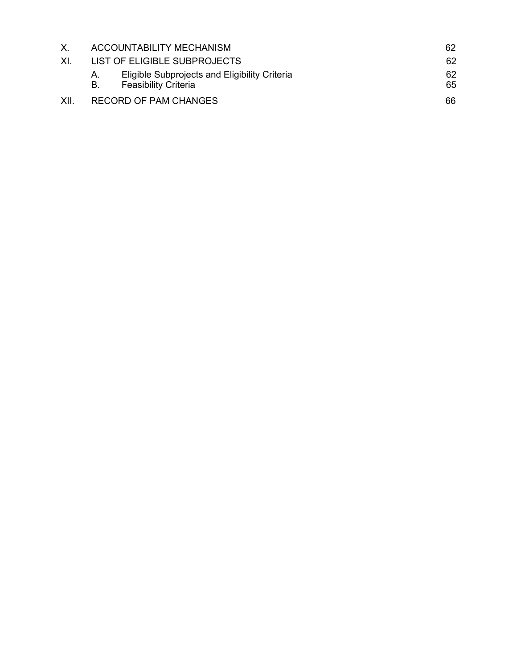| X.  |                 | ACCOUNTABILITY MECHANISM                                                     | 62       |
|-----|-----------------|------------------------------------------------------------------------------|----------|
| XL. |                 | LIST OF ELIGIBLE SUBPROJECTS                                                 | 62       |
|     | A.<br><b>B.</b> | Eligible Subprojects and Eligibility Criteria<br><b>Feasibility Criteria</b> | 62<br>65 |
| XII |                 | <b>RECORD OF PAM CHANGES</b>                                                 | 66       |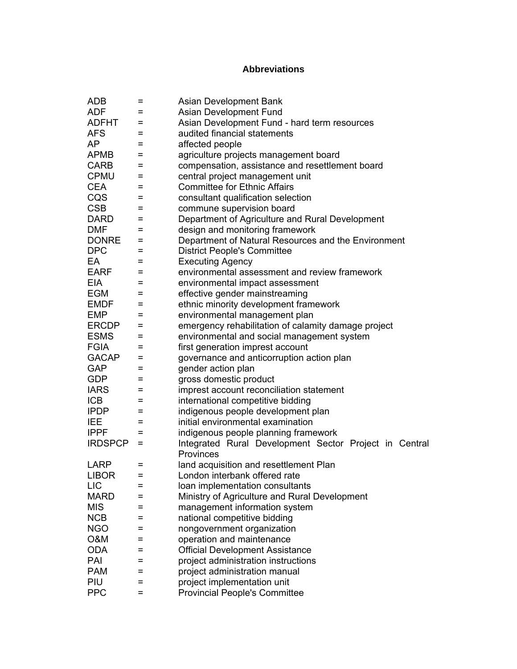## **Abbreviations**

| <b>ADB</b>     | =   | Asian Development Bank                                              |
|----------------|-----|---------------------------------------------------------------------|
| <b>ADF</b>     | $=$ | Asian Development Fund                                              |
| <b>ADFHT</b>   | $=$ | Asian Development Fund - hard term resources                        |
| <b>AFS</b>     | =   | audited financial statements                                        |
| AP             | $=$ | affected people                                                     |
| <b>APMB</b>    | $=$ | agriculture projects management board                               |
| <b>CARB</b>    | $=$ | compensation, assistance and resettlement board                     |
| <b>CPMU</b>    | $=$ | central project management unit                                     |
| <b>CEA</b>     | =   | <b>Committee for Ethnic Affairs</b>                                 |
| CQS            | $=$ | consultant qualification selection                                  |
| <b>CSB</b>     | =   | commune supervision board                                           |
| <b>DARD</b>    | $=$ | Department of Agriculture and Rural Development                     |
| <b>DMF</b>     | $=$ | design and monitoring framework                                     |
| <b>DONRE</b>   | $=$ | Department of Natural Resources and the Environment                 |
| <b>DPC</b>     | $=$ | <b>District People's Committee</b>                                  |
| EA             | $=$ | <b>Executing Agency</b>                                             |
| <b>EARF</b>    | $=$ | environmental assessment and review framework                       |
| <b>EIA</b>     | $=$ | environmental impact assessment                                     |
| <b>EGM</b>     | $=$ | effective gender mainstreaming                                      |
| <b>EMDF</b>    | $=$ | ethnic minority development framework                               |
| <b>EMP</b>     | $=$ | environmental management plan                                       |
| <b>ERCDP</b>   | =   | emergency rehabilitation of calamity damage project                 |
| <b>ESMS</b>    | =   | environmental and social management system                          |
| <b>FGIA</b>    | $=$ | first generation imprest account                                    |
| <b>GACAP</b>   | $=$ | governance and anticorruption action plan                           |
| <b>GAP</b>     | $=$ | gender action plan                                                  |
| <b>GDP</b>     | $=$ | gross domestic product                                              |
| <b>IARS</b>    | $=$ | imprest account reconciliation statement                            |
| <b>ICB</b>     | $=$ | international competitive bidding                                   |
| <b>IPDP</b>    | $=$ | indigenous people development plan                                  |
| <b>IEE</b>     | $=$ | initial environmental examination                                   |
| <b>IPPF</b>    | =   | indigenous people planning framework                                |
| <b>IRDSPCP</b> | $=$ | Integrated Rural Development Sector Project in Central<br>Provinces |
| <b>LARP</b>    | =   | land acquisition and resettlement Plan                              |
| <b>LIBOR</b>   |     | London interbank offered rate                                       |
| <b>LIC</b>     | =   | loan implementation consultants                                     |
| <b>MARD</b>    | =   | Ministry of Agriculture and Rural Development                       |
| <b>MIS</b>     | =   | management information system                                       |
| <b>NCB</b>     | =   | national competitive bidding                                        |
| <b>NGO</b>     | =   | nongovernment organization                                          |
| <b>O&amp;M</b> | =   | operation and maintenance                                           |
| <b>ODA</b>     | =   | <b>Official Development Assistance</b>                              |
| PAI            | =   | project administration instructions                                 |
| <b>PAM</b>     | Ξ   | project administration manual                                       |
| PIU            | Ξ   | project implementation unit                                         |
| <b>PPC</b>     | =   | <b>Provincial People's Committee</b>                                |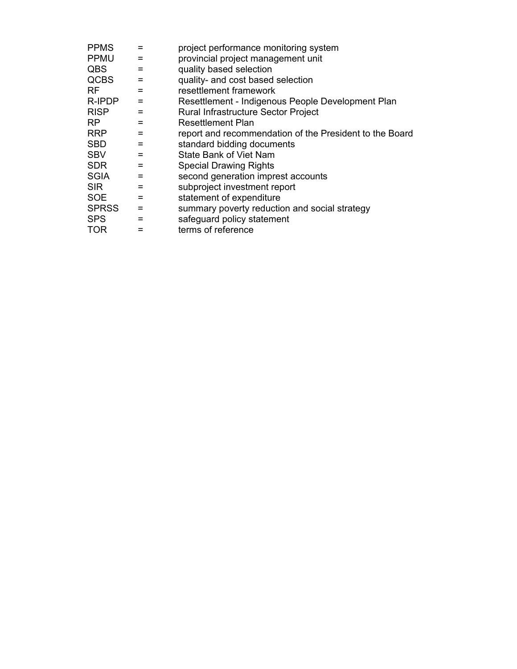| <b>PPMS</b>  | =   | project performance monitoring system                   |
|--------------|-----|---------------------------------------------------------|
| <b>PPMU</b>  | =   | provincial project management unit                      |
| <b>QBS</b>   | =   | quality based selection                                 |
| <b>QCBS</b>  | =   | quality- and cost based selection                       |
| RF.          | =   | resettlement framework                                  |
| R-IPDP       | =   | Resettlement - Indigenous People Development Plan       |
| <b>RISP</b>  | =   | Rural Infrastructure Sector Project                     |
| <b>RP</b>    | =   | Resettlement Plan                                       |
| <b>RRP</b>   | =   | report and recommendation of the President to the Board |
| <b>SBD</b>   | =   | standard bidding documents                              |
| <b>SBV</b>   | =   | <b>State Bank of Viet Nam</b>                           |
| <b>SDR</b>   | =   | <b>Special Drawing Rights</b>                           |
| <b>SGIA</b>  | =   | second generation imprest accounts                      |
| <b>SIR</b>   | =   | subproject investment report                            |
| <b>SOE</b>   | $=$ | statement of expenditure                                |
| <b>SPRSS</b> | $=$ | summary poverty reduction and social strategy           |
| <b>SPS</b>   | =   | safeguard policy statement                              |
| <b>TOR</b>   |     | terms of reference                                      |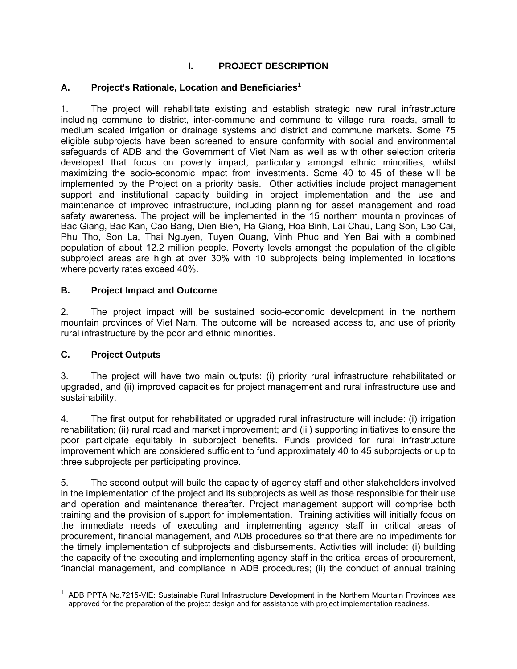## **I. PROJECT DESCRIPTION**

### **A. Project's Rationale, Location and Beneficiaries<sup>1</sup>**

1. The project will rehabilitate existing and establish strategic new rural infrastructure including commune to district, inter-commune and commune to village rural roads, small to medium scaled irrigation or drainage systems and district and commune markets. Some 75 eligible subprojects have been screened to ensure conformity with social and environmental safeguards of ADB and the Government of Viet Nam as well as with other selection criteria developed that focus on poverty impact, particularly amongst ethnic minorities, whilst maximizing the socio-economic impact from investments. Some 40 to 45 of these will be implemented by the Project on a priority basis. Other activities include project management support and institutional capacity building in project implementation and the use and maintenance of improved infrastructure, including planning for asset management and road safety awareness. The project will be implemented in the 15 northern mountain provinces of Bac Giang, Bac Kan, Cao Bang, Dien Bien, Ha Giang, Hoa Binh, Lai Chau, Lang Son, Lao Cai, Phu Tho, Son La, Thai Nguyen, Tuyen Quang, Vinh Phuc and Yen Bai with a combined population of about 12.2 million people. Poverty levels amongst the population of the eligible subproject areas are high at over 30% with 10 subprojects being implemented in locations where poverty rates exceed 40%.

#### **B. Project Impact and Outcome**

2. The project impact will be sustained socio-economic development in the northern mountain provinces of Viet Nam. The outcome will be increased access to, and use of priority rural infrastructure by the poor and ethnic minorities.

## **C. Project Outputs**

3. The project will have two main outputs: (i) priority rural infrastructure rehabilitated or upgraded, and (ii) improved capacities for project management and rural infrastructure use and sustainability.

4. The first output for rehabilitated or upgraded rural infrastructure will include: (i) irrigation rehabilitation; (ii) rural road and market improvement; and (iii) supporting initiatives to ensure the poor participate equitably in subproject benefits. Funds provided for rural infrastructure improvement which are considered sufficient to fund approximately 40 to 45 subprojects or up to three subprojects per participating province.

5. The second output will build the capacity of agency staff and other stakeholders involved in the implementation of the project and its subprojects as well as those responsible for their use and operation and maintenance thereafter. Project management support will comprise both training and the provision of support for implementation. Training activities will initially focus on the immediate needs of executing and implementing agency staff in critical areas of procurement, financial management, and ADB procedures so that there are no impediments for the timely implementation of subprojects and disbursements. Activities will include: (i) building the capacity of the executing and implementing agency staff in the critical areas of procurement, financial management, and compliance in ADB procedures; (ii) the conduct of annual training

 1 ADB PPTA No.7215-VIE: Sustainable Rural Infrastructure Development in the Northern Mountain Provinces was approved for the preparation of the project design and for assistance with project implementation readiness.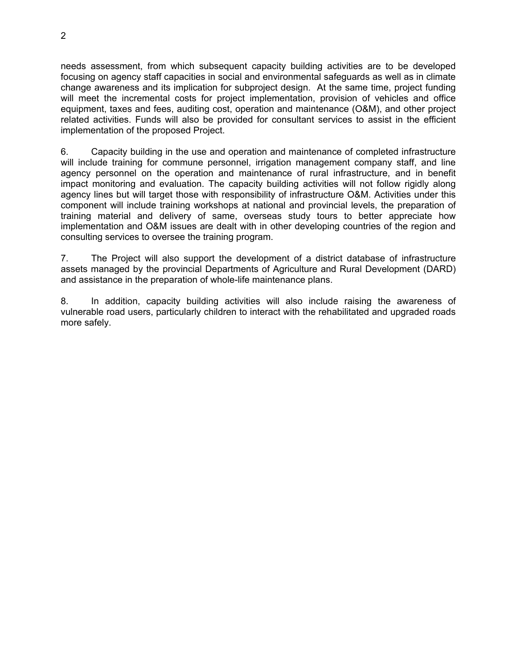needs assessment, from which subsequent capacity building activities are to be developed focusing on agency staff capacities in social and environmental safeguards as well as in climate change awareness and its implication for subproject design. At the same time, project funding will meet the incremental costs for project implementation, provision of vehicles and office equipment, taxes and fees, auditing cost, operation and maintenance (O&M), and other project related activities. Funds will also be provided for consultant services to assist in the efficient implementation of the proposed Project.

6. Capacity building in the use and operation and maintenance of completed infrastructure will include training for commune personnel, irrigation management company staff, and line agency personnel on the operation and maintenance of rural infrastructure, and in benefit impact monitoring and evaluation. The capacity building activities will not follow rigidly along agency lines but will target those with responsibility of infrastructure O&M. Activities under this component will include training workshops at national and provincial levels, the preparation of training material and delivery of same, overseas study tours to better appreciate how implementation and O&M issues are dealt with in other developing countries of the region and consulting services to oversee the training program.

7. The Project will also support the development of a district database of infrastructure assets managed by the provincial Departments of Agriculture and Rural Development (DARD) and assistance in the preparation of whole-life maintenance plans.

8. In addition, capacity building activities will also include raising the awareness of vulnerable road users, particularly children to interact with the rehabilitated and upgraded roads more safely.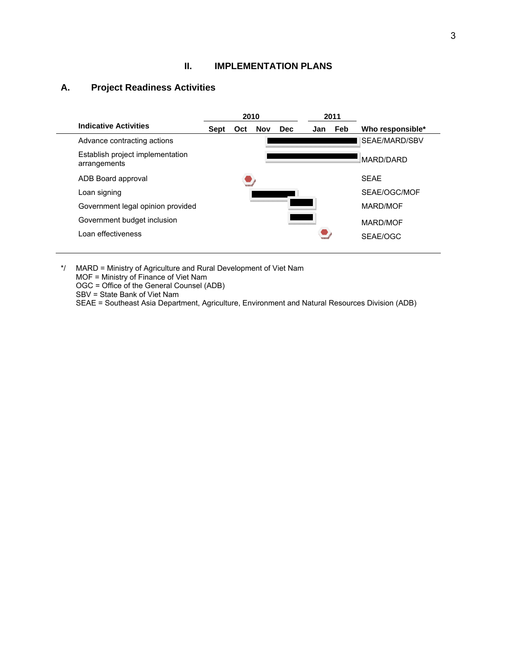#### **II. IMPLEMENTATION PLANS**

## **A. Project Readiness Activities**

|                                                  |      | 2010 |            |            |     | 2011 |                  |  |
|--------------------------------------------------|------|------|------------|------------|-----|------|------------------|--|
| <b>Indicative Activities</b>                     | Sept | Oct  | <b>Nov</b> | <b>Dec</b> | Jan | Feb  | Who responsible* |  |
| Advance contracting actions                      |      |      |            |            |     |      | SEAE/MARD/SBV    |  |
| Establish project implementation<br>arrangements |      |      |            |            |     |      | <b>MARD/DARD</b> |  |
| ADB Board approval                               |      |      |            |            |     |      | <b>SEAE</b>      |  |
| Loan signing                                     |      |      |            |            |     |      | SEAE/OGC/MOF     |  |
| Government legal opinion provided                |      |      |            |            |     |      | MARD/MOF         |  |
| Government budget inclusion                      |      |      |            |            |     |      | MARD/MOF         |  |
| Loan effectiveness                               |      |      |            |            |     |      | SEAE/OGC         |  |
|                                                  |      |      |            |            |     |      |                  |  |

\*/ MARD = Ministry of Agriculture and Rural Development of Viet Nam MOF = Ministry of Finance of Viet Nam OGC = Office of the General Counsel (ADB) SBV = State Bank of Viet Nam SEAE = Southeast Asia Department, Agriculture, Environment and Natural Resources Division (ADB)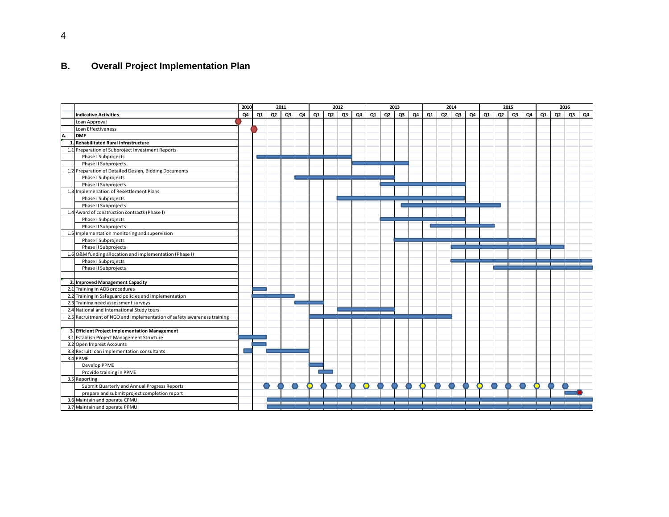## **B. Overall Project Implementation Plan**

|    |                                                                        | 2010 |    | 2011 |    |    |    | 2012           |    |    |    | 2013           |    |    |    | 2014           |    |    |    | 2015           |    |    |    | 2016 |    |    |
|----|------------------------------------------------------------------------|------|----|------|----|----|----|----------------|----|----|----|----------------|----|----|----|----------------|----|----|----|----------------|----|----|----|------|----|----|
|    | <b>Indicative Activities</b>                                           | Q4   | Q1 | Q2   | Q3 | Q4 | Q1 | Q <sub>2</sub> | Q3 | Q4 | Q1 | Q <sub>2</sub> | Q3 | Q4 | Q1 | Q <sub>2</sub> | Q3 | Q4 | Q1 | Q <sub>2</sub> | Q3 | Q4 | Q1 | Q2   | Q3 | Q4 |
|    | Loan Approval                                                          |      |    |      |    |    |    |                |    |    |    |                |    |    |    |                |    |    |    |                |    |    |    |      |    |    |
|    | Loan Effectiveness                                                     |      |    |      |    |    |    |                |    |    |    |                |    |    |    |                |    |    |    |                |    |    |    |      |    |    |
| A. | <b>DMF</b>                                                             |      |    |      |    |    |    |                |    |    |    |                |    |    |    |                |    |    |    |                |    |    |    |      |    |    |
|    | 1. Rehabilitated Rural Infrastructure                                  |      |    |      |    |    |    |                |    |    |    |                |    |    |    |                |    |    |    |                |    |    |    |      |    |    |
|    | 1.1 Preparation of Subproject Investment Reports                       |      |    |      |    |    |    |                |    |    |    |                |    |    |    |                |    |    |    |                |    |    |    |      |    |    |
|    | Phase I Subprojects                                                    |      |    |      |    |    |    |                |    |    |    |                |    |    |    |                |    |    |    |                |    |    |    |      |    |    |
|    | Phase II Subprojects                                                   |      |    |      |    |    |    |                |    |    |    |                |    |    |    |                |    |    |    |                |    |    |    |      |    |    |
|    | 1.2 Preparation of Detailed Design, Bidding Documents                  |      |    |      |    |    |    |                |    |    |    |                |    |    |    |                |    |    |    |                |    |    |    |      |    |    |
|    | Phase I Subprojects                                                    |      |    |      |    |    |    |                |    |    |    |                |    |    |    |                |    |    |    |                |    |    |    |      |    |    |
|    | Phase II Subprojects                                                   |      |    |      |    |    |    |                |    |    |    |                |    |    |    |                |    |    |    |                |    |    |    |      |    |    |
|    | 1.3 Implemenation of Resettlement Plans                                |      |    |      |    |    |    |                |    |    |    |                |    |    |    |                |    |    |    |                |    |    |    |      |    |    |
|    | Phase I Subprojects                                                    |      |    |      |    |    |    |                |    |    |    |                |    |    |    |                |    |    |    |                |    |    |    |      |    |    |
|    | Phase II Subprojects                                                   |      |    |      |    |    |    |                |    |    |    |                |    |    |    |                |    |    |    |                |    |    |    |      |    |    |
|    | 1.4 Award of construction contracts (Phase I)                          |      |    |      |    |    |    |                |    |    |    |                |    |    |    |                |    |    |    |                |    |    |    |      |    |    |
|    | Phase I Subprojects                                                    |      |    |      |    |    |    |                |    |    |    |                |    |    |    |                |    |    |    |                |    |    |    |      |    |    |
|    | Phase II Subprojects                                                   |      |    |      |    |    |    |                |    |    |    |                |    |    |    |                |    |    |    |                |    |    |    |      |    |    |
|    | 1.5 Implementation monitoring and supervision                          |      |    |      |    |    |    |                |    |    |    |                |    |    |    |                |    |    |    |                |    |    |    |      |    |    |
|    | Phase I Subprojects                                                    |      |    |      |    |    |    |                |    |    |    |                |    |    |    |                |    |    |    |                |    |    |    |      |    |    |
|    | Phase II Subprojects                                                   |      |    |      |    |    |    |                |    |    |    |                |    |    |    |                |    |    |    |                |    |    |    |      |    |    |
|    | 1.6 O&M funding allocation and implementation (Phase I)                |      |    |      |    |    |    |                |    |    |    |                |    |    |    |                |    |    |    |                |    |    |    |      |    |    |
|    | Phase I Subprojects                                                    |      |    |      |    |    |    |                |    |    |    |                |    |    |    |                |    |    |    |                |    |    |    |      |    |    |
|    | Phase II Subprojects                                                   |      |    |      |    |    |    |                |    |    |    |                |    |    |    |                |    |    |    |                |    |    |    |      |    |    |
|    |                                                                        |      |    |      |    |    |    |                |    |    |    |                |    |    |    |                |    |    |    |                |    |    |    |      |    |    |
|    | 2. Improved Management Capacity                                        |      |    |      |    |    |    |                |    |    |    |                |    |    |    |                |    |    |    |                |    |    |    |      |    |    |
|    | 2.1 Training in ADB procedures                                         |      |    |      |    |    |    |                |    |    |    |                |    |    |    |                |    |    |    |                |    |    |    |      |    |    |
|    | 2.2 Training in Safeguard policies and implementation                  |      |    |      |    |    |    |                |    |    |    |                |    |    |    |                |    |    |    |                |    |    |    |      |    |    |
|    | 2.3 Training need assessment surveys                                   |      |    |      |    |    |    |                |    |    |    |                |    |    |    |                |    |    |    |                |    |    |    |      |    |    |
|    | 2.4 National and International Study tours                             |      |    |      |    |    |    |                |    |    |    |                |    |    |    |                |    |    |    |                |    |    |    |      |    |    |
|    | 2.5 Recruitment of NGO and implementation of safety awareness training |      |    |      |    |    |    |                |    |    |    |                |    |    |    |                |    |    |    |                |    |    |    |      |    |    |
|    |                                                                        |      |    |      |    |    |    |                |    |    |    |                |    |    |    |                |    |    |    |                |    |    |    |      |    |    |
|    | 3. Efficient Project Implementation Management                         |      |    |      |    |    |    |                |    |    |    |                |    |    |    |                |    |    |    |                |    |    |    |      |    |    |
|    | 3.1 Establish Project Management Structure                             |      |    |      |    |    |    |                |    |    |    |                |    |    |    |                |    |    |    |                |    |    |    |      |    |    |
|    | 3.2 Open Imprest Accounts                                              |      |    |      |    |    |    |                |    |    |    |                |    |    |    |                |    |    |    |                |    |    |    |      |    |    |
|    | 3.3 Recruit loan implementation consultants                            |      |    |      |    |    |    |                |    |    |    |                |    |    |    |                |    |    |    |                |    |    |    |      |    |    |
|    | 3.4 PPME                                                               |      |    |      |    |    |    |                |    |    |    |                |    |    |    |                |    |    |    |                |    |    |    |      |    |    |
|    | Develop PPME                                                           |      |    |      |    |    |    |                |    |    |    |                |    |    |    |                |    |    |    |                |    |    |    |      |    |    |
|    | Provide training in PPME                                               |      |    |      |    |    |    |                |    |    |    |                |    |    |    |                |    |    |    |                |    |    |    |      |    |    |
|    | 3.5 Reporting                                                          |      |    |      |    |    |    |                |    |    |    |                |    |    |    |                |    |    |    |                |    |    |    |      |    |    |
|    | Submit Quarterly and Annual Progress Reports                           |      |    |      |    |    |    |                |    |    |    |                |    |    |    |                |    |    |    |                |    |    |    |      |    |    |
|    | prepare and submit project completion report                           |      |    |      |    |    |    |                |    |    |    |                |    |    |    |                |    |    |    |                |    |    |    |      |    |    |
|    | 3.6 Maintain and operate CPMU                                          |      |    |      |    |    |    |                |    |    |    |                |    |    |    |                |    |    |    |                |    |    |    |      |    |    |
|    | 3.7 Maintain and operate PPMU                                          |      |    |      |    |    |    |                |    |    |    |                |    |    |    |                |    |    |    |                |    |    |    |      |    |    |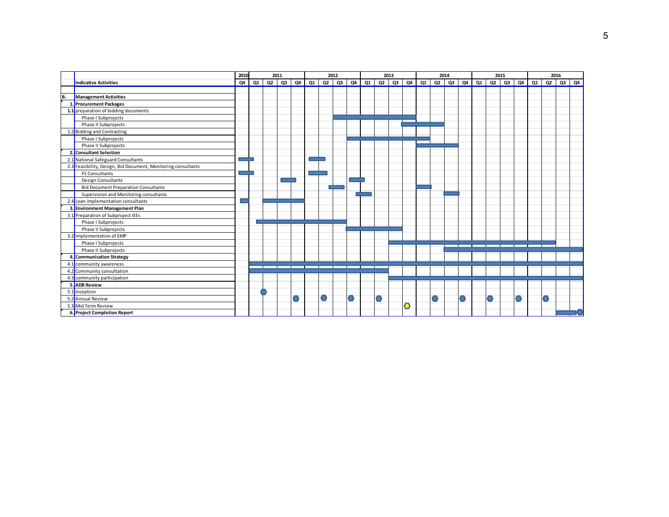|    |                                                               | 2010 |           | 2011      |  |   | 2012 |   |                                                                                                               |   | 2013 |           |  | 2014 |  | 2015 |                     | 2016 |    |
|----|---------------------------------------------------------------|------|-----------|-----------|--|---|------|---|---------------------------------------------------------------------------------------------------------------|---|------|-----------|--|------|--|------|---------------------|------|----|
|    | <b>Indicative Activities</b>                                  |      | $Q4$ $Q1$ | $Q2$ $Q3$ |  |   |      |   | $Q4$   $Q1$   $Q2$   $Q3$   $Q4$   $Q1$   $Q2$   $Q3$   $Q4$   $Q1$   $Q2$   $Q3$   $Q4$   $Q1$   $Q2$   $Q3$ |   |      |           |  |      |  |      | $Q4$ $Q1$ $Q2$ $Q3$ |      | Q4 |
|    |                                                               |      |           |           |  |   |      |   |                                                                                                               |   |      |           |  |      |  |      |                     |      |    |
| B. | Management Activities                                         |      |           |           |  |   |      |   |                                                                                                               |   |      |           |  |      |  |      |                     |      |    |
|    | Procurement Packages                                          |      |           |           |  |   |      |   |                                                                                                               |   |      |           |  |      |  |      |                     |      |    |
|    | 1.1 preparation of bidding documents                          |      |           |           |  |   |      |   |                                                                                                               |   |      |           |  |      |  |      |                     |      |    |
|    | Phase I Subprojects                                           |      |           |           |  |   |      |   |                                                                                                               |   |      |           |  |      |  |      |                     |      |    |
|    | Phase II Subprojects                                          |      |           |           |  |   |      |   |                                                                                                               |   |      |           |  |      |  |      |                     |      |    |
|    | 1.2 Bidding and Contracting                                   |      |           |           |  |   |      |   |                                                                                                               |   |      |           |  |      |  |      |                     |      |    |
|    | Phase I Subprojects                                           |      |           |           |  |   |      |   |                                                                                                               |   |      |           |  |      |  |      |                     |      |    |
|    | Phase II Subprojects                                          |      |           |           |  |   |      |   |                                                                                                               |   |      |           |  |      |  |      |                     |      |    |
| 2. | <b>Consultant Selection</b>                                   |      |           |           |  |   |      |   |                                                                                                               |   |      |           |  |      |  |      |                     |      |    |
|    | 2.1 National Safeguard Consultants                            |      |           |           |  |   |      |   |                                                                                                               |   |      |           |  |      |  |      |                     |      |    |
|    | 2.3 Feasibility, Design, Bid Document, Monitoring consultants |      |           |           |  |   |      |   |                                                                                                               |   |      |           |  |      |  |      |                     |      |    |
|    | <b>FS Consultants</b>                                         |      |           |           |  |   |      |   |                                                                                                               |   |      |           |  |      |  |      |                     |      |    |
|    | <b>Design Consultants</b>                                     |      |           |           |  |   |      |   |                                                                                                               |   |      |           |  |      |  |      |                     |      |    |
|    | <b>Bid Document Preparation Consultants</b>                   |      |           |           |  |   |      |   |                                                                                                               |   |      |           |  |      |  |      |                     |      |    |
|    | Supervision and Monitoring consultants                        |      |           |           |  |   |      |   |                                                                                                               |   |      |           |  |      |  |      |                     |      |    |
|    | 2.4 Loan implementation consultants                           |      |           |           |  |   |      |   |                                                                                                               |   |      |           |  |      |  |      |                     |      |    |
|    | 3. Environment Management Plan                                |      |           |           |  |   |      |   |                                                                                                               |   |      |           |  |      |  |      |                     |      |    |
|    | 3.1 Preparation of Subproject IEEs                            |      |           |           |  |   |      |   |                                                                                                               |   |      |           |  |      |  |      |                     |      |    |
|    | Phase I Subprojects                                           |      |           |           |  |   |      |   |                                                                                                               |   |      |           |  |      |  |      |                     |      |    |
|    | Phase II Subprojects                                          |      |           |           |  |   |      |   |                                                                                                               |   |      |           |  |      |  |      |                     |      |    |
|    | 3.2 Implementation of EMP                                     |      |           |           |  |   |      |   |                                                                                                               |   |      |           |  |      |  |      |                     |      |    |
|    | Phase I Subprojects                                           |      |           |           |  |   |      |   |                                                                                                               |   |      |           |  |      |  |      |                     |      |    |
|    | Phase II Subprojects                                          |      |           |           |  |   |      |   |                                                                                                               |   |      |           |  |      |  |      |                     |      |    |
|    | 4. Communication Strategy                                     |      |           |           |  |   |      |   |                                                                                                               |   |      |           |  |      |  |      |                     |      |    |
|    | 4.1 community awareness                                       |      |           |           |  |   |      |   |                                                                                                               |   |      |           |  |      |  |      |                     |      |    |
|    | 4.2 Community consultation                                    |      |           |           |  |   |      |   |                                                                                                               |   |      |           |  |      |  |      |                     |      |    |
|    | 4.3 community participation                                   |      |           |           |  |   |      |   |                                                                                                               |   |      |           |  |      |  |      |                     |      |    |
|    | 5. ADB Review                                                 |      |           |           |  |   |      |   |                                                                                                               |   |      |           |  |      |  |      |                     |      |    |
|    | 5.1 Inception                                                 |      |           |           |  |   |      |   |                                                                                                               |   |      |           |  |      |  |      |                     |      |    |
|    | 5.2 Annual Review                                             |      |           |           |  | O |      | O |                                                                                                               | O |      |           |  |      |  |      |                     |      |    |
|    | 5.3 Mid Term Review                                           |      |           |           |  |   |      |   |                                                                                                               |   |      | $\bullet$ |  |      |  |      |                     |      |    |
|    | 6. Project Completion Report                                  |      |           |           |  |   |      |   |                                                                                                               |   |      |           |  |      |  |      |                     |      |    |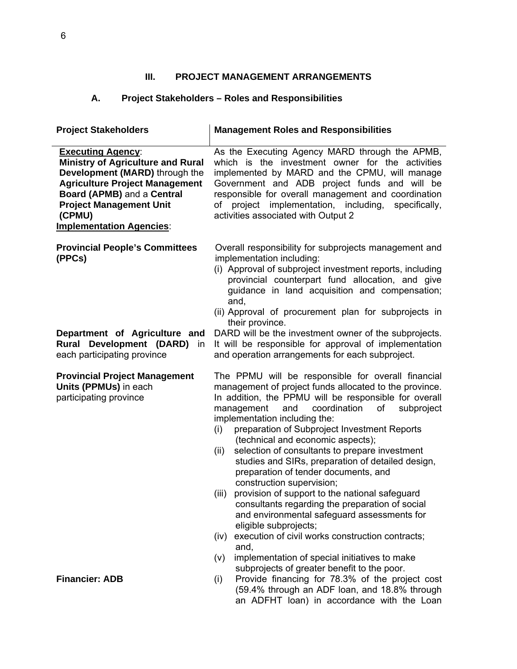## **III. PROJECT MANAGEMENT ARRANGEMENTS**

## **A. Project Stakeholders – Roles and Responsibilities**

| <b>Project Stakeholders</b>                                                                                                                                                                                                                                  | <b>Management Roles and Responsibilities</b>                                                                                                                                                                                                                                                                                                                                                                                                                                                                                                                                                                                                                                                                                                                                                                                                                      |
|--------------------------------------------------------------------------------------------------------------------------------------------------------------------------------------------------------------------------------------------------------------|-------------------------------------------------------------------------------------------------------------------------------------------------------------------------------------------------------------------------------------------------------------------------------------------------------------------------------------------------------------------------------------------------------------------------------------------------------------------------------------------------------------------------------------------------------------------------------------------------------------------------------------------------------------------------------------------------------------------------------------------------------------------------------------------------------------------------------------------------------------------|
| <b>Executing Agency:</b><br><b>Ministry of Agriculture and Rural</b><br>Development (MARD) through the<br><b>Agriculture Project Management</b><br>Board (APMB) and a Central<br><b>Project Management Unit</b><br>(CPMU)<br><b>Implementation Agencies:</b> | As the Executing Agency MARD through the APMB,<br>which is the investment owner for the activities<br>implemented by MARD and the CPMU, will manage<br>Government and ADB project funds and will be<br>responsible for overall management and coordination<br>of project implementation, including,<br>specifically,<br>activities associated with Output 2                                                                                                                                                                                                                                                                                                                                                                                                                                                                                                       |
| <b>Provincial People's Committees</b><br>(PPCs)                                                                                                                                                                                                              | Overall responsibility for subprojects management and<br>implementation including:<br>(i) Approval of subproject investment reports, including<br>provincial counterpart fund allocation, and give<br>guidance in land acquisition and compensation;<br>and,<br>(ii) Approval of procurement plan for subprojects in<br>their province.                                                                                                                                                                                                                                                                                                                                                                                                                                                                                                                           |
| Department of Agriculture and<br>Development (DARD)<br>Rural<br>in<br>each participating province                                                                                                                                                            | DARD will be the investment owner of the subprojects.<br>It will be responsible for approval of implementation<br>and operation arrangements for each subproject.                                                                                                                                                                                                                                                                                                                                                                                                                                                                                                                                                                                                                                                                                                 |
| <b>Provincial Project Management</b><br>Units (PPMUs) in each<br>participating province                                                                                                                                                                      | The PPMU will be responsible for overall financial<br>management of project funds allocated to the province.<br>In addition, the PPMU will be responsible for overall<br>management<br>coordination<br>and<br>of<br>subproject<br>implementation including the:<br>preparation of Subproject Investment Reports<br>(i)<br>(technical and economic aspects);<br>selection of consultants to prepare investment<br>(ii)<br>studies and SIRs, preparation of detailed design,<br>preparation of tender documents, and<br>construction supervision;<br>provision of support to the national safeguard<br>(iii)<br>consultants regarding the preparation of social<br>and environmental safeguard assessments for<br>eligible subprojects;<br>execution of civil works construction contracts;<br>(iv)<br>and,<br>implementation of special initiatives to make<br>(V) |
| <b>Financier: ADB</b>                                                                                                                                                                                                                                        | subprojects of greater benefit to the poor.<br>Provide financing for 78.3% of the project cost<br>(i)<br>(59.4% through an ADF loan, and 18.8% through<br>an ADFHT loan) in accordance with the Loan                                                                                                                                                                                                                                                                                                                                                                                                                                                                                                                                                                                                                                                              |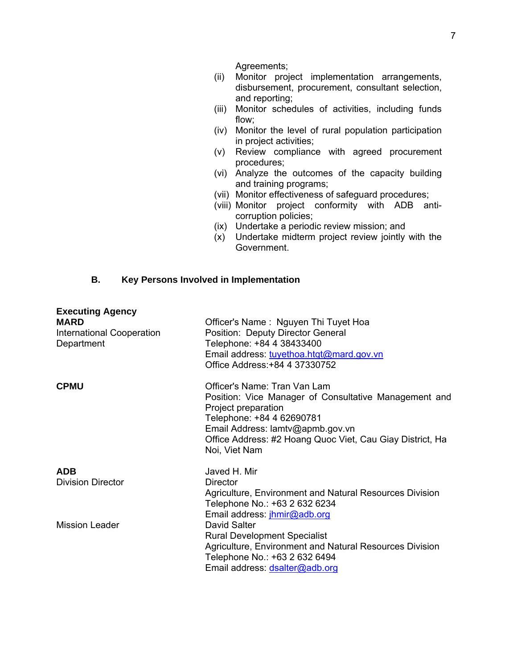Agreements;

- (ii) Monitor project implementation arrangements, disbursement, procurement, consultant selection, and reporting;
- (iii) Monitor schedules of activities, including funds flow;
- (iv) Monitor the level of rural population participation in project activities;
- (v) Review compliance with agreed procurement procedures;
- (vi) Analyze the outcomes of the capacity building and training programs;
- (vii) Monitor effectiveness of safeguard procedures;
- (viii) Monitor project conformity with ADB anticorruption policies;
- (ix) Undertake a periodic review mission; and
- (x) Undertake midterm project review jointly with the Government.

#### **B. Key Persons Involved in Implementation**

| <b>Executing Agency</b><br><b>MARD</b><br><b>International Cooperation</b><br>Department | Officer's Name: Nguyen Thi Tuyet Hoa<br>Position: Deputy Director General<br>Telephone: +84 4 38433400<br>Email address: tuyethoa.htqt@mard.gov.vn<br>Office Address: +84 4 37330752                                                                        |
|------------------------------------------------------------------------------------------|-------------------------------------------------------------------------------------------------------------------------------------------------------------------------------------------------------------------------------------------------------------|
| <b>CPMU</b>                                                                              | Officer's Name: Tran Van Lam<br>Position: Vice Manager of Consultative Management and<br>Project preparation<br>Telephone: +84 4 62690781<br>Email Address: lamtv@apmb.gov.vn<br>Office Address: #2 Hoang Quoc Viet, Cau Giay District, Ha<br>Noi, Viet Nam |
| <b>ADB</b><br><b>Division Director</b>                                                   | Javed H. Mir<br><b>Director</b><br>Agriculture, Environment and Natural Resources Division<br>Telephone No.: +63 2 632 6234<br>Email address: jhmir@adb.org                                                                                                 |
| <b>Mission Leader</b>                                                                    | David Salter<br><b>Rural Development Specialist</b><br>Agriculture, Environment and Natural Resources Division<br>Telephone No.: +63 2 632 6494<br>Email address: dsalter@adb.org                                                                           |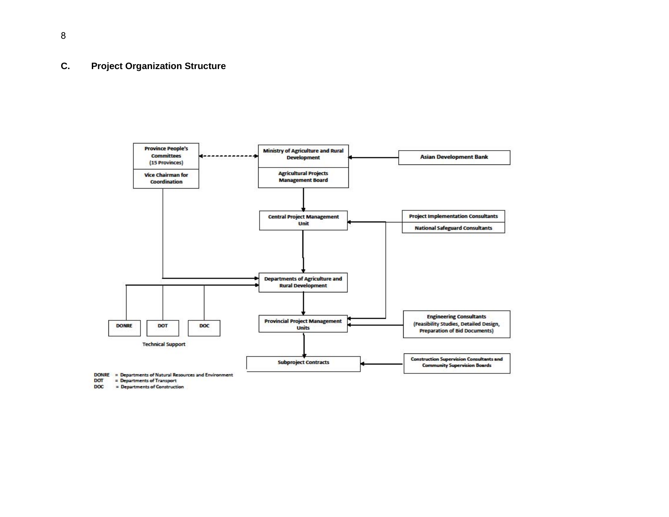#### **C. Project Organization Structure**



DOT = Departments of Transport

DOC = Departments of Construction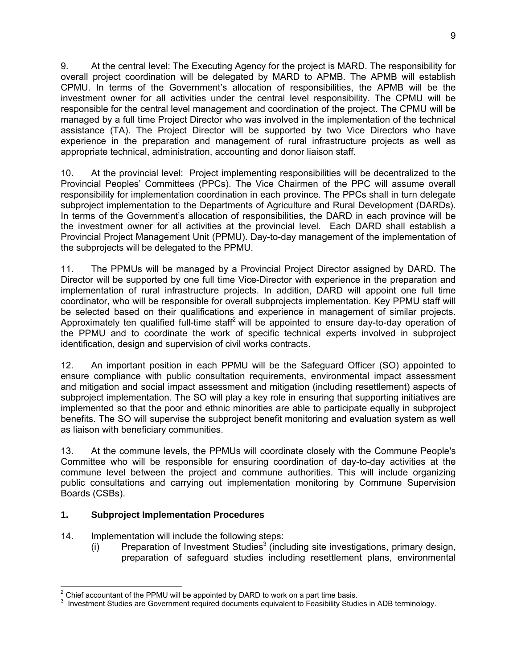9. At the central level: The Executing Agency for the project is MARD. The responsibility for overall project coordination will be delegated by MARD to APMB. The APMB will establish CPMU. In terms of the Government's allocation of responsibilities, the APMB will be the investment owner for all activities under the central level responsibility. The CPMU will be responsible for the central level management and coordination of the project. The CPMU will be managed by a full time Project Director who was involved in the implementation of the technical assistance (TA). The Project Director will be supported by two Vice Directors who have experience in the preparation and management of rural infrastructure projects as well as appropriate technical, administration, accounting and donor liaison staff.

10. At the provincial level: Project implementing responsibilities will be decentralized to the Provincial Peoples' Committees (PPCs). The Vice Chairmen of the PPC will assume overall responsibility for implementation coordination in each province. The PPCs shall in turn delegate subproject implementation to the Departments of Agriculture and Rural Development (DARDs). In terms of the Government's allocation of responsibilities, the DARD in each province will be the investment owner for all activities at the provincial level. Each DARD shall establish a Provincial Project Management Unit (PPMU). Day-to-day management of the implementation of the subprojects will be delegated to the PPMU.

11. The PPMUs will be managed by a Provincial Project Director assigned by DARD. The Director will be supported by one full time Vice-Director with experience in the preparation and implementation of rural infrastructure projects. In addition, DARD will appoint one full time coordinator, who will be responsible for overall subprojects implementation. Key PPMU staff will be selected based on their qualifications and experience in management of similar projects. Approximately ten qualified full-time staff<sup>2</sup> will be appointed to ensure day-to-day operation of the PPMU and to coordinate the work of specific technical experts involved in subproject identification, design and supervision of civil works contracts.

12. An important position in each PPMU will be the Safeguard Officer (SO) appointed to ensure compliance with public consultation requirements, environmental impact assessment and mitigation and social impact assessment and mitigation (including resettlement) aspects of subproject implementation. The SO will play a key role in ensuring that supporting initiatives are implemented so that the poor and ethnic minorities are able to participate equally in subproject benefits. The SO will supervise the subproject benefit monitoring and evaluation system as well as liaison with beneficiary communities.

13. At the commune levels, the PPMUs will coordinate closely with the Commune People's Committee who will be responsible for ensuring coordination of day-to-day activities at the commune level between the project and commune authorities. This will include organizing public consultations and carrying out implementation monitoring by Commune Supervision Boards (CSBs).

## **1. Subproject Implementation Procedures**

- 14. Implementation will include the following steps:
	- $(i)$  Preparation of Investment Studies<sup>3</sup> (including site investigations, primary design, preparation of safeguard studies including resettlement plans, environmental

<sup>————————————————————&</sup>lt;br><sup>2</sup> Chief accountant of the PPMU will be appointed by DARD to work on a part time basis.

<sup>3</sup> Investment Studies are Government required documents equivalent to Feasibility Studies in ADB terminology.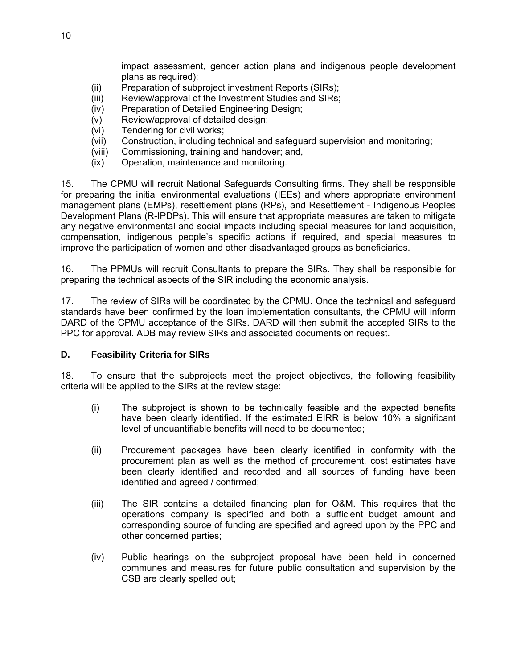impact assessment, gender action plans and indigenous people development plans as required);

- (ii) Preparation of subproject investment Reports (SIRs);
- (iii) Review/approval of the Investment Studies and SIRs;
- (iv) Preparation of Detailed Engineering Design;
- (v) Review/approval of detailed design;
- (vi) Tendering for civil works;
- (vii) Construction, including technical and safeguard supervision and monitoring;
- (viii) Commissioning, training and handover; and,
- (ix) Operation, maintenance and monitoring.

15. The CPMU will recruit National Safeguards Consulting firms. They shall be responsible for preparing the initial environmental evaluations (IEEs) and where appropriate environment management plans (EMPs), resettlement plans (RPs), and Resettlement - Indigenous Peoples Development Plans (R-IPDPs). This will ensure that appropriate measures are taken to mitigate any negative environmental and social impacts including special measures for land acquisition, compensation, indigenous people's specific actions if required, and special measures to improve the participation of women and other disadvantaged groups as beneficiaries.

16. The PPMUs will recruit Consultants to prepare the SIRs. They shall be responsible for preparing the technical aspects of the SIR including the economic analysis.

17. The review of SIRs will be coordinated by the CPMU. Once the technical and safeguard standards have been confirmed by the loan implementation consultants, the CPMU will inform DARD of the CPMU acceptance of the SIRs. DARD will then submit the accepted SIRs to the PPC for approval. ADB may review SIRs and associated documents on request.

#### **D. Feasibility Criteria for SIRs**

18. To ensure that the subprojects meet the project objectives, the following feasibility criteria will be applied to the SIRs at the review stage:

- (i) The subproject is shown to be technically feasible and the expected benefits have been clearly identified. If the estimated EIRR is below 10% a significant level of unquantifiable benefits will need to be documented;
- (ii) Procurement packages have been clearly identified in conformity with the procurement plan as well as the method of procurement, cost estimates have been clearly identified and recorded and all sources of funding have been identified and agreed / confirmed;
- (iii) The SIR contains a detailed financing plan for O&M. This requires that the operations company is specified and both a sufficient budget amount and corresponding source of funding are specified and agreed upon by the PPC and other concerned parties;
- (iv) Public hearings on the subproject proposal have been held in concerned communes and measures for future public consultation and supervision by the CSB are clearly spelled out;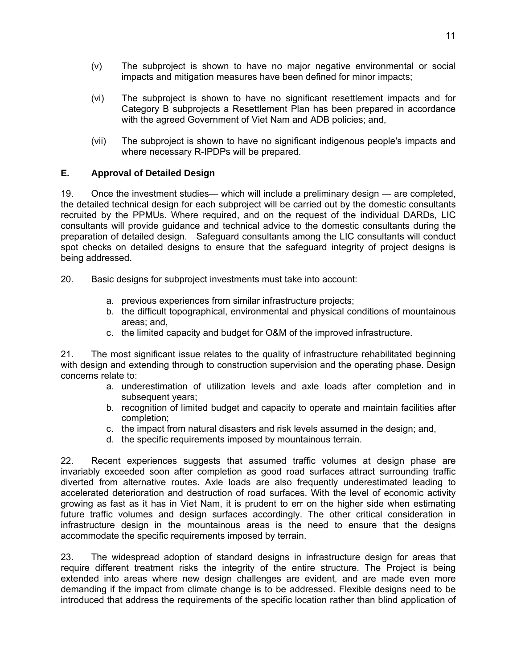- (v) The subproject is shown to have no major negative environmental or social impacts and mitigation measures have been defined for minor impacts;
- (vi) The subproject is shown to have no significant resettlement impacts and for Category B subprojects a Resettlement Plan has been prepared in accordance with the agreed Government of Viet Nam and ADB policies; and,
- (vii) The subproject is shown to have no significant indigenous people's impacts and where necessary R-IPDPs will be prepared.

#### **E. Approval of Detailed Design**

19. Once the investment studies— which will include a preliminary design — are completed, the detailed technical design for each subproject will be carried out by the domestic consultants recruited by the PPMUs. Where required, and on the request of the individual DARDs, LIC consultants will provide guidance and technical advice to the domestic consultants during the preparation of detailed design. Safeguard consultants among the LIC consultants will conduct spot checks on detailed designs to ensure that the safeguard integrity of project designs is being addressed.

20. Basic designs for subproject investments must take into account:

- a. previous experiences from similar infrastructure projects;
- b. the difficult topographical, environmental and physical conditions of mountainous areas; and,
- c. the limited capacity and budget for O&M of the improved infrastructure.

21. The most significant issue relates to the quality of infrastructure rehabilitated beginning with design and extending through to construction supervision and the operating phase. Design concerns relate to:

- a. underestimation of utilization levels and axle loads after completion and in subsequent years;
- b. recognition of limited budget and capacity to operate and maintain facilities after completion;
- c. the impact from natural disasters and risk levels assumed in the design; and,
- d. the specific requirements imposed by mountainous terrain.

22. Recent experiences suggests that assumed traffic volumes at design phase are invariably exceeded soon after completion as good road surfaces attract surrounding traffic diverted from alternative routes. Axle loads are also frequently underestimated leading to accelerated deterioration and destruction of road surfaces. With the level of economic activity growing as fast as it has in Viet Nam, it is prudent to err on the higher side when estimating future traffic volumes and design surfaces accordingly. The other critical consideration in infrastructure design in the mountainous areas is the need to ensure that the designs accommodate the specific requirements imposed by terrain.

23. The widespread adoption of standard designs in infrastructure design for areas that require different treatment risks the integrity of the entire structure. The Project is being extended into areas where new design challenges are evident, and are made even more demanding if the impact from climate change is to be addressed. Flexible designs need to be introduced that address the requirements of the specific location rather than blind application of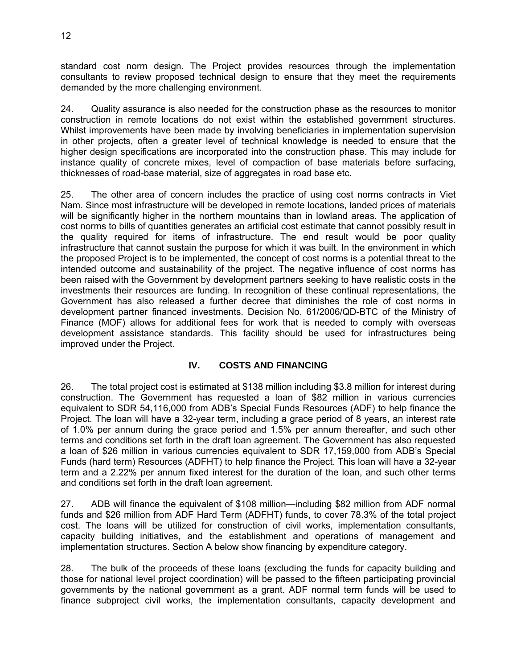standard cost norm design. The Project provides resources through the implementation consultants to review proposed technical design to ensure that they meet the requirements demanded by the more challenging environment.

24. Quality assurance is also needed for the construction phase as the resources to monitor construction in remote locations do not exist within the established government structures. Whilst improvements have been made by involving beneficiaries in implementation supervision in other projects, often a greater level of technical knowledge is needed to ensure that the higher design specifications are incorporated into the construction phase. This may include for instance quality of concrete mixes, level of compaction of base materials before surfacing, thicknesses of road-base material, size of aggregates in road base etc.

25. The other area of concern includes the practice of using cost norms contracts in Viet Nam. Since most infrastructure will be developed in remote locations, landed prices of materials will be significantly higher in the northern mountains than in lowland areas. The application of cost norms to bills of quantities generates an artificial cost estimate that cannot possibly result in the quality required for items of infrastructure. The end result would be poor quality infrastructure that cannot sustain the purpose for which it was built. In the environment in which the proposed Project is to be implemented, the concept of cost norms is a potential threat to the intended outcome and sustainability of the project. The negative influence of cost norms has been raised with the Government by development partners seeking to have realistic costs in the investments their resources are funding. In recognition of these continual representations, the Government has also released a further decree that diminishes the role of cost norms in development partner financed investments. Decision No. 61/2006/QD-BTC of the Ministry of Finance (MOF) allows for additional fees for work that is needed to comply with overseas development assistance standards. This facility should be used for infrastructures being improved under the Project.

## **IV. COSTS AND FINANCING**

26. The total project cost is estimated at \$138 million including \$3.8 million for interest during construction. The Government has requested a loan of \$82 million in various currencies equivalent to SDR 54,116,000 from ADB's Special Funds Resources (ADF) to help finance the Project. The loan will have a 32-year term, including a grace period of 8 years, an interest rate of 1.0% per annum during the grace period and 1.5% per annum thereafter, and such other terms and conditions set forth in the draft loan agreement. The Government has also requested a loan of \$26 million in various currencies equivalent to SDR 17,159,000 from ADB's Special Funds (hard term) Resources (ADFHT) to help finance the Project. This loan will have a 32-year term and a 2.22% per annum fixed interest for the duration of the loan, and such other terms and conditions set forth in the draft loan agreement.

27. ADB will finance the equivalent of \$108 million—including \$82 million from ADF normal funds and \$26 million from ADF Hard Term (ADFHT) funds, to cover 78.3% of the total project cost. The loans will be utilized for construction of civil works, implementation consultants, capacity building initiatives, and the establishment and operations of management and implementation structures. Section A below show financing by expenditure category.

28. The bulk of the proceeds of these loans (excluding the funds for capacity building and those for national level project coordination) will be passed to the fifteen participating provincial governments by the national government as a grant. ADF normal term funds will be used to finance subproject civil works, the implementation consultants, capacity development and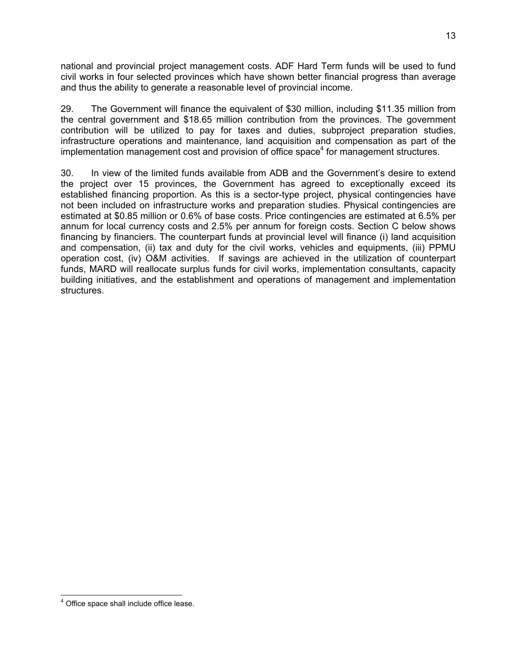national and provincial project management costs. ADF Hard Term funds will be used to fund civil works in four selected provinces which have shown better financial progress than average and thus the ability to generate a reasonable level of provincial income.

29. The Government will finance the equivalent of \$30 million, including \$11.35 million from the central government and \$18.65 million contribution from the provinces. The government contribution will be utilized to pay for taxes and duties, subproject preparation studies, infrastructure operations and maintenance, land acquisition and compensation as part of the implementation management cost and provision of office space<sup>4</sup> for management structures.

30. In view of the limited funds available from ADB and the Government's desire to extend the project over 15 provinces, the Government has agreed to exceptionally exceed its established financing proportion. As this is a sector-type project, physical contingencies have not been included on infrastructure works and preparation studies. Physical contingencies are estimated at \$0.85 million or 0.6% of base costs. Price contingencies are estimated at 6.5% per annum for local currency costs and 2.5% per annum for foreign costs. Section C below shows financing by financiers. The counterpart funds at provincial level will finance (i) land acquisition and compensation, (ii) tax and duty for the civil works, vehicles and equipments, (iii) PPMU operation cost, (iv) O&M activities. If savings are achieved in the utilization of counterpart funds, MARD will reallocate surplus funds for civil works, implementation consultants, capacity building initiatives, and the establishment and operations of management and implementation structures.

 4 Office space shall include office lease.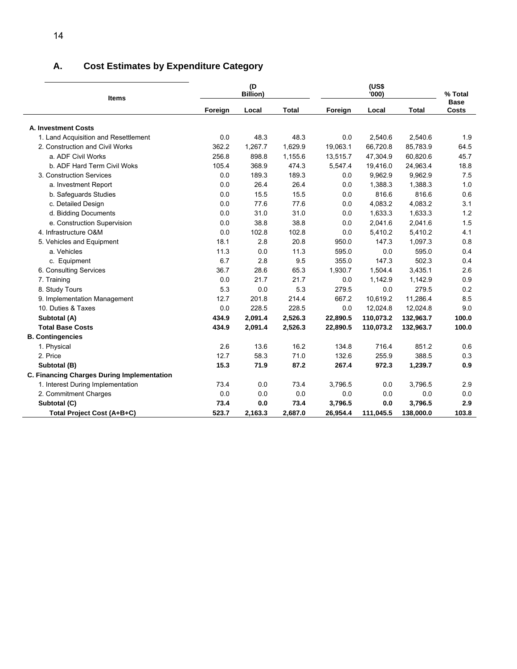## **A. Cost Estimates by Expenditure Category**

| <b>Items</b>                               |         | (D)<br><b>Billion)</b> |              |          | % Total   |              |                      |
|--------------------------------------------|---------|------------------------|--------------|----------|-----------|--------------|----------------------|
|                                            | Foreign | Local                  | <b>Total</b> | Foreign  | Local     | <b>Total</b> | <b>Base</b><br>Costs |
| A. Investment Costs                        |         |                        |              |          |           |              |                      |
| 1. Land Acquisition and Resettlement       | 0.0     | 48.3                   | 48.3         | 0.0      | 2,540.6   | 2,540.6      | 1.9                  |
| 2. Construction and Civil Works            | 362.2   | 1,267.7                | 1,629.9      | 19,063.1 | 66,720.8  | 85,783.9     | 64.5                 |
| a. ADF Civil Works                         | 256.8   | 898.8                  | 1,155.6      | 13,515.7 | 47,304.9  | 60,820.6     | 45.7                 |
| b. ADF Hard Term Civil Woks                | 105.4   | 368.9                  | 474.3        | 5,547.4  | 19,416.0  | 24,963.4     | 18.8                 |
| 3. Construction Services                   | 0.0     | 189.3                  | 189.3        | 0.0      | 9,962.9   | 9,962.9      | 7.5                  |
| a. Investment Report                       | 0.0     | 26.4                   | 26.4         | 0.0      | 1,388.3   | 1,388.3      | 1.0                  |
| b. Safeguards Studies                      | 0.0     | 15.5                   | 15.5         | 0.0      | 816.6     | 816.6        | 0.6                  |
| c. Detailed Design                         | 0.0     | 77.6                   | 77.6         | 0.0      | 4,083.2   | 4,083.2      | 3.1                  |
| d. Bidding Documents                       | 0.0     | 31.0                   | 31.0         | 0.0      | 1,633.3   | 1,633.3      | 1.2                  |
| e. Construction Supervision                | 0.0     | 38.8                   | 38.8         | 0.0      | 2,041.6   | 2,041.6      | 1.5                  |
| 4. Infrastructure O&M                      | 0.0     | 102.8                  | 102.8        | 0.0      | 5,410.2   | 5,410.2      | 4.1                  |
| 5. Vehicles and Equipment                  | 18.1    | 2.8                    | 20.8         | 950.0    | 147.3     | 1,097.3      | 0.8                  |
| a. Vehicles                                | 11.3    | 0.0                    | 11.3         | 595.0    | 0.0       | 595.0        | 0.4                  |
| c. Equipment                               | 6.7     | 2.8                    | 9.5          | 355.0    | 147.3     | 502.3        | 0.4                  |
| 6. Consulting Services                     | 36.7    | 28.6                   | 65.3         | 1,930.7  | 1,504.4   | 3,435.1      | 2.6                  |
| 7. Training                                | 0.0     | 21.7                   | 21.7         | 0.0      | 1,142.9   | 1,142.9      | 0.9                  |
| 8. Study Tours                             | 5.3     | 0.0                    | 5.3          | 279.5    | 0.0       | 279.5        | 0.2                  |
| 9. Implementation Management               | 12.7    | 201.8                  | 214.4        | 667.2    | 10,619.2  | 11,286.4     | 8.5                  |
| 10. Duties & Taxes                         | 0.0     | 228.5                  | 228.5        | 0.0      | 12,024.8  | 12,024.8     | 9.0                  |
| Subtotal (A)                               | 434.9   | 2,091.4                | 2,526.3      | 22,890.5 | 110,073.2 | 132,963.7    | 100.0                |
| <b>Total Base Costs</b>                    | 434.9   | 2,091.4                | 2,526.3      | 22,890.5 | 110,073.2 | 132,963.7    | 100.0                |
| <b>B. Contingencies</b>                    |         |                        |              |          |           |              |                      |
| 1. Physical                                | 2.6     | 13.6                   | 16.2         | 134.8    | 716.4     | 851.2        | 0.6                  |
| 2. Price                                   | 12.7    | 58.3                   | 71.0         | 132.6    | 255.9     | 388.5        | 0.3                  |
| Subtotal (B)                               | 15.3    | 71.9                   | 87.2         | 267.4    | 972.3     | 1,239.7      | 0.9                  |
| C. Financing Charges During Implementation |         |                        |              |          |           |              |                      |
| 1. Interest During Implementation          | 73.4    | 0.0                    | 73.4         | 3,796.5  | 0.0       | 3,796.5      | 2.9                  |
| 2. Commitment Charges                      | 0.0     | 0.0                    | 0.0          | 0.0      | 0.0       | 0.0          | 0.0                  |
| Subtotal (C)                               | 73.4    | 0.0                    | 73.4         | 3,796.5  | 0.0       | 3,796.5      | 2.9                  |
| Total Project Cost (A+B+C)                 | 523.7   | 2,163.3                | 2,687.0      | 26,954.4 | 111,045.5 | 138,000.0    | 103.8                |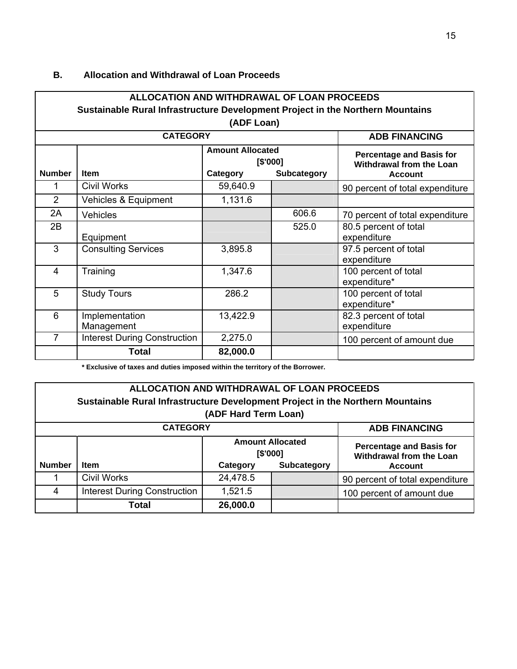#### **B. Allocation and Withdrawal of Loan Proceeds**

#### **ALLOCATION AND WITHDRAWAL OF LOAN PROCEEDS Sustainable Rural Infrastructure Development Project in the Northern Mountains (ADF Loan) CATEGORY ADB FINANCING Amount Allocated [\$'000]**  Number | Item | Category Subcategory **Percentage and Basis for Withdrawal from the Loan Account**  1 Civil Works 59,640.9 59,640.9 90 percent of total expenditure 2 | Vehicles & Equipment | 1,131.6 2A | Vehicles 2A | Vehicles 2A | Vehicles 2A | Vehicles 2A | Vehicles 2A | Vehicles 2006.6 | 70 percent of total expenditure 2B Equipment 525.0 80.5 percent of total expenditure 3 Consulting Services 3,895.8 97.5 percent of total expenditure 4 Training 1,347.6 1 100 percent of total expenditure\* 5 Study Tours 286.2 100 percent of total expenditure\* 6 Implementation Management 13,422.9 **| 82.3 percent of total** expenditure 7 | Interest During Construction | 2,275.0 | 100 percent of amount due **Total 82,000.0**

**\* Exclusive of taxes and duties imposed within the territory of the Borrower.** 

## **ALLOCATION AND WITHDRAWAL OF LOAN PROCEEDS Sustainable Rural Infrastructure Development Project in the Northern Mountains (ADF Hard Term Loan)**

|               | <b>CATEGORY</b>                     |                                     | <b>ADB FINANCING</b> |                                                                    |
|---------------|-------------------------------------|-------------------------------------|----------------------|--------------------------------------------------------------------|
|               |                                     | <b>Amount Allocated</b><br>[\$'000] |                      | <b>Percentage and Basis for</b><br><b>Withdrawal from the Loan</b> |
| <b>Number</b> | <b>Item</b>                         | Category                            | <b>Subcategory</b>   | <b>Account</b>                                                     |
|               | <b>Civil Works</b>                  | 24,478.5                            |                      | 90 percent of total expenditure                                    |
| 4             | <b>Interest During Construction</b> | 1,521.5                             |                      | 100 percent of amount due                                          |
|               | Total                               | 26,000.0                            |                      |                                                                    |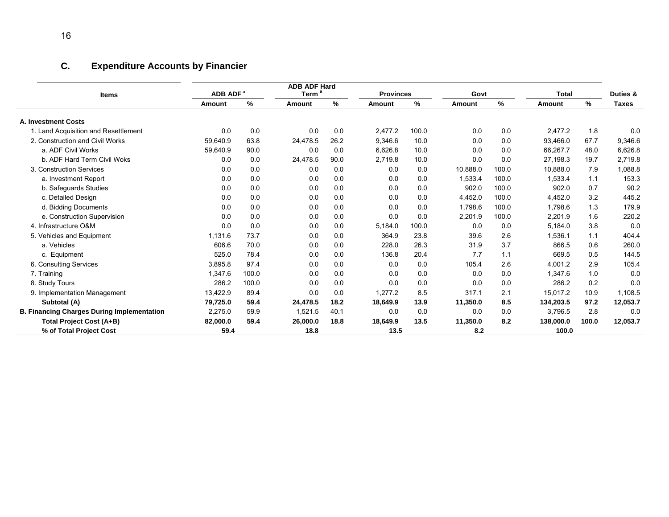# **C. Expenditure Accounts by Financier**

| <b>Items</b>                                      | ADB ADF <sup>a</sup> |       | <b>ADB ADF Hard</b><br>Term <sup>a</sup> |      | <b>Provinces</b> |       | Govt     |       | <b>Total</b>  | Duties & |              |  |  |
|---------------------------------------------------|----------------------|-------|------------------------------------------|------|------------------|-------|----------|-------|---------------|----------|--------------|--|--|
|                                                   | Amount               | %     | Amount                                   | %    | Amount           | ℅     | Amount   | %     | <b>Amount</b> | ℅        | <b>Taxes</b> |  |  |
| A. Investment Costs                               |                      |       |                                          |      |                  |       |          |       |               |          |              |  |  |
| 1. Land Acquisition and Resettlement              | 0.0                  | 0.0   | 0.0                                      | 0.0  | 2.477.2          | 100.0 | 0.0      | 0.0   | 2.477.2       | 1.8      | 0.0          |  |  |
| 2. Construction and Civil Works                   | 59,640.9             | 63.8  | 24,478.5                                 | 26.2 | 9,346.6          | 10.0  | 0.0      | 0.0   | 93,466.0      | 67.7     | 9,346.6      |  |  |
| a. ADF Civil Works                                | 59.640.9             | 90.0  | 0.0                                      | 0.0  | 6.626.8          | 10.0  | 0.0      | 0.0   | 66.267.7      | 48.0     | 6,626.8      |  |  |
| b. ADF Hard Term Civil Woks                       | 0.0                  | 0.0   | 24,478.5                                 | 90.0 | 2,719.8          | 10.0  | 0.0      | 0.0   | 27,198.3      | 19.7     | 2,719.8      |  |  |
| 3. Construction Services                          | 0.0                  | 0.0   | 0.0                                      | 0.0  | 0.0              | 0.0   | 10,888.0 | 100.0 | 10.888.0      | 7.9      | 1,088.8      |  |  |
| a. Investment Report                              | 0.0                  | 0.0   | 0.0                                      | 0.0  | 0.0              | 0.0   | 1,533.4  | 100.0 | 1.533.4       | 1.1      | 153.3        |  |  |
| b. Safeguards Studies                             | 0.0                  | 0.0   | 0.0                                      | 0.0  | 0.0              | 0.0   | 902.0    | 100.0 | 902.0         | 0.7      | 90.2         |  |  |
| c. Detailed Design                                | 0.0                  | 0.0   | 0.0                                      | 0.0  | 0.0              | 0.0   | 4.452.0  | 100.0 | 4.452.0       | 3.2      | 445.2        |  |  |
| d. Bidding Documents                              | 0.0                  | 0.0   | 0.0                                      | 0.0  | 0.0              | 0.0   | 1.798.6  | 100.0 | 1,798.6       | 1.3      | 179.9        |  |  |
| e. Construction Supervision                       | 0.0                  | 0.0   | 0.0                                      | 0.0  | 0.0              | 0.0   | 2,201.9  | 100.0 | 2,201.9       | 1.6      | 220.2        |  |  |
| 4. Infrastructure O&M                             | 0.0                  | 0.0   | 0.0                                      | 0.0  | 5.184.0          | 100.0 | 0.0      | 0.0   | 5.184.0       | 3.8      | 0.0          |  |  |
| 5. Vehicles and Equipment                         | 1,131.6              | 73.7  | 0.0                                      | 0.0  | 364.9            | 23.8  | 39.6     | 2.6   | 1.536.1       | 1.1      | 404.4        |  |  |
| a. Vehicles                                       | 606.6                | 70.0  | 0.0                                      | 0.0  | 228.0            | 26.3  | 31.9     | 3.7   | 866.5         | 0.6      | 260.0        |  |  |
| c. Equipment                                      | 525.0                | 78.4  | 0.0                                      | 0.0  | 136.8            | 20.4  | 7.7      | 1.1   | 669.5         | 0.5      | 144.5        |  |  |
| 6. Consulting Services                            | 3.895.8              | 97.4  | 0.0                                      | 0.0  | 0.0              | 0.0   | 105.4    | 2.6   | 4.001.2       | 2.9      | 105.4        |  |  |
| 7. Training                                       | 1.347.6              | 100.0 | 0.0                                      | 0.0  | 0.0              | 0.0   | 0.0      | 0.0   | 1,347.6       | 1.0      | 0.0          |  |  |
| 8. Study Tours                                    | 286.2                | 100.0 | 0.0                                      | 0.0  | 0.0              | 0.0   | 0.0      | 0.0   | 286.2         | 0.2      | 0.0          |  |  |
| 9. Implementation Management                      | 13,422.9             | 89.4  | 0.0                                      | 0.0  | 1.277.2          | 8.5   | 317.1    | 2.1   | 15.017.2      | 10.9     | 1,108.5      |  |  |
| Subtotal (A)                                      | 79,725.0             | 59.4  | 24,478.5                                 | 18.2 | 18,649.9         | 13.9  | 11,350.0 | 8.5   | 134,203.5     | 97.2     | 12,053.7     |  |  |
| <b>B. Financing Charges During Implementation</b> | 2.275.0              | 59.9  | 1.521.5                                  | 40.1 | 0.0              | 0.0   | 0.0      | 0.0   | 3.796.5       | 2.8      | 0.0          |  |  |
| <b>Total Project Cost (A+B)</b>                   | 82,000.0             | 59.4  | 26,000.0                                 | 18.8 | 18,649.9         | 13.5  | 11,350.0 | 8.2   | 138,000.0     | 100.0    | 12,053.7     |  |  |
| % of Total Project Cost                           | 59.4                 |       | 18.8                                     |      | 13.5             |       | 8.2      |       | 100.0         |          |              |  |  |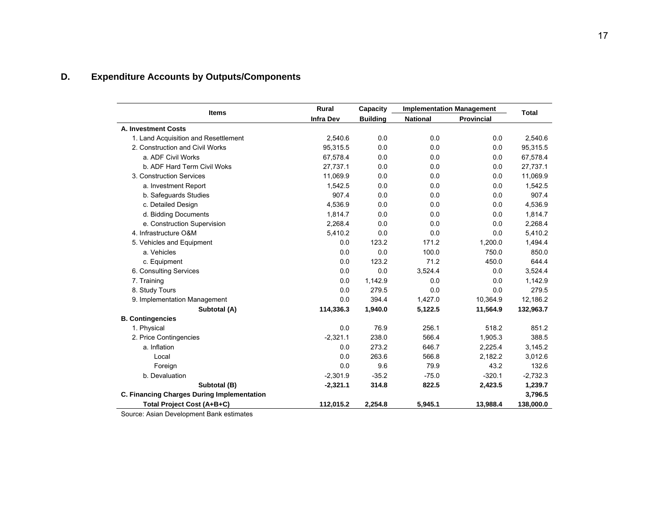# **D. Expenditure Accounts by Outputs/Components**

| <b>Items</b>                               | Rural            | Capacity        |                 | <b>Implementation Management</b> |              |  |
|--------------------------------------------|------------------|-----------------|-----------------|----------------------------------|--------------|--|
|                                            | <b>Infra Dev</b> | <b>Building</b> | <b>National</b> | Provincial                       | <b>Total</b> |  |
| A. Investment Costs                        |                  |                 |                 |                                  |              |  |
| 1. Land Acquisition and Resettlement       | 2,540.6          | 0.0             | 0.0             | 0.0                              | 2,540.6      |  |
| 2. Construction and Civil Works            | 95,315.5         | 0.0             | 0.0             | 0.0                              | 95,315.5     |  |
| a. ADF Civil Works                         | 67,578.4         | 0.0             | 0.0             | 0.0                              | 67,578.4     |  |
| b. ADF Hard Term Civil Woks                | 27,737.1         | 0.0             | 0.0             | 0.0                              | 27,737.1     |  |
| 3. Construction Services                   | 11,069.9         | 0.0             | 0.0             | 0.0                              | 11,069.9     |  |
| a. Investment Report                       | 1,542.5          | 0.0             | 0.0             | 0.0                              | 1,542.5      |  |
| b. Safeguards Studies                      | 907.4            | 0.0             | 0.0             | 0.0                              | 907.4        |  |
| c. Detailed Design                         | 4,536.9          | 0.0             | 0.0             | 0.0                              | 4,536.9      |  |
| d. Bidding Documents                       | 1,814.7          | 0.0             | 0.0             | 0.0                              | 1,814.7      |  |
| e. Construction Supervision                | 2,268.4          | 0.0             | 0.0             | 0.0                              | 2,268.4      |  |
| 4. Infrastructure O&M                      | 5,410.2          | 0.0             | 0.0             | 0.0                              | 5,410.2      |  |
| 5. Vehicles and Equipment                  | 0.0              | 123.2           | 171.2           | 1,200.0                          | 1,494.4      |  |
| a. Vehicles                                | 0.0              | 0.0             | 100.0           | 750.0                            | 850.0        |  |
| c. Equipment                               | 0.0              | 123.2           | 71.2            | 450.0                            | 644.4        |  |
| 6. Consulting Services                     | 0.0              | 0.0             | 3,524.4         | 0.0                              | 3,524.4      |  |
| 7. Training                                | 0.0              | 1,142.9         | 0.0             | 0.0                              | 1,142.9      |  |
| 8. Study Tours                             | 0.0              | 279.5           | 0.0             | 0.0                              | 279.5        |  |
| 9. Implementation Management               | 0.0              | 394.4           | 1,427.0         | 10,364.9                         | 12,186.2     |  |
| Subtotal (A)                               | 114,336.3        | 1,940.0         | 5,122.5         | 11,564.9                         | 132,963.7    |  |
| <b>B. Contingencies</b>                    |                  |                 |                 |                                  |              |  |
| 1. Physical                                | 0.0              | 76.9            | 256.1           | 518.2                            | 851.2        |  |
| 2. Price Contingencies                     | $-2,321.1$       | 238.0           | 566.4           | 1,905.3                          | 388.5        |  |
| a. Inflation                               | 0.0              | 273.2           | 646.7           | 2,225.4                          | 3,145.2      |  |
| Local                                      | 0.0              | 263.6           | 566.8           | 2,182.2                          | 3,012.6      |  |
| Foreign                                    | 0.0              | 9.6             | 79.9            | 43.2                             | 132.6        |  |
| b. Devaluation                             | $-2,301.9$       | $-35.2$         | $-75.0$         | $-320.1$                         | $-2,732.3$   |  |
| Subtotal (B)                               | $-2,321.1$       | 314.8           | 822.5           | 2,423.5                          | 1,239.7      |  |
| C. Financing Charges During Implementation |                  |                 |                 |                                  | 3,796.5      |  |
| Total Project Cost (A+B+C)                 | 112,015.2        | 2,254.8         | 5,945.1         | 13,988.4                         | 138,000.0    |  |

Source: Asian Development Bank estimates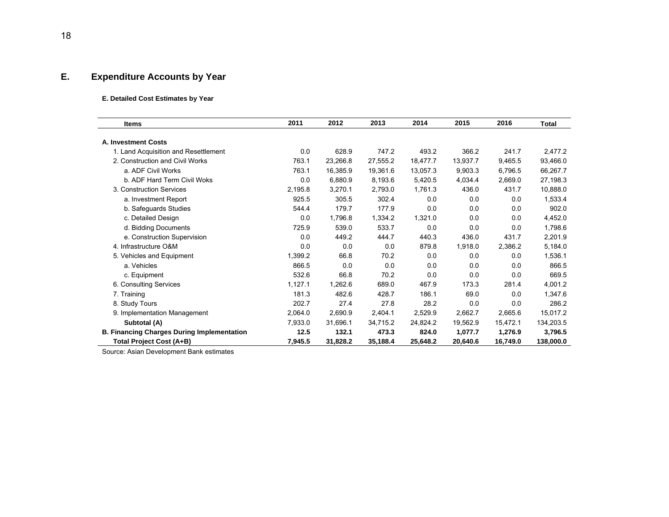## **E. Expenditure Accounts by Year**

#### **E. Detailed Cost Estimates by Year**

| <b>Items</b>                                      | 2011    | 2012     | 2013     | 2014     | 2015     | 2016     | <b>Total</b> |
|---------------------------------------------------|---------|----------|----------|----------|----------|----------|--------------|
| <b>A. Investment Costs</b>                        |         |          |          |          |          |          |              |
| 1. Land Acquisition and Resettlement              | 0.0     | 628.9    | 747.2    | 493.2    | 366.2    | 241.7    | 2,477.2      |
| 2. Construction and Civil Works                   | 763.1   | 23,266.8 | 27,555.2 | 18,477.7 | 13.937.7 | 9.465.5  | 93.466.0     |
| a. ADF Civil Works                                | 763.1   | 16,385.9 | 19,361.6 | 13,057.3 | 9,903.3  | 6.796.5  | 66,267.7     |
| b. ADF Hard Term Civil Woks                       | 0.0     | 6,880.9  | 8,193.6  | 5,420.5  | 4,034.4  | 2,669.0  | 27,198.3     |
| 3. Construction Services                          | 2,195.8 | 3,270.1  | 2,793.0  | 1.761.3  | 436.0    | 431.7    | 10,888.0     |
| a. Investment Report                              | 925.5   | 305.5    | 302.4    | 0.0      | 0.0      | 0.0      | 1,533.4      |
| b. Safeguards Studies                             | 544.4   | 179.7    | 177.9    | 0.0      | 0.0      | 0.0      | 902.0        |
| c. Detailed Design                                | 0.0     | 1,796.8  | 1,334.2  | 1,321.0  | 0.0      | 0.0      | 4,452.0      |
| d. Bidding Documents                              | 725.9   | 539.0    | 533.7    | 0.0      | 0.0      | 0.0      | 1,798.6      |
| e. Construction Supervision                       | 0.0     | 449.2    | 444.7    | 440.3    | 436.0    | 431.7    | 2,201.9      |
| 4. Infrastructure O&M                             | 0.0     | 0.0      | 0.0      | 879.8    | 1,918.0  | 2,386.2  | 5,184.0      |
| 5. Vehicles and Equipment                         | 1,399.2 | 66.8     | 70.2     | 0.0      | 0.0      | 0.0      | 1,536.1      |
| a. Vehicles                                       | 866.5   | 0.0      | 0.0      | 0.0      | 0.0      | 0.0      | 866.5        |
| c. Equipment                                      | 532.6   | 66.8     | 70.2     | 0.0      | 0.0      | 0.0      | 669.5        |
| 6. Consulting Services                            | 1,127.1 | 1,262.6  | 689.0    | 467.9    | 173.3    | 281.4    | 4,001.2      |
| 7. Training                                       | 181.3   | 482.6    | 428.7    | 186.1    | 69.0     | 0.0      | 1,347.6      |
| 8. Study Tours                                    | 202.7   | 27.4     | 27.8     | 28.2     | 0.0      | 0.0      | 286.2        |
| 9. Implementation Management                      | 2,064.0 | 2,690.9  | 2,404.1  | 2,529.9  | 2,662.7  | 2,665.6  | 15,017.2     |
| Subtotal (A)                                      | 7,933.0 | 31,696.1 | 34,715.2 | 24,824.2 | 19,562.9 | 15.472.1 | 134,203.5    |
| <b>B. Financing Charges During Implementation</b> | 12.5    | 132.1    | 473.3    | 824.0    | 1,077.7  | 1,276.9  | 3,796.5      |
| Total Project Cost (A+B)                          | 7,945.5 | 31,828.2 | 35,188.4 | 25,648.2 | 20,640.6 | 16,749.0 | 138,000.0    |

Source: Asian Development Bank estimates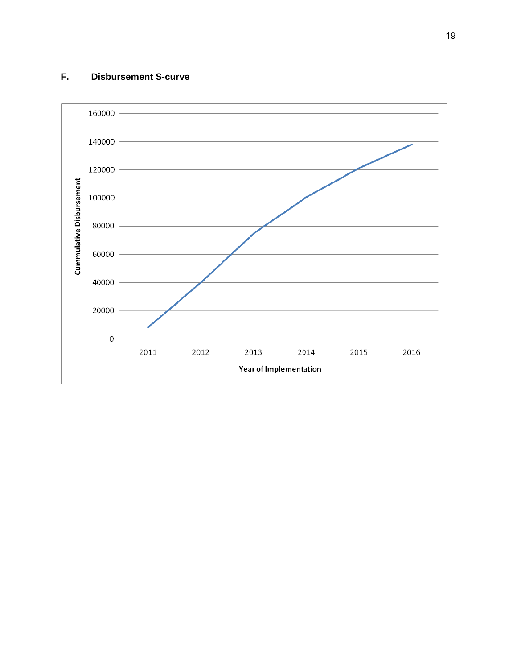## **F. Disbursement S-curve**

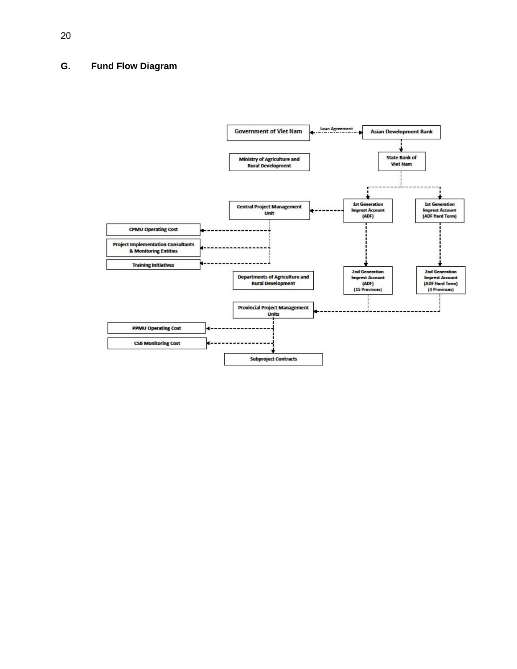## **G. Fund Flow Diagram**

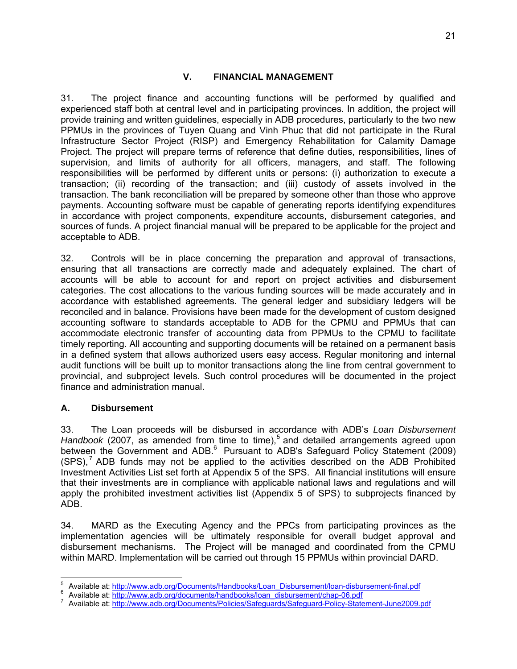#### **V. FINANCIAL MANAGEMENT**

31. The project finance and accounting functions will be performed by qualified and experienced staff both at central level and in participating provinces. In addition, the project will provide training and written guidelines, especially in ADB procedures, particularly to the two new PPMUs in the provinces of Tuyen Quang and Vinh Phuc that did not participate in the Rural Infrastructure Sector Project (RISP) and Emergency Rehabilitation for Calamity Damage Project. The project will prepare terms of reference that define duties, responsibilities, lines of supervision, and limits of authority for all officers, managers, and staff. The following responsibilities will be performed by different units or persons: (i) authorization to execute a transaction; (ii) recording of the transaction; and (iii) custody of assets involved in the transaction. The bank reconciliation will be prepared by someone other than those who approve payments. Accounting software must be capable of generating reports identifying expenditures in accordance with project components, expenditure accounts, disbursement categories, and sources of funds. A project financial manual will be prepared to be applicable for the project and acceptable to ADB.

32. Controls will be in place concerning the preparation and approval of transactions, ensuring that all transactions are correctly made and adequately explained. The chart of accounts will be able to account for and report on project activities and disbursement categories. The cost allocations to the various funding sources will be made accurately and in accordance with established agreements. The general ledger and subsidiary ledgers will be reconciled and in balance. Provisions have been made for the development of custom designed accounting software to standards acceptable to ADB for the CPMU and PPMUs that can accommodate electronic transfer of accounting data from PPMUs to the CPMU to facilitate timely reporting. All accounting and supporting documents will be retained on a permanent basis in a defined system that allows authorized users easy access. Regular monitoring and internal audit functions will be built up to monitor transactions along the line from central government to provincial, and subproject levels. Such control procedures will be documented in the project finance and administration manual.

#### **A. Disbursement**

-

33. The Loan proceeds will be disbursed in accordance with ADB's *Loan Disbursement*  Handbook (2007, as amended from time to time),<sup>5</sup> and detailed arrangements agreed upon between the Government and ADB.<sup>6</sup> Pursuant to ADB's Safeguard Policy Statement (2009)  $(SPS)$ ,  $7$  ADB funds may not be applied to the activities described on the ADB Prohibited Investment Activities List set forth at Appendix 5 of the SPS. All financial institutions will ensure that their investments are in compliance with applicable national laws and regulations and will apply the prohibited investment activities list (Appendix 5 of SPS) to subprojects financed by ADB.

34. MARD as the Executing Agency and the PPCs from participating provinces as the implementation agencies will be ultimately responsible for overall budget approval and disbursement mechanisms. The Project will be managed and coordinated from the CPMU within MARD. Implementation will be carried out through 15 PPMUs within provincial DARD.

<sup>5</sup> <sup>5</sup> Available at: http://www.adb.org/Documents/Handbooks/Loan\_Disbursement/loan-disbursement-final.pdf 6 Available at: http://www.adb.org/documenta/bandbooks/Loan\_Disbursement/loan-disbursement-final.pdf

Available at: http://www.adb.org/documents/handbooks/loan\_disbursement/chap-06.pdf

Available at: http://www.adb.org/Documents/Policies/Safeguards/Safeguard-Policy-Statement-June2009.pdf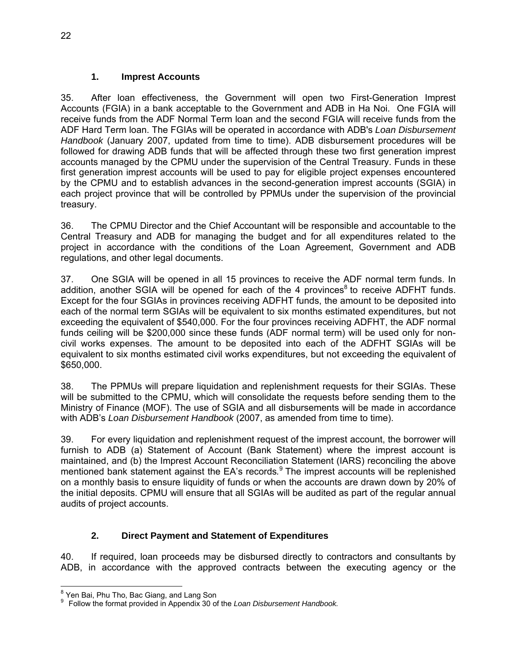#### **1. Imprest Accounts**

35. After loan effectiveness, the Government will open two First-Generation Imprest Accounts (FGIA) in a bank acceptable to the Government and ADB in Ha Noi. One FGIA will receive funds from the ADF Normal Term loan and the second FGIA will receive funds from the ADF Hard Term loan. The FGIAs will be operated in accordance with ADB's *Loan Disbursement Handbook* (January 2007, updated from time to time). ADB disbursement procedures will be followed for drawing ADB funds that will be affected through these two first generation imprest accounts managed by the CPMU under the supervision of the Central Treasury. Funds in these first generation imprest accounts will be used to pay for eligible project expenses encountered by the CPMU and to establish advances in the second-generation imprest accounts (SGIA) in each project province that will be controlled by PPMUs under the supervision of the provincial treasury.

36. The CPMU Director and the Chief Accountant will be responsible and accountable to the Central Treasury and ADB for managing the budget and for all expenditures related to the project in accordance with the conditions of the Loan Agreement, Government and ADB regulations, and other legal documents.

37. One SGIA will be opened in all 15 provinces to receive the ADF normal term funds. In addition, another SGIA will be opened for each of the 4 provinces<sup>8</sup> to receive ADFHT funds. Except for the four SGIAs in provinces receiving ADFHT funds, the amount to be deposited into each of the normal term SGIAs will be equivalent to six months estimated expenditures, but not exceeding the equivalent of \$540,000. For the four provinces receiving ADFHT, the ADF normal funds ceiling will be \$200,000 since these funds (ADF normal term) will be used only for noncivil works expenses. The amount to be deposited into each of the ADFHT SGIAs will be equivalent to six months estimated civil works expenditures, but not exceeding the equivalent of \$650,000.

38. The PPMUs will prepare liquidation and replenishment requests for their SGIAs. These will be submitted to the CPMU, which will consolidate the requests before sending them to the Ministry of Finance (MOF). The use of SGIA and all disbursements will be made in accordance with ADB's *Loan Disbursement Handbook* (2007, as amended from time to time).

39. For every liquidation and replenishment request of the imprest account, the borrower will furnish to ADB (a) Statement of Account (Bank Statement) where the imprest account is maintained, and (b) the Imprest Account Reconciliation Statement (IARS) reconciling the above mentioned bank statement against the EA's records*.* 9 The imprest accounts will be replenished on a monthly basis to ensure liquidity of funds or when the accounts are drawn down by 20% of the initial deposits. CPMU will ensure that all SGIAs will be audited as part of the regular annual audits of project accounts.

## **2. Direct Payment and Statement of Expenditures**

40. If required, loan proceeds may be disbursed directly to contractors and consultants by ADB, in accordance with the approved contracts between the executing agency or the

 8 Yen Bai, Phu Tho, Bac Giang, and Lang Son

<sup>9</sup> Follow the format provided in Appendix 30 of the *Loan Disbursement Handbook.*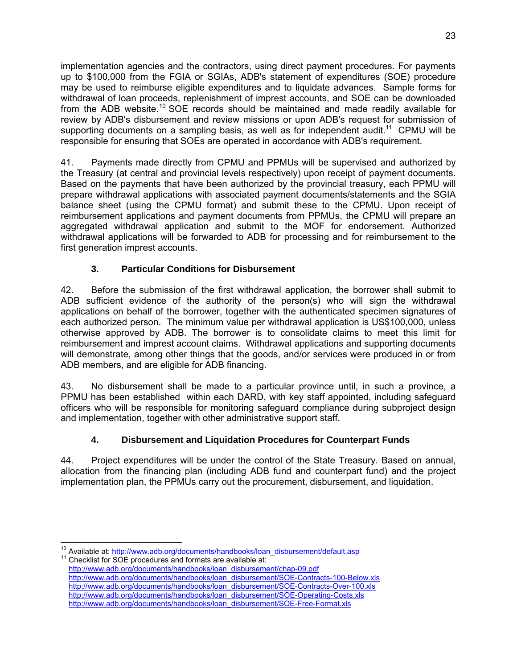implementation agencies and the contractors, using direct payment procedures. For payments up to \$100,000 from the FGIA or SGIAs, ADB's statement of expenditures (SOE) procedure may be used to reimburse eligible expenditures and to liquidate advances. Sample forms for withdrawal of loan proceeds, replenishment of imprest accounts, and SOE can be downloaded from the ADB website.<sup>10</sup> SOE records should be maintained and made readily available for review by ADB's disbursement and review missions or upon ADB's request for submission of supporting documents on a sampling basis, as well as for independent audit.<sup>11</sup> CPMU will be responsible for ensuring that SOEs are operated in accordance with ADB's requirement.

41. Payments made directly from CPMU and PPMUs will be supervised and authorized by the Treasury (at central and provincial levels respectively) upon receipt of payment documents. Based on the payments that have been authorized by the provincial treasury, each PPMU will prepare withdrawal applications with associated payment documents/statements and the SGIA balance sheet (using the CPMU format) and submit these to the CPMU. Upon receipt of reimbursement applications and payment documents from PPMUs, the CPMU will prepare an aggregated withdrawal application and submit to the MOF for endorsement. Authorized withdrawal applications will be forwarded to ADB for processing and for reimbursement to the first generation imprest accounts.

## **3. Particular Conditions for Disbursement**

42. Before the submission of the first withdrawal application, the borrower shall submit to ADB sufficient evidence of the authority of the person(s) who will sign the withdrawal applications on behalf of the borrower, together with the authenticated specimen signatures of each authorized person. The minimum value per withdrawal application is US\$100,000, unless otherwise approved by ADB. The borrower is to consolidate claims to meet this limit for reimbursement and imprest account claims. Withdrawal applications and supporting documents will demonstrate, among other things that the goods, and/or services were produced in or from ADB members, and are eligible for ADB financing.

43. No disbursement shall be made to a particular province until, in such a province, a PPMU has been established within each DARD, with key staff appointed, including safeguard officers who will be responsible for monitoring safeguard compliance during subproject design and implementation, together with other administrative support staff.

## **4. Disbursement and Liquidation Procedures for Counterpart Funds**

44. Project expenditures will be under the control of the State Treasury. Based on annual, allocation from the financing plan (including ADB fund and counterpart fund) and the project implementation plan, the PPMUs carry out the procurement, disbursement, and liquidation.

 <sup>10</sup> Available at: <u>http://www.adb.org/documents/handbooks/loan\_disbursement/default.asp <br><sup>11</sup> Checklist for SOE procedures and formats are available at:</u>

http://www.adb.org/documents/handbooks/loan\_disbursement/chap-09.pdf http://www.adb.org/documents/handbooks/loan\_disbursement/SOE-Contracts-100-Below.xls http://www.adb.org/documents/handbooks/loan\_disbursement/SOE-Contracts-Over-100.xls http://www.adb.org/documents/handbooks/loan\_disbursement/SOE-Operating-Costs.xls http://www.adb.org/documents/handbooks/loan\_disbursement/SOE-Free-Format.xls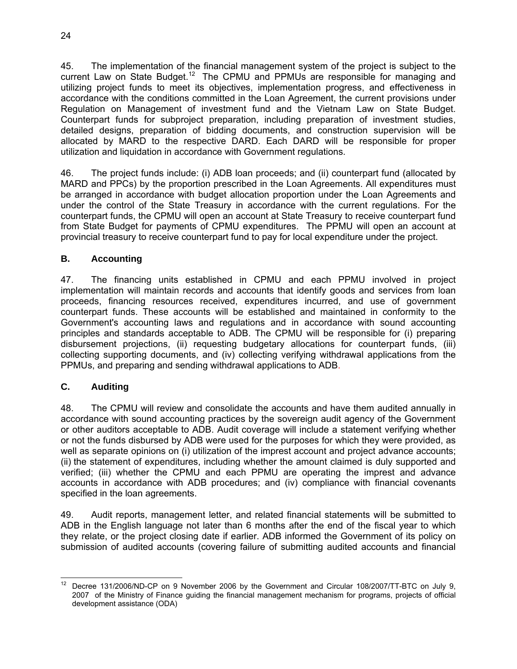45. The implementation of the financial management system of the project is subject to the current Law on State Budget.<sup>12</sup> The CPMU and PPMUs are responsible for managing and utilizing project funds to meet its objectives, implementation progress, and effectiveness in accordance with the conditions committed in the Loan Agreement, the current provisions under Regulation on Management of investment fund and the Vietnam Law on State Budget. Counterpart funds for subproject preparation, including preparation of investment studies, detailed designs, preparation of bidding documents, and construction supervision will be allocated by MARD to the respective DARD. Each DARD will be responsible for proper utilization and liquidation in accordance with Government regulations.

46. The project funds include: (i) ADB loan proceeds; and (ii) counterpart fund (allocated by MARD and PPCs) by the proportion prescribed in the Loan Agreements. All expenditures must be arranged in accordance with budget allocation proportion under the Loan Agreements and under the control of the State Treasury in accordance with the current regulations. For the counterpart funds, the CPMU will open an account at State Treasury to receive counterpart fund from State Budget for payments of CPMU expenditures. The PPMU will open an account at provincial treasury to receive counterpart fund to pay for local expenditure under the project.

## **B. Accounting**

47. The financing units established in CPMU and each PPMU involved in project implementation will maintain records and accounts that identify goods and services from loan proceeds, financing resources received, expenditures incurred, and use of government counterpart funds. These accounts will be established and maintained in conformity to the Government's accounting laws and regulations and in accordance with sound accounting principles and standards acceptable to ADB. The CPMU will be responsible for (i) preparing disbursement projections, (ii) requesting budgetary allocations for counterpart funds, (iii) collecting supporting documents, and (iv) collecting verifying withdrawal applications from the PPMUs, and preparing and sending withdrawal applications to ADB.

## **C. Auditing**

48. The CPMU will review and consolidate the accounts and have them audited annually in accordance with sound accounting practices by the sovereign audit agency of the Government or other auditors acceptable to ADB. Audit coverage will include a statement verifying whether or not the funds disbursed by ADB were used for the purposes for which they were provided, as well as separate opinions on (i) utilization of the imprest account and project advance accounts; (ii) the statement of expenditures, including whether the amount claimed is duly supported and verified; (iii) whether the CPMU and each PPMU are operating the imprest and advance accounts in accordance with ADB procedures; and (iv) compliance with financial covenants specified in the loan agreements.

49. Audit reports, management letter, and related financial statements will be submitted to ADB in the English language not later than 6 months after the end of the fiscal year to which they relate, or the project closing date if earlier. ADB informed the Government of its policy on submission of audited accounts (covering failure of submitting audited accounts and financial

<sup>-</sup>12 Decree 131/2006/ND-CP on 9 November 2006 by the Government and Circular 108/2007/TT-BTC on July 9, 2007 of the Ministry of Finance guiding the financial management mechanism for programs, projects of official development assistance (ODA)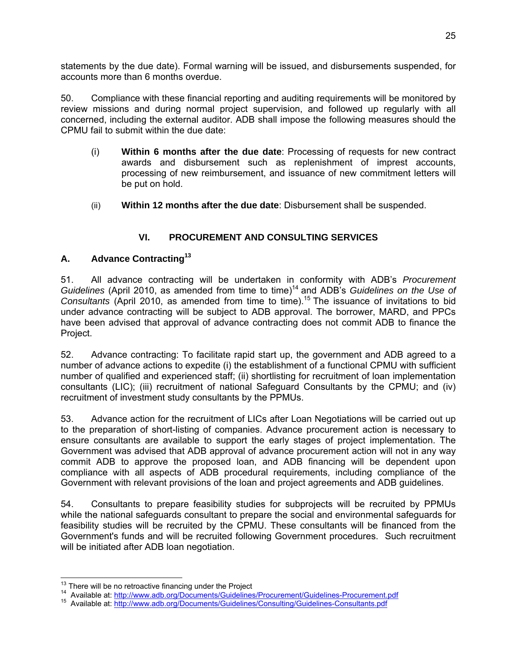statements by the due date). Formal warning will be issued, and disbursements suspended, for accounts more than 6 months overdue.

50. Compliance with these financial reporting and auditing requirements will be monitored by review missions and during normal project supervision, and followed up regularly with all concerned, including the external auditor. ADB shall impose the following measures should the CPMU fail to submit within the due date:

- (i) **Within 6 months after the due date**: Processing of requests for new contract awards and disbursement such as replenishment of imprest accounts, processing of new reimbursement, and issuance of new commitment letters will be put on hold.
- (ii) **Within 12 months after the due date**: Disbursement shall be suspended.

## **VI. PROCUREMENT AND CONSULTING SERVICES**

## **A. Advance Contracting13**

51. All advance contracting will be undertaken in conformity with ADB's *Procurement Guidelines* (April 2010, as amended from time to time)14 and ADB's *Guidelines on the Use of Consultants* (April 2010, as amended from time to time).15 The issuance of invitations to bid under advance contracting will be subject to ADB approval. The borrower, MARD, and PPCs have been advised that approval of advance contracting does not commit ADB to finance the Project.

52. Advance contracting: To facilitate rapid start up, the government and ADB agreed to a number of advance actions to expedite (i) the establishment of a functional CPMU with sufficient number of qualified and experienced staff; (ii) shortlisting for recruitment of loan implementation consultants (LIC); (iii) recruitment of national Safeguard Consultants by the CPMU; and (iv) recruitment of investment study consultants by the PPMUs.

53. Advance action for the recruitment of LICs after Loan Negotiations will be carried out up to the preparation of short-listing of companies. Advance procurement action is necessary to ensure consultants are available to support the early stages of project implementation. The Government was advised that ADB approval of advance procurement action will not in any way commit ADB to approve the proposed loan, and ADB financing will be dependent upon compliance with all aspects of ADB procedural requirements, including compliance of the Government with relevant provisions of the loan and project agreements and ADB guidelines.

54. Consultants to prepare feasibility studies for subprojects will be recruited by PPMUs while the national safeguards consultant to prepare the social and environmental safeguards for feasibility studies will be recruited by the CPMU. These consultants will be financed from the Government's funds and will be recruited following Government procedures. Such recruitment will be initiated after ADB loan negotiation.

<sup>&</sup>lt;sup>13</sup> There will be no retroactive financing under the Project

<sup>&</sup>lt;sup>14</sup> Available at: http://www.adb.org/Documents/Guidelines/Procurement/Guidelines-Procurement.pdf<br><sup>15</sup> Available at: http://www.adb.org/Documents/Guidelines/Consulting/Guidelines-Consultants.pdf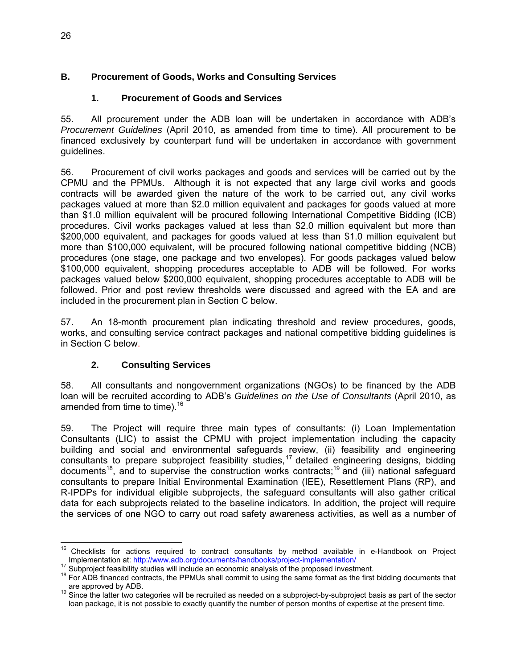## **B. Procurement of Goods, Works and Consulting Services**

### **1. Procurement of Goods and Services**

55. All procurement under the ADB loan will be undertaken in accordance with ADB's *Procurement Guidelines* (April 2010, as amended from time to time). All procurement to be financed exclusively by counterpart fund will be undertaken in accordance with government guidelines.

56. Procurement of civil works packages and goods and services will be carried out by the CPMU and the PPMUs. Although it is not expected that any large civil works and goods contracts will be awarded given the nature of the work to be carried out, any civil works packages valued at more than \$2.0 million equivalent and packages for goods valued at more than \$1.0 million equivalent will be procured following International Competitive Bidding (ICB) procedures. Civil works packages valued at less than \$2.0 million equivalent but more than \$200,000 equivalent, and packages for goods valued at less than \$1.0 million equivalent but more than \$100,000 equivalent, will be procured following national competitive bidding (NCB) procedures (one stage, one package and two envelopes). For goods packages valued below \$100,000 equivalent, shopping procedures acceptable to ADB will be followed. For works packages valued below \$200,000 equivalent, shopping procedures acceptable to ADB will be followed. Prior and post review thresholds were discussed and agreed with the EA and are included in the procurement plan in Section C below.

57. An 18-month procurement plan indicating threshold and review procedures, goods, works, and consulting service contract packages and national competitive bidding guidelines is in Section C below.

## **2. Consulting Services**

58. All consultants and nongovernment organizations (NGOs) to be financed by the ADB loan will be recruited according to ADB's *Guidelines on the Use of Consultants* (April 2010, as amended from time to time). $16$ 

59. The Project will require three main types of consultants: (i) Loan Implementation Consultants (LIC) to assist the CPMU with project implementation including the capacity building and social and environmental safeguards review, (ii) feasibility and engineering consultants to prepare subproject feasibility studies,17 detailed engineering designs, bidding documents18, and to supervise the construction works contracts;19 and (iii) national safeguard consultants to prepare Initial Environmental Examination (IEE), Resettlement Plans (RP), and R-IPDPs for individual eligible subprojects, the safeguard consultants will also gather critical data for each subprojects related to the baseline indicators. In addition, the project will require the services of one NGO to carry out road safety awareness activities, as well as a number of

 <sup>16</sup> Checklists for actions required to contract consultants by method available in e-Handbook on Project

Implementation at: http://www.adb.org/documents/handbooks/project-implementation/<br><sup>17</sup> Subproject feasibility studies will include an economic analysis of the proposed investment.<br><sup>18</sup> For ADB financed contracts, the PPMUs

are approved by ADB.<br><sup>19</sup> Since the latter two categories will be recruited as needed on a subproject-by-subproject basis as part of the sector loan package, it is not possible to exactly quantify the number of person months of expertise at the present time.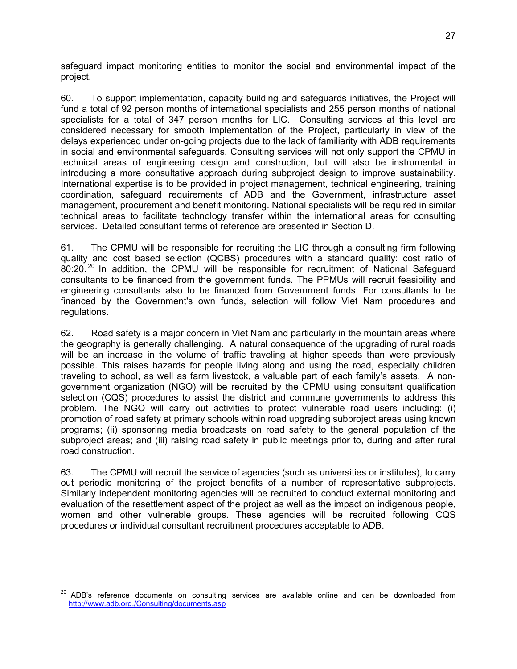safeguard impact monitoring entities to monitor the social and environmental impact of the project.

60. To support implementation, capacity building and safeguards initiatives, the Project will fund a total of 92 person months of international specialists and 255 person months of national specialists for a total of 347 person months for LIC. Consulting services at this level are considered necessary for smooth implementation of the Project, particularly in view of the delays experienced under on-going projects due to the lack of familiarity with ADB requirements in social and environmental safeguards. Consulting services will not only support the CPMU in technical areas of engineering design and construction, but will also be instrumental in introducing a more consultative approach during subproject design to improve sustainability. International expertise is to be provided in project management, technical engineering, training coordination, safeguard requirements of ADB and the Government, infrastructure asset management, procurement and benefit monitoring. National specialists will be required in similar technical areas to facilitate technology transfer within the international areas for consulting services. Detailed consultant terms of reference are presented in Section D.

61. The CPMU will be responsible for recruiting the LIC through a consulting firm following quality and cost based selection (QCBS) procedures with a standard quality: cost ratio of 80:20.<sup>20</sup> In addition, the CPMU will be responsible for recruitment of National Safeguard consultants to be financed from the government funds. The PPMUs will recruit feasibility and engineering consultants also to be financed from Government funds. For consultants to be financed by the Government's own funds, selection will follow Viet Nam procedures and regulations.

62. Road safety is a major concern in Viet Nam and particularly in the mountain areas where the geography is generally challenging. A natural consequence of the upgrading of rural roads will be an increase in the volume of traffic traveling at higher speeds than were previously possible. This raises hazards for people living along and using the road, especially children traveling to school, as well as farm livestock, a valuable part of each family's assets. A nongovernment organization (NGO) will be recruited by the CPMU using consultant qualification selection (CQS) procedures to assist the district and commune governments to address this problem. The NGO will carry out activities to protect vulnerable road users including: (i) promotion of road safety at primary schools within road upgrading subproject areas using known programs; (ii) sponsoring media broadcasts on road safety to the general population of the subproject areas; and (iii) raising road safety in public meetings prior to, during and after rural road construction.

63. The CPMU will recruit the service of agencies (such as universities or institutes), to carry out periodic monitoring of the project benefits of a number of representative subprojects. Similarly independent monitoring agencies will be recruited to conduct external monitoring and evaluation of the resettlement aspect of the project as well as the impact on indigenous people, women and other vulnerable groups. These agencies will be recruited following CQS procedures or individual consultant recruitment procedures acceptable to ADB.

<sup>20</sup> 20 ADB's reference documents on consulting services are available online and can be downloaded from http://www.adb.org./Consulting/documents.asp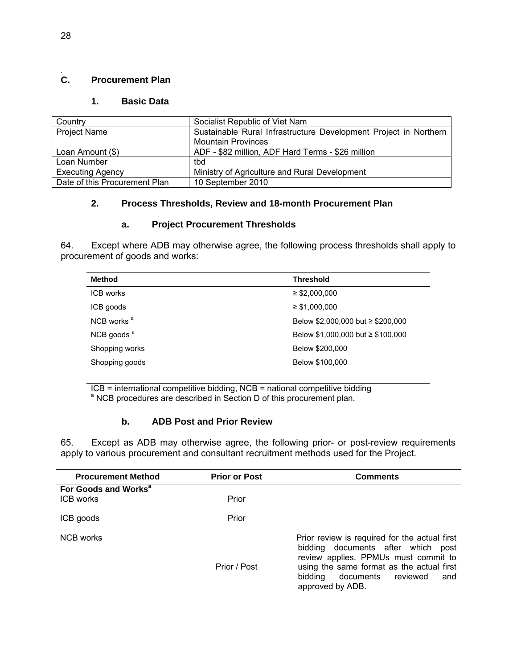#### C. **C. Procurement Plan**

#### **1. Basic Data**

| Country                       | Socialist Republic of Viet Nam                                   |
|-------------------------------|------------------------------------------------------------------|
| <b>Project Name</b>           | Sustainable Rural Infrastructure Development Project in Northern |
|                               | <b>Mountain Provinces</b>                                        |
| Loan Amount (\$)              | ADF - \$82 million, ADF Hard Terms - \$26 million                |
| Loan Number                   | tbd                                                              |
| <b>Executing Agency</b>       | Ministry of Agriculture and Rural Development                    |
| Date of this Procurement Plan | 10 September 2010                                                |

#### **2. Process Thresholds, Review and 18-month Procurement Plan**

#### **a. Project Procurement Thresholds**

64. Except where ADB may otherwise agree, the following process thresholds shall apply to procurement of goods and works:

| Method                 | <b>Threshold</b>                       |
|------------------------|----------------------------------------|
| ICB works              | $\geq$ \$2,000,000                     |
| ICB goods              | $\geq$ \$1,000,000                     |
| NCB works <sup>a</sup> | Below \$2,000,000 but $\ge$ \$200,000  |
| NCB goods <sup>a</sup> | Below \$1,000,000 but $\geq$ \$100,000 |
| Shopping works         | Below \$200,000                        |
| Shopping goods         | Below \$100,000                        |
|                        |                                        |

 $ICB =$  international competitive bidding,  $NCB =$  national competitive bidding <sup>a</sup> NCB procedures are described in Section D of this procurement plan.

#### **b. ADB Post and Prior Review**

65. Except as ADB may otherwise agree, the following prior- or post-review requirements apply to various procurement and consultant recruitment methods used for the Project.

| <b>Procurement Method</b>                     | <b>Prior or Post</b> | <b>Comments</b>                                                                                                                                                                                                                   |
|-----------------------------------------------|----------------------|-----------------------------------------------------------------------------------------------------------------------------------------------------------------------------------------------------------------------------------|
| For Goods and Works <sup>a</sup><br>ICB works | Prior                |                                                                                                                                                                                                                                   |
| ICB goods                                     | Prior                |                                                                                                                                                                                                                                   |
| NCB works                                     | Prior / Post         | Prior review is required for the actual first<br>bidding documents after which post<br>review applies. PPMUs must commit to<br>using the same format as the actual first<br>bidding documents reviewed<br>and<br>approved by ADB. |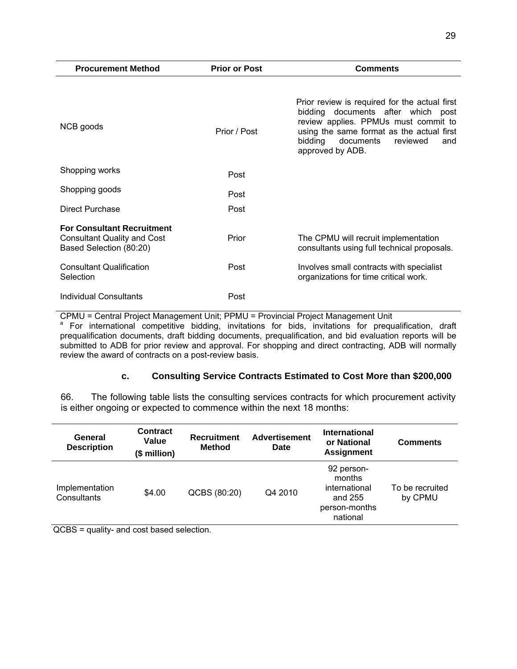| <b>Procurement Method</b>                                                                          | <b>Prior or Post</b> | <b>Comments</b>                                                                                                                                                                                                                         |
|----------------------------------------------------------------------------------------------------|----------------------|-----------------------------------------------------------------------------------------------------------------------------------------------------------------------------------------------------------------------------------------|
| NCB goods                                                                                          | Prior / Post         | Prior review is required for the actual first<br>bidding documents after which post<br>review applies. PPMUs must commit to<br>using the same format as the actual first<br>bidding<br>documents<br>reviewed<br>and<br>approved by ADB. |
| Shopping works                                                                                     | Post                 |                                                                                                                                                                                                                                         |
| Shopping goods                                                                                     | Post                 |                                                                                                                                                                                                                                         |
| Direct Purchase                                                                                    | Post                 |                                                                                                                                                                                                                                         |
| <b>For Consultant Recruitment</b><br><b>Consultant Quality and Cost</b><br>Based Selection (80:20) | Prior                | The CPMU will recruit implementation<br>consultants using full technical proposals.                                                                                                                                                     |
| <b>Consultant Qualification</b><br>Selection                                                       | Post                 | Involves small contracts with specialist<br>organizations for time critical work.                                                                                                                                                       |
| Individual Consultants                                                                             | Post                 |                                                                                                                                                                                                                                         |

CPMU = Central Project Management Unit; PPMU = Provincial Project Management Unit

<sup>a</sup> For international competitive bidding, invitations for bids, invitations for prequalification, draft prequalification documents, draft bidding documents, prequalification, and bid evaluation reports will be submitted to ADB for prior review and approval. For shopping and direct contracting, ADB will normally review the award of contracts on a post-review basis.

#### **c. Consulting Service Contracts Estimated to Cost More than \$200,000**

66. The following table lists the consulting services contracts for which procurement activity is either ongoing or expected to commence within the next 18 months:

| General<br><b>Description</b> | <b>Contract</b><br>Value<br>(\$ million) | Recruitment<br><b>Method</b> | <b>Advertisement</b><br><b>Date</b> | International<br>or National<br><b>Assignment</b>                             | <b>Comments</b>            |
|-------------------------------|------------------------------------------|------------------------------|-------------------------------------|-------------------------------------------------------------------------------|----------------------------|
| Implementation<br>Consultants | \$4.00                                   | QCBS (80:20)                 | Q4 2010                             | 92 person-<br>months<br>international<br>and 255<br>person-months<br>national | To be recruited<br>by CPMU |

QCBS = quality- and cost based selection.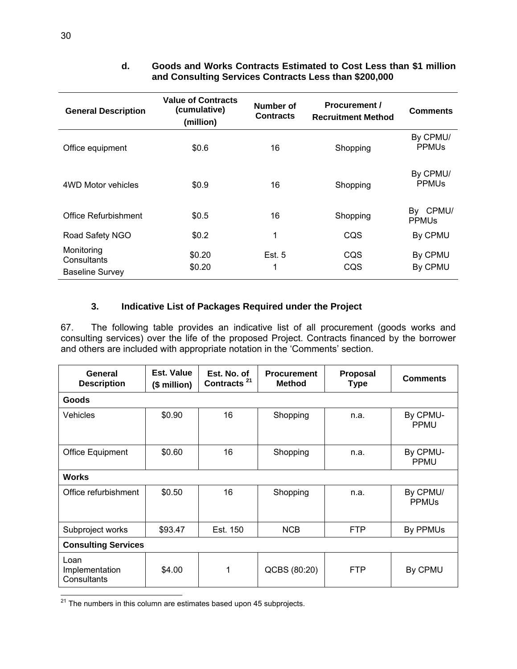| <b>General Description</b>                          | <b>Value of Contracts</b><br>(cumulative)<br>(million) | Number of<br><b>Contracts</b> | <b>Procurement /</b><br><b>Recruitment Method</b> | <b>Comments</b>                     |
|-----------------------------------------------------|--------------------------------------------------------|-------------------------------|---------------------------------------------------|-------------------------------------|
| Office equipment                                    | \$0.6                                                  | 16                            | Shopping                                          | By CPMU/<br><b>PPMU<sub>s</sub></b> |
| 4WD Motor vehicles                                  | \$0.9                                                  | 16                            | Shopping                                          | By CPMU/<br><b>PPMU<sub>s</sub></b> |
| Office Refurbishment                                | \$0.5                                                  | 16                            | Shopping                                          | By CPMU/<br><b>PPMU<sub>s</sub></b> |
| Road Safety NGO                                     | \$0.2\$                                                | 1                             | CQS                                               | By CPMU                             |
| Monitoring<br>Consultants<br><b>Baseline Survey</b> | \$0.20<br>\$0.20                                       | Est. 5<br>1                   | CQS<br>CQS                                        | By CPMU<br>By CPMU                  |

#### **d. Goods and Works Contracts Estimated to Cost Less than \$1 million and Consulting Services Contracts Less than \$200,000**

## **3. Indicative List of Packages Required under the Project**

67. The following table provides an indicative list of all procurement (goods works and consulting services) over the life of the proposed Project. Contracts financed by the borrower and others are included with appropriate notation in the 'Comments' section.

| General<br><b>Description</b>         | Est. Value<br>(\$ million) | Est. No. of<br>Contracts <sup>21</sup> | <b>Procurement</b><br><b>Method</b> | <b>Proposal</b><br><b>Type</b> | <b>Comments</b>                     |  |  |
|---------------------------------------|----------------------------|----------------------------------------|-------------------------------------|--------------------------------|-------------------------------------|--|--|
| <b>Goods</b>                          |                            |                                        |                                     |                                |                                     |  |  |
| <b>Vehicles</b>                       | \$0.90                     | 16                                     | Shopping                            | n.a.                           | By CPMU-<br><b>PPMU</b>             |  |  |
| <b>Office Equipment</b>               | \$0.60                     | 16                                     | Shopping                            | n.a.                           | By CPMU-<br><b>PPMU</b>             |  |  |
| <b>Works</b>                          |                            |                                        |                                     |                                |                                     |  |  |
| Office refurbishment                  | \$0.50                     | 16                                     | Shopping                            | n.a.                           | By CPMU/<br><b>PPMU<sub>s</sub></b> |  |  |
| Subproject works                      | \$93.47                    | Est. 150                               | <b>NCB</b>                          | <b>FTP</b>                     | By PPMUs                            |  |  |
| <b>Consulting Services</b>            |                            |                                        |                                     |                                |                                     |  |  |
| Loan<br>Implementation<br>Consultants | \$4.00                     | 1                                      | QCBS (80:20)                        | <b>FTP</b>                     | By CPMU                             |  |  |

  $21$  The numbers in this column are estimates based upon 45 subprojects.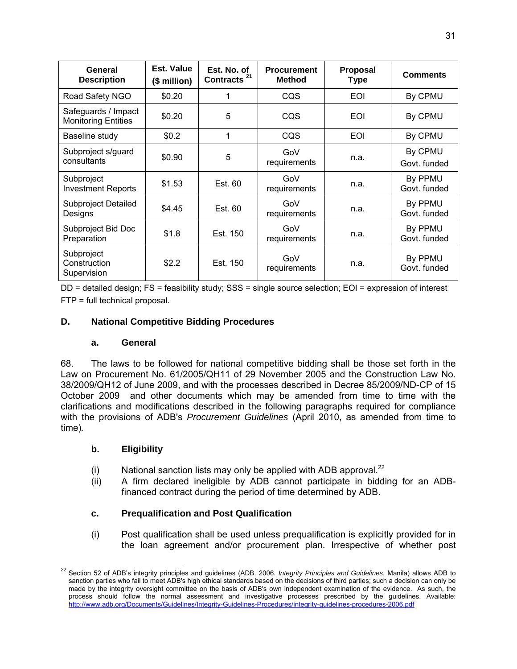| General<br><b>Description</b>                     | Est. Value<br>$($$ million $)$ | Est. No. of<br>Contracts <sup>21</sup> | <b>Procurement</b><br><b>Method</b> | <b>Proposal</b><br><b>Type</b> | <b>Comments</b>         |
|---------------------------------------------------|--------------------------------|----------------------------------------|-------------------------------------|--------------------------------|-------------------------|
| Road Safety NGO                                   | \$0.20                         |                                        | CQS                                 | EOI                            | By CPMU                 |
| Safeguards / Impact<br><b>Monitoring Entities</b> | \$0.20                         | 5                                      | CQS                                 | <b>EOI</b>                     | By CPMU                 |
| Baseline study                                    | \$0.2                          | 1                                      | CQS                                 | EOI                            | By CPMU                 |
| Subproject s/guard<br>consultants                 | \$0.90                         | 5                                      | GoV<br>requirements                 | n.a.                           | By CPMU<br>Govt. funded |
| Subproject<br><b>Investment Reports</b>           | \$1.53                         | Est. 60                                | GoV<br>requirements                 | n.a.                           | By PPMU<br>Govt. funded |
| Subproject Detailed<br>Designs                    | \$4.45                         | Est. 60                                | GoV<br>requirements                 | n.a.                           | By PPMU<br>Govt. funded |
| Subproject Bid Doc<br>Preparation                 | \$1.8                          | Est. 150                               | GoV<br>requirements                 | n.a.                           | By PPMU<br>Govt. funded |
| Subproject<br>Construction<br>Supervision         | \$2.2                          | Est. 150                               | GoV<br>requirements                 | n.a.                           | By PPMU<br>Govt. funded |

DD = detailed design; FS = feasibility study; SSS = single source selection; EOI = expression of interest FTP = full technical proposal.

#### **D. National Competitive Bidding Procedures**

#### **a. General**

68. The laws to be followed for national competitive bidding shall be those set forth in the Law on Procurement No. 61/2005/QH11 of 29 November 2005 and the Construction Law No. 38/2009/QH12 of June 2009, and with the processes described in Decree 85/2009/ND-CP of 15 October 2009 and other documents which may be amended from time to time with the clarifications and modifications described in the following paragraphs required for compliance with the provisions of ADB's *Procurement Guidelines* (April 2010, as amended from time to time)*.* 

#### **b. Eligibility**

 $\overline{a}$ 

- (i) National sanction lists may only be applied with ADB approval. $^{22}$
- (ii) A firm declared ineligible by ADB cannot participate in bidding for an ADBfinanced contract during the period of time determined by ADB.

## **c. Prequalification and Post Qualification**

(i) Post qualification shall be used unless prequalification is explicitly provided for in the loan agreement and/or procurement plan. Irrespective of whether post

<sup>22</sup> Section 52 of ADB's integrity principles and guidelines (ADB. 2006. *Integrity Principles and Guidelines*. Manila) allows ADB to sanction parties who fail to meet ADB's high ethical standards based on the decisions of third parties; such a decision can only be made by the integrity oversight committee on the basis of ADB's own independent examination of the evidence. As such, the process should follow the normal assessment and investigative processes prescribed by the guidelines. Available: http://www.adb.org/Documents/Guidelines/Integrity-Guidelines-Procedures/integrity-guidelines-procedures-2006.pdf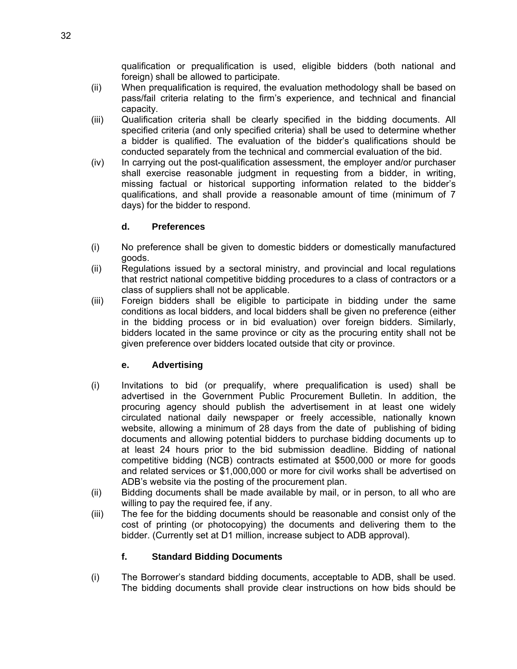qualification or prequalification is used, eligible bidders (both national and foreign) shall be allowed to participate.

- (ii) When prequalification is required, the evaluation methodology shall be based on pass/fail criteria relating to the firm's experience, and technical and financial capacity.
- (iii) Qualification criteria shall be clearly specified in the bidding documents. All specified criteria (and only specified criteria) shall be used to determine whether a bidder is qualified. The evaluation of the bidder's qualifications should be conducted separately from the technical and commercial evaluation of the bid.
- (iv) In carrying out the post-qualification assessment, the employer and/or purchaser shall exercise reasonable judgment in requesting from a bidder, in writing, missing factual or historical supporting information related to the bidder's qualifications, and shall provide a reasonable amount of time (minimum of 7 days) for the bidder to respond.

#### **d. Preferences**

- (i) No preference shall be given to domestic bidders or domestically manufactured goods.
- (ii) Regulations issued by a sectoral ministry, and provincial and local regulations that restrict national competitive bidding procedures to a class of contractors or a class of suppliers shall not be applicable.
- (iii) Foreign bidders shall be eligible to participate in bidding under the same conditions as local bidders, and local bidders shall be given no preference (either in the bidding process or in bid evaluation) over foreign bidders. Similarly, bidders located in the same province or city as the procuring entity shall not be given preference over bidders located outside that city or province.

#### **e. Advertising**

- (i) Invitations to bid (or prequalify, where prequalification is used) shall be advertised in the Government Public Procurement Bulletin. In addition, the procuring agency should publish the advertisement in at least one widely circulated national daily newspaper or freely accessible, nationally known website, allowing a minimum of 28 days from the date of publishing of biding documents and allowing potential bidders to purchase bidding documents up to at least 24 hours prior to the bid submission deadline. Bidding of national competitive bidding (NCB) contracts estimated at \$500,000 or more for goods and related services or \$1,000,000 or more for civil works shall be advertised on ADB's website via the posting of the procurement plan.
- (ii) Bidding documents shall be made available by mail, or in person, to all who are willing to pay the required fee, if any.
- (iii) The fee for the bidding documents should be reasonable and consist only of the cost of printing (or photocopying) the documents and delivering them to the bidder. (Currently set at D1 million, increase subject to ADB approval).

## **f. Standard Bidding Documents**

(i) The Borrower's standard bidding documents, acceptable to ADB, shall be used. The bidding documents shall provide clear instructions on how bids should be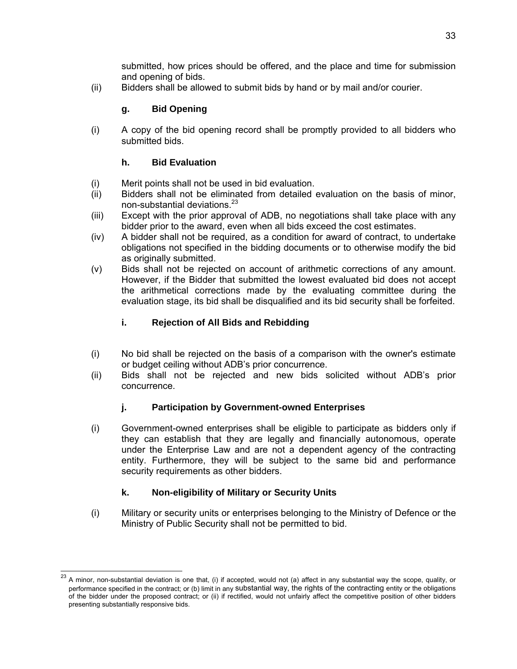submitted, how prices should be offered, and the place and time for submission and opening of bids.

(ii) Bidders shall be allowed to submit bids by hand or by mail and/or courier.

## **g. Bid Opening**

(i) A copy of the bid opening record shall be promptly provided to all bidders who submitted bids.

## **h. Bid Evaluation**

- (i) Merit points shall not be used in bid evaluation.
- (ii) Bidders shall not be eliminated from detailed evaluation on the basis of minor, non-substantial deviations.23
- (iii) Except with the prior approval of ADB, no negotiations shall take place with any bidder prior to the award, even when all bids exceed the cost estimates.
- (iv) A bidder shall not be required, as a condition for award of contract, to undertake obligations not specified in the bidding documents or to otherwise modify the bid as originally submitted.
- (v) Bids shall not be rejected on account of arithmetic corrections of any amount. However, if the Bidder that submitted the lowest evaluated bid does not accept the arithmetical corrections made by the evaluating committee during the evaluation stage, its bid shall be disqualified and its bid security shall be forfeited.

## **i. Rejection of All Bids and Rebidding**

- (i) No bid shall be rejected on the basis of a comparison with the owner's estimate or budget ceiling without ADB's prior concurrence.
- (ii) Bids shall not be rejected and new bids solicited without ADB's prior concurrence.

## **j. Participation by Government-owned Enterprises**

(i) Government-owned enterprises shall be eligible to participate as bidders only if they can establish that they are legally and financially autonomous, operate under the Enterprise Law and are not a dependent agency of the contracting entity. Furthermore, they will be subject to the same bid and performance security requirements as other bidders.

## **k. Non-eligibility of Military or Security Units**

-

(i) Military or security units or enterprises belonging to the Ministry of Defence or the Ministry of Public Security shall not be permitted to bid.

 $^{23}$  A minor, non-substantial deviation is one that, (i) if accepted, would not (a) affect in any substantial way the scope, quality, or performance specified in the contract; or (b) limit in any substantial way, the rights of the contracting entity or the obligations of the bidder under the proposed contract; or (ii) if rectified, would not unfairly affect the competitive position of other bidders presenting substantially responsive bids.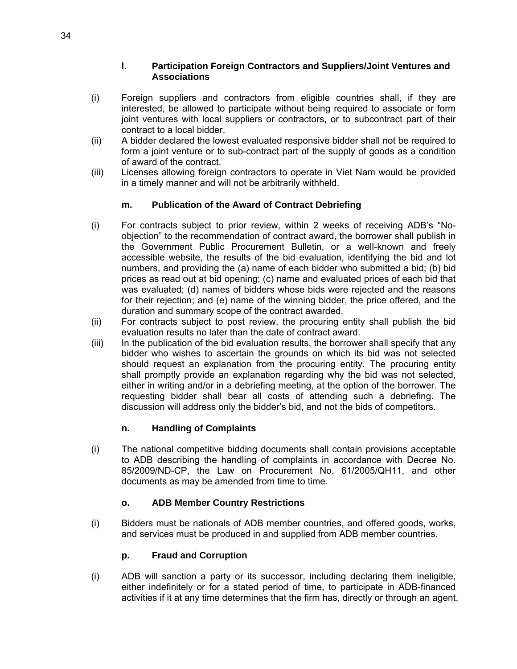#### **l. Participation Foreign Contractors and Suppliers/Joint Ventures and Associations**

- (i) Foreign suppliers and contractors from eligible countries shall, if they are interested, be allowed to participate without being required to associate or form joint ventures with local suppliers or contractors, or to subcontract part of their contract to a local bidder.
- (ii) A bidder declared the lowest evaluated responsive bidder shall not be required to form a joint venture or to sub-contract part of the supply of goods as a condition of award of the contract.
- (iii) Licenses allowing foreign contractors to operate in Viet Nam would be provided in a timely manner and will not be arbitrarily withheld.

#### **m. Publication of the Award of Contract Debriefing**

- (i) For contracts subject to prior review, within 2 weeks of receiving ADB's "Noobjection" to the recommendation of contract award, the borrower shall publish in the Government Public Procurement Bulletin, or a well-known and freely accessible website, the results of the bid evaluation, identifying the bid and lot numbers, and providing the (a) name of each bidder who submitted a bid; (b) bid prices as read out at bid opening; (c) name and evaluated prices of each bid that was evaluated; (d) names of bidders whose bids were rejected and the reasons for their rejection; and (e) name of the winning bidder, the price offered, and the duration and summary scope of the contract awarded.
- (ii) For contracts subject to post review, the procuring entity shall publish the bid evaluation results no later than the date of contract award.
- (iii) In the publication of the bid evaluation results, the borrower shall specify that any bidder who wishes to ascertain the grounds on which its bid was not selected should request an explanation from the procuring entity. The procuring entity shall promptly provide an explanation regarding why the bid was not selected, either in writing and/or in a debriefing meeting, at the option of the borrower. The requesting bidder shall bear all costs of attending such a debriefing. The discussion will address only the bidder's bid, and not the bids of competitors.

#### **n. Handling of Complaints**

(i) The national competitive bidding documents shall contain provisions acceptable to ADB describing the handling of complaints in accordance with Decree No. 85/2009/ND-CP, the Law on Procurement No. 61/2005/QH11, and other documents as may be amended from time to time.

#### **o. ADB Member Country Restrictions**

(i) Bidders must be nationals of ADB member countries, and offered goods, works, and services must be produced in and supplied from ADB member countries.

## **p. Fraud and Corruption**

(i) ADB will sanction a party or its successor, including declaring them ineligible, either indefinitely or for a stated period of time, to participate in ADB-financed activities if it at any time determines that the firm has, directly or through an agent,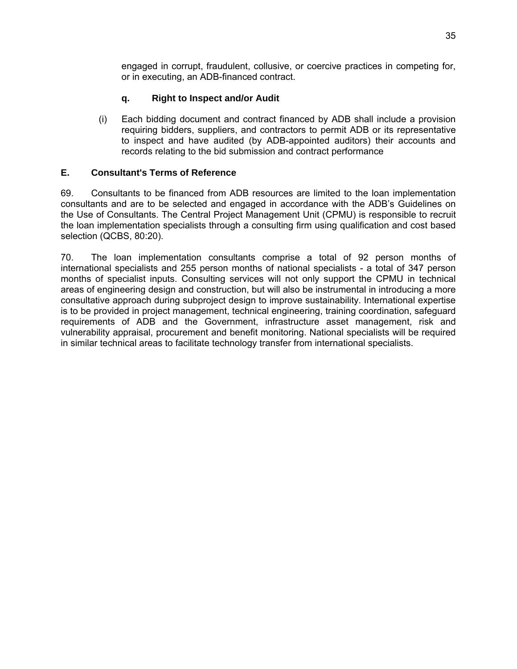engaged in corrupt, fraudulent, collusive, or coercive practices in competing for, or in executing, an ADB-financed contract.

#### **q. Right to Inspect and/or Audit**

(i) Each bidding document and contract financed by ADB shall include a provision requiring bidders, suppliers, and contractors to permit ADB or its representative to inspect and have audited (by ADB-appointed auditors) their accounts and records relating to the bid submission and contract performance

#### **E. Consultant's Terms of Reference**

69. Consultants to be financed from ADB resources are limited to the loan implementation consultants and are to be selected and engaged in accordance with the ADB's Guidelines on the Use of Consultants. The Central Project Management Unit (CPMU) is responsible to recruit the loan implementation specialists through a consulting firm using qualification and cost based selection (QCBS, 80:20).

70. The loan implementation consultants comprise a total of 92 person months of international specialists and 255 person months of national specialists - a total of 347 person months of specialist inputs. Consulting services will not only support the CPMU in technical areas of engineering design and construction, but will also be instrumental in introducing a more consultative approach during subproject design to improve sustainability. International expertise is to be provided in project management, technical engineering, training coordination, safeguard requirements of ADB and the Government, infrastructure asset management, risk and vulnerability appraisal, procurement and benefit monitoring. National specialists will be required in similar technical areas to facilitate technology transfer from international specialists.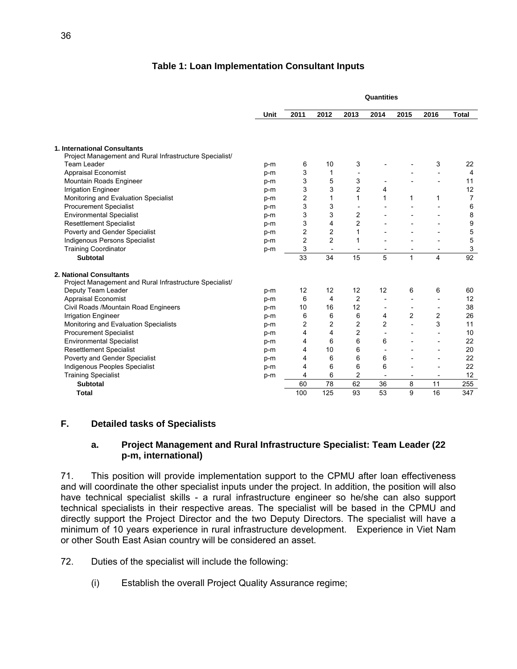#### **Table 1: Loan Implementation Consultant Inputs**

|                                                         |       | Quantities     |                |                          |                          |                          |                          |                 |
|---------------------------------------------------------|-------|----------------|----------------|--------------------------|--------------------------|--------------------------|--------------------------|-----------------|
|                                                         | Unit  | 2011           | 2012           | 2013                     | 2014                     | 2015                     | 2016                     | <b>Total</b>    |
|                                                         |       |                |                |                          |                          |                          |                          |                 |
| 1. International Consultants                            |       |                |                |                          |                          |                          |                          |                 |
| Project Management and Rural Infrastructure Specialist/ |       |                |                |                          |                          |                          |                          |                 |
| <b>Team Leader</b>                                      | p-m   | 6              | 10             | 3                        |                          |                          | 3                        | 22              |
| <b>Appraisal Economist</b>                              | p-m   | 3              | 1              |                          |                          |                          | $\overline{a}$           | $\overline{4}$  |
| Mountain Roads Engineer                                 | p-m   | 3              | 5              | 3                        | $\overline{\phantom{a}}$ |                          | $\overline{\phantom{a}}$ | 11              |
| <b>Irrigation Engineer</b>                              | p-m   | 3              | 3              | 2                        | 4                        |                          |                          | 12              |
| Monitoring and Evaluation Specialist                    | p-m   | $\overline{c}$ | 1              | 1                        | 1                        | 1                        | 1                        | $\overline{7}$  |
| <b>Procurement Specialist</b>                           | p-m   | 3              | 3              | $\overline{\phantom{a}}$ |                          |                          |                          | 6               |
| <b>Environmental Specialist</b>                         | $p-m$ | 3              | 3              | 2                        |                          |                          |                          | 8               |
| <b>Resettlement Specialist</b>                          | p-m   | 3              | 4              | 2                        |                          |                          |                          | 9               |
| Poverty and Gender Specialist                           | p-m   | 2              | 2              | 1                        |                          |                          |                          | 5               |
| Indigenous Persons Specialist                           | p-m   | 2              | 2              | 1                        |                          |                          | $\overline{a}$           | 5               |
| <b>Training Coordinator</b>                             | p-m   | 3              | $\blacksquare$ | $\overline{\phantom{a}}$ | $\overline{\phantom{0}}$ | $\overline{\phantom{a}}$ | $\overline{\phantom{a}}$ | 3               |
| <b>Subtotal</b>                                         |       | 33             | 34             | 15                       | 5                        | $\mathbf{1}$             | $\overline{\mathbf{4}}$  | $\overline{92}$ |
| 2. National Consultants                                 |       |                |                |                          |                          |                          |                          |                 |
| Project Management and Rural Infrastructure Specialist/ |       |                |                |                          |                          |                          |                          |                 |
| Deputy Team Leader                                      | $p-m$ | 12             | 12             | 12                       | 12                       | 6                        | 6                        | 60              |
| <b>Appraisal Economist</b>                              | p-m   | 6              | 4              | 2                        | $\overline{a}$           |                          |                          | 12              |
| Civil Roads /Mountain Road Engineers                    | p-m   | 10             | 16             | 12                       | $\overline{\phantom{a}}$ | $\overline{\phantom{a}}$ | $\overline{\phantom{a}}$ | 38              |
| <b>Irrigation Engineer</b>                              | p-m   | 6              | 6              | 6                        | 4                        | 2                        | 2                        | 26              |
| Monitoring and Evaluation Specialists                   | p-m   | 2              | $\overline{c}$ | 2                        | $\overline{c}$           |                          | 3                        | 11              |
| <b>Procurement Specialist</b>                           | p-m   | 4              | 4              | 2                        | $\overline{\phantom{a}}$ |                          | $\overline{a}$           | 10              |
| <b>Environmental Specialist</b>                         | p-m   | 4              | 6              | 6                        | 6                        |                          | $\overline{\phantom{0}}$ | 22              |
| <b>Resettlement Specialist</b>                          | p-m   | 4              | 10             | 6                        | $\overline{a}$           |                          | $\overline{\phantom{0}}$ | 20              |
| Poverty and Gender Specialist                           | p-m   | 4              | 6              | 6                        | 6                        |                          |                          | 22              |
|                                                         |       |                |                |                          |                          |                          |                          |                 |
| Indigenous Peoples Specialist                           | p-m   | 4              | 6              | 6                        | 6                        |                          |                          | 22              |
| <b>Training Specialist</b>                              | p-m   | 4              | 6              | $\overline{c}$           | $\blacksquare$           | $\overline{\phantom{a}}$ | $\overline{\phantom{a}}$ | 12              |
| <b>Subtotal</b>                                         |       | 60             | 78             | 62                       | 36                       | 8                        | 11                       | 255             |

## **F. Detailed tasks of Specialists**

#### **a. Project Management and Rural Infrastructure Specialist: Team Leader (22 p-m, international)**

71. This position will provide implementation support to the CPMU after loan effectiveness and will coordinate the other specialist inputs under the project. In addition, the position will also have technical specialist skills - a rural infrastructure engineer so he/she can also support technical specialists in their respective areas. The specialist will be based in the CPMU and directly support the Project Director and the two Deputy Directors. The specialist will have a minimum of 10 years experience in rural infrastructure development. Experience in Viet Nam or other South East Asian country will be considered an asset.

- 72. Duties of the specialist will include the following:
	- (i) Establish the overall Project Quality Assurance regime;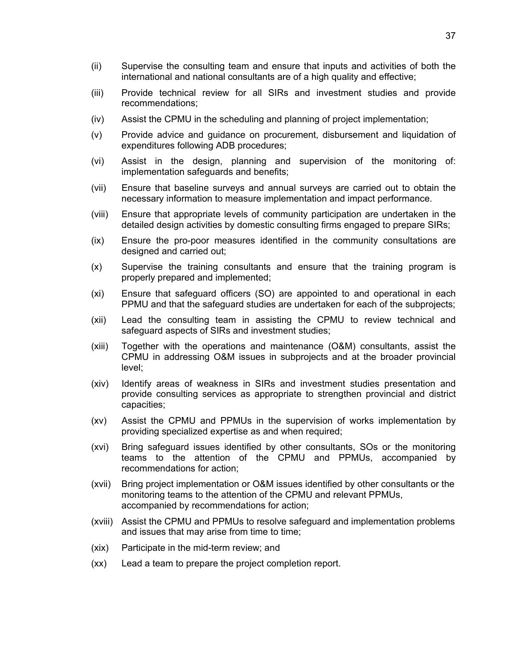- (ii) Supervise the consulting team and ensure that inputs and activities of both the international and national consultants are of a high quality and effective;
- (iii) Provide technical review for all SIRs and investment studies and provide recommendations;
- (iv) Assist the CPMU in the scheduling and planning of project implementation;
- (v) Provide advice and guidance on procurement, disbursement and liquidation of expenditures following ADB procedures;
- (vi) Assist in the design, planning and supervision of the monitoring of: implementation safeguards and benefits;
- (vii) Ensure that baseline surveys and annual surveys are carried out to obtain the necessary information to measure implementation and impact performance.
- (viii) Ensure that appropriate levels of community participation are undertaken in the detailed design activities by domestic consulting firms engaged to prepare SIRs;
- (ix) Ensure the pro-poor measures identified in the community consultations are designed and carried out;
- (x) Supervise the training consultants and ensure that the training program is properly prepared and implemented;
- (xi) Ensure that safeguard officers (SO) are appointed to and operational in each PPMU and that the safeguard studies are undertaken for each of the subprojects;
- (xii) Lead the consulting team in assisting the CPMU to review technical and safeguard aspects of SIRs and investment studies;
- (xiii) Together with the operations and maintenance (O&M) consultants, assist the CPMU in addressing O&M issues in subprojects and at the broader provincial level;
- (xiv) Identify areas of weakness in SIRs and investment studies presentation and provide consulting services as appropriate to strengthen provincial and district capacities;
- (xv) Assist the CPMU and PPMUs in the supervision of works implementation by providing specialized expertise as and when required;
- (xvi) Bring safeguard issues identified by other consultants, SOs or the monitoring teams to the attention of the CPMU and PPMUs, accompanied by recommendations for action;
- (xvii) Bring project implementation or O&M issues identified by other consultants or the monitoring teams to the attention of the CPMU and relevant PPMUs, accompanied by recommendations for action;
- (xviii) Assist the CPMU and PPMUs to resolve safeguard and implementation problems and issues that may arise from time to time;
- (xix) Participate in the mid-term review; and
- (xx) Lead a team to prepare the project completion report.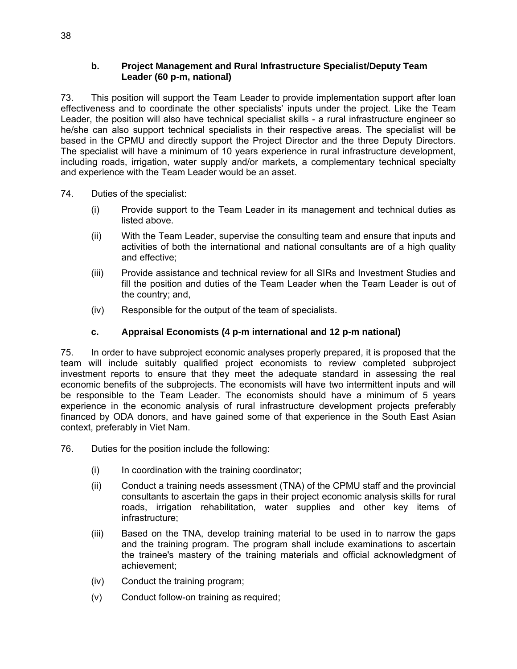#### **b. Project Management and Rural Infrastructure Specialist/Deputy Team Leader (60 p-m, national)**

73. This position will support the Team Leader to provide implementation support after loan effectiveness and to coordinate the other specialists' inputs under the project. Like the Team Leader, the position will also have technical specialist skills - a rural infrastructure engineer so he/she can also support technical specialists in their respective areas. The specialist will be based in the CPMU and directly support the Project Director and the three Deputy Directors. The specialist will have a minimum of 10 years experience in rural infrastructure development, including roads, irrigation, water supply and/or markets, a complementary technical specialty and experience with the Team Leader would be an asset.

- 74. Duties of the specialist:
	- (i) Provide support to the Team Leader in its management and technical duties as listed above.
	- (ii) With the Team Leader, supervise the consulting team and ensure that inputs and activities of both the international and national consultants are of a high quality and effective;
	- (iii) Provide assistance and technical review for all SIRs and Investment Studies and fill the position and duties of the Team Leader when the Team Leader is out of the country; and,
	- (iv) Responsible for the output of the team of specialists.

#### **c. Appraisal Economists (4 p-m international and 12 p-m national)**

75. In order to have subproject economic analyses properly prepared, it is proposed that the team will include suitably qualified project economists to review completed subproject investment reports to ensure that they meet the adequate standard in assessing the real economic benefits of the subprojects. The economists will have two intermittent inputs and will be responsible to the Team Leader. The economists should have a minimum of 5 years experience in the economic analysis of rural infrastructure development projects preferably financed by ODA donors, and have gained some of that experience in the South East Asian context, preferably in Viet Nam.

- 76. Duties for the position include the following:
	- (i) In coordination with the training coordinator;
	- (ii) Conduct a training needs assessment (TNA) of the CPMU staff and the provincial consultants to ascertain the gaps in their project economic analysis skills for rural roads, irrigation rehabilitation, water supplies and other key items of infrastructure;
	- (iii) Based on the TNA, develop training material to be used in to narrow the gaps and the training program. The program shall include examinations to ascertain the trainee's mastery of the training materials and official acknowledgment of achievement;
	- (iv) Conduct the training program;
	- (v) Conduct follow-on training as required;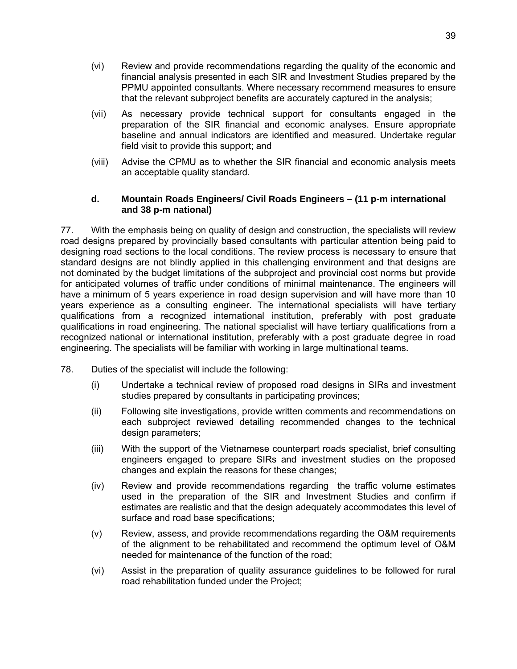- (vi) Review and provide recommendations regarding the quality of the economic and financial analysis presented in each SIR and Investment Studies prepared by the PPMU appointed consultants. Where necessary recommend measures to ensure that the relevant subproject benefits are accurately captured in the analysis;
- (vii) As necessary provide technical support for consultants engaged in the preparation of the SIR financial and economic analyses. Ensure appropriate baseline and annual indicators are identified and measured. Undertake regular field visit to provide this support; and
- (viii) Advise the CPMU as to whether the SIR financial and economic analysis meets an acceptable quality standard.

#### **d. Mountain Roads Engineers/ Civil Roads Engineers – (11 p-m international and 38 p-m national)**

77. With the emphasis being on quality of design and construction, the specialists will review road designs prepared by provincially based consultants with particular attention being paid to designing road sections to the local conditions. The review process is necessary to ensure that standard designs are not blindly applied in this challenging environment and that designs are not dominated by the budget limitations of the subproject and provincial cost norms but provide for anticipated volumes of traffic under conditions of minimal maintenance. The engineers will have a minimum of 5 years experience in road design supervision and will have more than 10 years experience as a consulting engineer. The international specialists will have tertiary qualifications from a recognized international institution, preferably with post graduate qualifications in road engineering. The national specialist will have tertiary qualifications from a recognized national or international institution, preferably with a post graduate degree in road engineering. The specialists will be familiar with working in large multinational teams.

- 78. Duties of the specialist will include the following:
	- (i) Undertake a technical review of proposed road designs in SIRs and investment studies prepared by consultants in participating provinces;
	- (ii) Following site investigations, provide written comments and recommendations on each subproject reviewed detailing recommended changes to the technical design parameters;
	- (iii) With the support of the Vietnamese counterpart roads specialist, brief consulting engineers engaged to prepare SIRs and investment studies on the proposed changes and explain the reasons for these changes;
	- (iv) Review and provide recommendations regarding the traffic volume estimates used in the preparation of the SIR and Investment Studies and confirm if estimates are realistic and that the design adequately accommodates this level of surface and road base specifications;
	- (v) Review, assess, and provide recommendations regarding the O&M requirements of the alignment to be rehabilitated and recommend the optimum level of O&M needed for maintenance of the function of the road;
	- (vi) Assist in the preparation of quality assurance guidelines to be followed for rural road rehabilitation funded under the Project;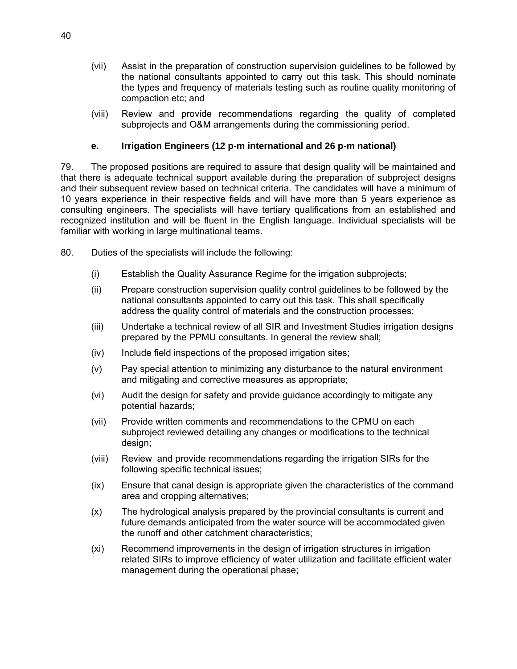- (vii) Assist in the preparation of construction supervision guidelines to be followed by the national consultants appointed to carry out this task. This should nominate the types and frequency of materials testing such as routine quality monitoring of compaction etc; and
- (viii) Review and provide recommendations regarding the quality of completed subprojects and O&M arrangements during the commissioning period.

### **e. Irrigation Engineers (12 p-m international and 26 p-m national)**

79. The proposed positions are required to assure that design quality will be maintained and that there is adequate technical support available during the preparation of subproject designs and their subsequent review based on technical criteria. The candidates will have a minimum of 10 years experience in their respective fields and will have more than 5 years experience as consulting engineers. The specialists will have tertiary qualifications from an established and recognized institution and will be fluent in the English language. Individual specialists will be familiar with working in large multinational teams.

- 80. Duties of the specialists will include the following:
	- (i) Establish the Quality Assurance Regime for the irrigation subprojects;
	- (ii) Prepare construction supervision quality control guidelines to be followed by the national consultants appointed to carry out this task. This shall specifically address the quality control of materials and the construction processes;
	- (iii) Undertake a technical review of all SIR and Investment Studies irrigation designs prepared by the PPMU consultants. In general the review shall;
	- (iv) Include field inspections of the proposed irrigation sites;
	- (v) Pay special attention to minimizing any disturbance to the natural environment and mitigating and corrective measures as appropriate;
	- (vi) Audit the design for safety and provide guidance accordingly to mitigate any potential hazards;
	- (vii) Provide written comments and recommendations to the CPMU on each subproject reviewed detailing any changes or modifications to the technical design;
	- (viii) Review and provide recommendations regarding the irrigation SIRs for the following specific technical issues;
	- (ix) Ensure that canal design is appropriate given the characteristics of the command area and cropping alternatives;
	- (x) The hydrological analysis prepared by the provincial consultants is current and future demands anticipated from the water source will be accommodated given the runoff and other catchment characteristics;
	- (xi) Recommend improvements in the design of irrigation structures in irrigation related SIRs to improve efficiency of water utilization and facilitate efficient water management during the operational phase;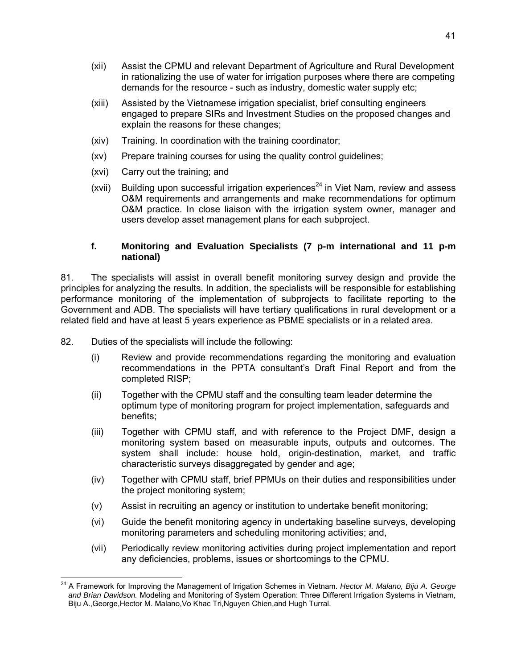- (xii) Assist the CPMU and relevant Department of Agriculture and Rural Development in rationalizing the use of water for irrigation purposes where there are competing demands for the resource - such as industry, domestic water supply etc;
- (xiii) Assisted by the Vietnamese irrigation specialist, brief consulting engineers engaged to prepare SIRs and Investment Studies on the proposed changes and explain the reasons for these changes;
- (xiv) Training. In coordination with the training coordinator;
- (xv) Prepare training courses for using the quality control guidelines;
- (xvi) Carry out the training; and
- (xvii) Building upon successful irrigation experiences<sup>24</sup> in Viet Nam, review and assess O&M requirements and arrangements and make recommendations for optimum O&M practice. In close liaison with the irrigation system owner, manager and users develop asset management plans for each subproject.

#### **f. Monitoring and Evaluation Specialists (7 p-m international and 11 p-m national)**

81. The specialists will assist in overall benefit monitoring survey design and provide the principles for analyzing the results. In addition, the specialists will be responsible for establishing performance monitoring of the implementation of subprojects to facilitate reporting to the Government and ADB. The specialists will have tertiary qualifications in rural development or a related field and have at least 5 years experience as PBME specialists or in a related area.

- 82. Duties of the specialists will include the following:
	- (i) Review and provide recommendations regarding the monitoring and evaluation recommendations in the PPTA consultant's Draft Final Report and from the completed RISP;
	- (ii) Together with the CPMU staff and the consulting team leader determine the optimum type of monitoring program for project implementation, safeguards and benefits;
	- (iii) Together with CPMU staff, and with reference to the Project DMF, design a monitoring system based on measurable inputs, outputs and outcomes. The system shall include: house hold, origin-destination, market, and traffic characteristic surveys disaggregated by gender and age;
	- (iv) Together with CPMU staff, brief PPMUs on their duties and responsibilities under the project monitoring system;
	- (v) Assist in recruiting an agency or institution to undertake benefit monitoring;
	- (vi) Guide the benefit monitoring agency in undertaking baseline surveys, developing monitoring parameters and scheduling monitoring activities; and,
	- (vii) Periodically review monitoring activities during project implementation and report any deficiencies, problems, issues or shortcomings to the CPMU.

<sup>-</sup>24 A Framework for Improving the Management of Irrigation Schemes in Vietnam. *Hector M. Malano, Biju A. George and Brian Davidson.* Modeling and Monitoring of System Operation: Three Different Irrigation Systems in Vietnam, Biju A.,George,Hector M. Malano,Vo Khac Tri,Nguyen Chien,and Hugh Turral.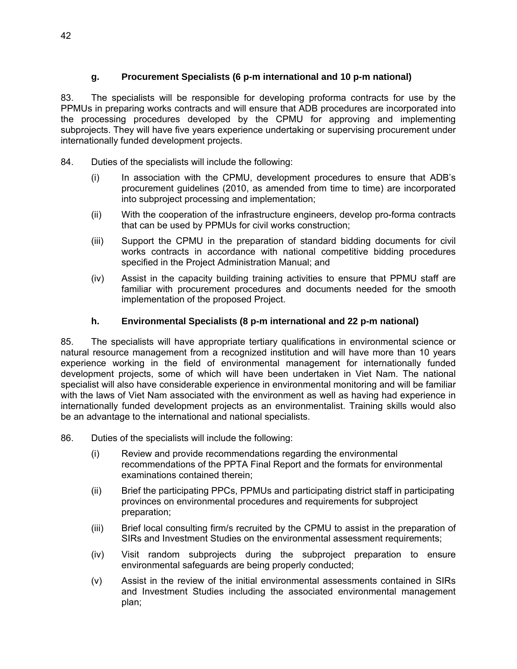## **g. Procurement Specialists (6 p-m international and 10 p-m national)**

83. The specialists will be responsible for developing proforma contracts for use by the PPMUs in preparing works contracts and will ensure that ADB procedures are incorporated into the processing procedures developed by the CPMU for approving and implementing subprojects. They will have five years experience undertaking or supervising procurement under internationally funded development projects.

- 84. Duties of the specialists will include the following:
	- (i) In association with the CPMU, development procedures to ensure that ADB's procurement guidelines (2010, as amended from time to time) are incorporated into subproject processing and implementation;
	- (ii) With the cooperation of the infrastructure engineers, develop pro-forma contracts that can be used by PPMUs for civil works construction;
	- (iii) Support the CPMU in the preparation of standard bidding documents for civil works contracts in accordance with national competitive bidding procedures specified in the Project Administration Manual; and
	- (iv) Assist in the capacity building training activities to ensure that PPMU staff are familiar with procurement procedures and documents needed for the smooth implementation of the proposed Project.

#### **h. Environmental Specialists (8 p-m international and 22 p-m national)**

85. The specialists will have appropriate tertiary qualifications in environmental science or natural resource management from a recognized institution and will have more than 10 years experience working in the field of environmental management for internationally funded development projects, some of which will have been undertaken in Viet Nam. The national specialist will also have considerable experience in environmental monitoring and will be familiar with the laws of Viet Nam associated with the environment as well as having had experience in internationally funded development projects as an environmentalist. Training skills would also be an advantage to the international and national specialists.

86. Duties of the specialists will include the following:

- (i) Review and provide recommendations regarding the environmental recommendations of the PPTA Final Report and the formats for environmental examinations contained therein;
- (ii) Brief the participating PPCs, PPMUs and participating district staff in participating provinces on environmental procedures and requirements for subproject preparation;
- (iii) Brief local consulting firm/s recruited by the CPMU to assist in the preparation of SIRs and Investment Studies on the environmental assessment requirements;
- (iv) Visit random subprojects during the subproject preparation to ensure environmental safeguards are being properly conducted;
- (v) Assist in the review of the initial environmental assessments contained in SIRs and Investment Studies including the associated environmental management plan;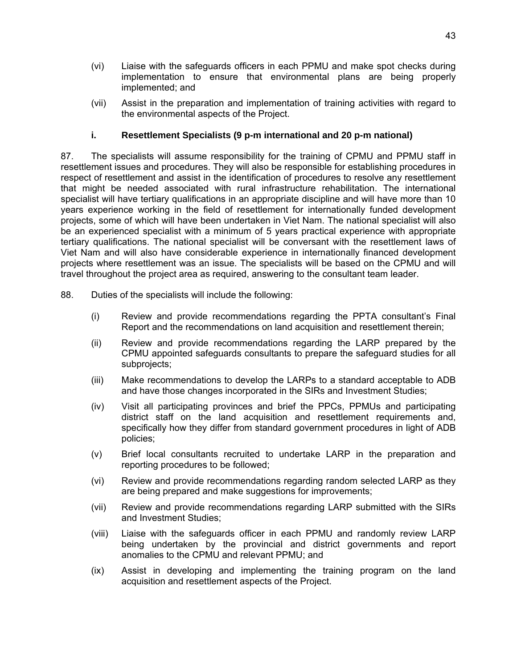- (vi) Liaise with the safeguards officers in each PPMU and make spot checks during implementation to ensure that environmental plans are being properly implemented; and
- (vii) Assist in the preparation and implementation of training activities with regard to the environmental aspects of the Project.

### **i. Resettlement Specialists (9 p-m international and 20 p-m national)**

87. The specialists will assume responsibility for the training of CPMU and PPMU staff in resettlement issues and procedures. They will also be responsible for establishing procedures in respect of resettlement and assist in the identification of procedures to resolve any resettlement that might be needed associated with rural infrastructure rehabilitation. The international specialist will have tertiary qualifications in an appropriate discipline and will have more than 10 years experience working in the field of resettlement for internationally funded development projects, some of which will have been undertaken in Viet Nam. The national specialist will also be an experienced specialist with a minimum of 5 years practical experience with appropriate tertiary qualifications. The national specialist will be conversant with the resettlement laws of Viet Nam and will also have considerable experience in internationally financed development projects where resettlement was an issue. The specialists will be based on the CPMU and will travel throughout the project area as required, answering to the consultant team leader.

- 88. Duties of the specialists will include the following:
	- (i) Review and provide recommendations regarding the PPTA consultant's Final Report and the recommendations on land acquisition and resettlement therein;
	- (ii) Review and provide recommendations regarding the LARP prepared by the CPMU appointed safeguards consultants to prepare the safeguard studies for all subprojects;
	- (iii) Make recommendations to develop the LARPs to a standard acceptable to ADB and have those changes incorporated in the SIRs and Investment Studies;
	- (iv) Visit all participating provinces and brief the PPCs, PPMUs and participating district staff on the land acquisition and resettlement requirements and, specifically how they differ from standard government procedures in light of ADB policies;
	- (v) Brief local consultants recruited to undertake LARP in the preparation and reporting procedures to be followed;
	- (vi) Review and provide recommendations regarding random selected LARP as they are being prepared and make suggestions for improvements;
	- (vii) Review and provide recommendations regarding LARP submitted with the SIRs and Investment Studies;
	- (viii) Liaise with the safeguards officer in each PPMU and randomly review LARP being undertaken by the provincial and district governments and report anomalies to the CPMU and relevant PPMU; and
	- (ix) Assist in developing and implementing the training program on the land acquisition and resettlement aspects of the Project.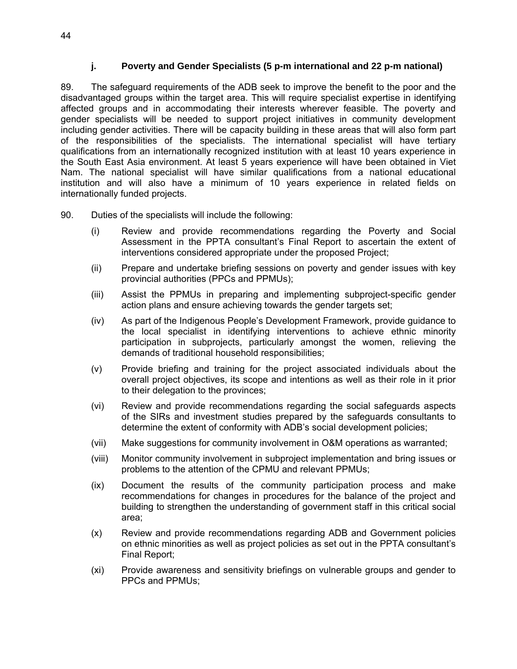#### **j. Poverty and Gender Specialists (5 p-m international and 22 p-m national)**

89. The safeguard requirements of the ADB seek to improve the benefit to the poor and the disadvantaged groups within the target area. This will require specialist expertise in identifying affected groups and in accommodating their interests wherever feasible. The poverty and gender specialists will be needed to support project initiatives in community development including gender activities. There will be capacity building in these areas that will also form part of the responsibilities of the specialists. The international specialist will have tertiary qualifications from an internationally recognized institution with at least 10 years experience in the South East Asia environment. At least 5 years experience will have been obtained in Viet Nam. The national specialist will have similar qualifications from a national educational institution and will also have a minimum of 10 years experience in related fields on internationally funded projects.

90. Duties of the specialists will include the following:

- (i) Review and provide recommendations regarding the Poverty and Social Assessment in the PPTA consultant's Final Report to ascertain the extent of interventions considered appropriate under the proposed Project;
- (ii) Prepare and undertake briefing sessions on poverty and gender issues with key provincial authorities (PPCs and PPMUs);
- (iii) Assist the PPMUs in preparing and implementing subproject-specific gender action plans and ensure achieving towards the gender targets set;
- (iv) As part of the Indigenous People's Development Framework, provide guidance to the local specialist in identifying interventions to achieve ethnic minority participation in subprojects, particularly amongst the women, relieving the demands of traditional household responsibilities;
- (v) Provide briefing and training for the project associated individuals about the overall project objectives, its scope and intentions as well as their role in it prior to their delegation to the provinces;
- (vi) Review and provide recommendations regarding the social safeguards aspects of the SIRs and investment studies prepared by the safeguards consultants to determine the extent of conformity with ADB's social development policies;
- (vii) Make suggestions for community involvement in O&M operations as warranted;
- (viii) Monitor community involvement in subproject implementation and bring issues or problems to the attention of the CPMU and relevant PPMUs;
- (ix) Document the results of the community participation process and make recommendations for changes in procedures for the balance of the project and building to strengthen the understanding of government staff in this critical social area;
- (x) Review and provide recommendations regarding ADB and Government policies on ethnic minorities as well as project policies as set out in the PPTA consultant's Final Report;
- (xi) Provide awareness and sensitivity briefings on vulnerable groups and gender to PPCs and PPMUs;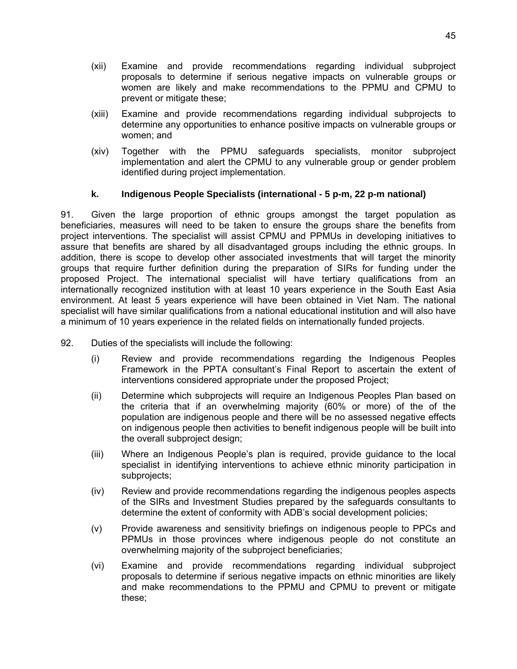- (xii) Examine and provide recommendations regarding individual subproject proposals to determine if serious negative impacts on vulnerable groups or women are likely and make recommendations to the PPMU and CPMU to prevent or mitigate these;
- (xiii) Examine and provide recommendations regarding individual subprojects to determine any opportunities to enhance positive impacts on vulnerable groups or women; and
- (xiv) Together with the PPMU safeguards specialists, monitor subproject implementation and alert the CPMU to any vulnerable group or gender problem identified during project implementation.

#### **k. Indigenous People Specialists (international - 5 p-m, 22 p-m national)**

91. Given the large proportion of ethnic groups amongst the target population as beneficiaries, measures will need to be taken to ensure the groups share the benefits from project interventions. The specialist will assist CPMU and PPMUs in developing initiatives to assure that benefits are shared by all disadvantaged groups including the ethnic groups. In addition, there is scope to develop other associated investments that will target the minority groups that require further definition during the preparation of SIRs for funding under the proposed Project. The international specialist will have tertiary qualifications from an internationally recognized institution with at least 10 years experience in the South East Asia environment. At least 5 years experience will have been obtained in Viet Nam. The national specialist will have similar qualifications from a national educational institution and will also have a minimum of 10 years experience in the related fields on internationally funded projects.

- 92. Duties of the specialists will include the following:
	- (i) Review and provide recommendations regarding the Indigenous Peoples Framework in the PPTA consultant's Final Report to ascertain the extent of interventions considered appropriate under the proposed Project;
	- (ii) Determine which subprojects will require an Indigenous Peoples Plan based on the criteria that if an overwhelming majority (60% or more) of the of the population are indigenous people and there will be no assessed negative effects on indigenous people then activities to benefit indigenous people will be built into the overall subproject design;
	- (iii) Where an Indigenous People's plan is required, provide guidance to the local specialist in identifying interventions to achieve ethnic minority participation in subprojects;
	- (iv) Review and provide recommendations regarding the indigenous peoples aspects of the SIRs and Investment Studies prepared by the safeguards consultants to determine the extent of conformity with ADB's social development policies;
	- (v) Provide awareness and sensitivity briefings on indigenous people to PPCs and PPMUs in those provinces where indigenous people do not constitute an overwhelming majority of the subproject beneficiaries;
	- (vi) Examine and provide recommendations regarding individual subproject proposals to determine if serious negative impacts on ethnic minorities are likely and make recommendations to the PPMU and CPMU to prevent or mitigate these;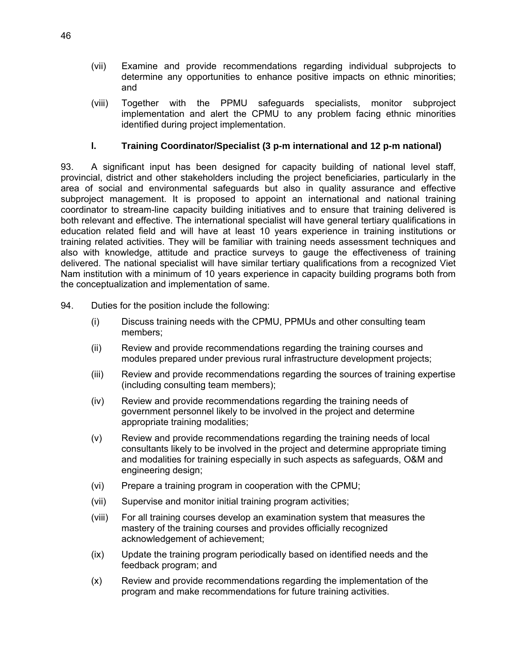- (vii) Examine and provide recommendations regarding individual subprojects to determine any opportunities to enhance positive impacts on ethnic minorities; and
- (viii) Together with the PPMU safeguards specialists, monitor subproject implementation and alert the CPMU to any problem facing ethnic minorities identified during project implementation.

## **l. Training Coordinator/Specialist (3 p-m international and 12 p-m national)**

93. A significant input has been designed for capacity building of national level staff, provincial, district and other stakeholders including the project beneficiaries, particularly in the area of social and environmental safeguards but also in quality assurance and effective subproject management. It is proposed to appoint an international and national training coordinator to stream-line capacity building initiatives and to ensure that training delivered is both relevant and effective. The international specialist will have general tertiary qualifications in education related field and will have at least 10 years experience in training institutions or training related activities. They will be familiar with training needs assessment techniques and also with knowledge, attitude and practice surveys to gauge the effectiveness of training delivered. The national specialist will have similar tertiary qualifications from a recognized Viet Nam institution with a minimum of 10 years experience in capacity building programs both from the conceptualization and implementation of same.

- 94. Duties for the position include the following:
	- (i) Discuss training needs with the CPMU, PPMUs and other consulting team members;
	- (ii) Review and provide recommendations regarding the training courses and modules prepared under previous rural infrastructure development projects;
	- (iii) Review and provide recommendations regarding the sources of training expertise (including consulting team members);
	- (iv) Review and provide recommendations regarding the training needs of government personnel likely to be involved in the project and determine appropriate training modalities;
	- (v) Review and provide recommendations regarding the training needs of local consultants likely to be involved in the project and determine appropriate timing and modalities for training especially in such aspects as safeguards, O&M and engineering design;
	- (vi) Prepare a training program in cooperation with the CPMU;
	- (vii) Supervise and monitor initial training program activities;
	- (viii) For all training courses develop an examination system that measures the mastery of the training courses and provides officially recognized acknowledgement of achievement;
	- (ix) Update the training program periodically based on identified needs and the feedback program; and
	- (x) Review and provide recommendations regarding the implementation of the program and make recommendations for future training activities.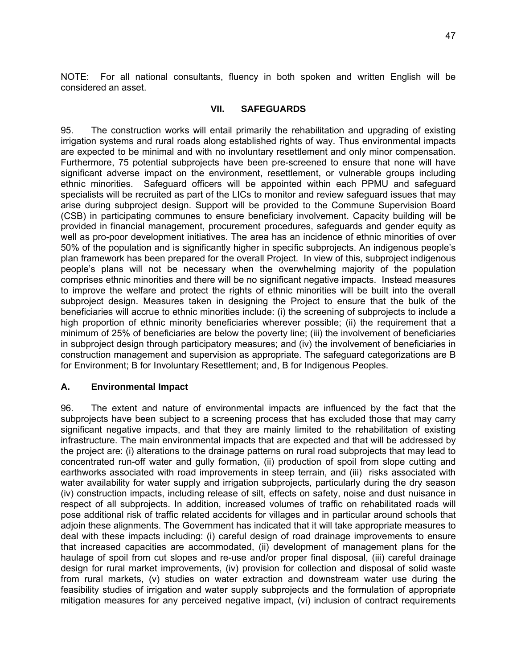NOTE: For all national consultants, fluency in both spoken and written English will be considered an asset.

#### **VII. SAFEGUARDS**

95. The construction works will entail primarily the rehabilitation and upgrading of existing irrigation systems and rural roads along established rights of way. Thus environmental impacts are expected to be minimal and with no involuntary resettlement and only minor compensation. Furthermore, 75 potential subprojects have been pre-screened to ensure that none will have significant adverse impact on the environment, resettlement, or vulnerable groups including ethnic minorities. Safeguard officers will be appointed within each PPMU and safeguard specialists will be recruited as part of the LICs to monitor and review safequard issues that may arise during subproject design. Support will be provided to the Commune Supervision Board (CSB) in participating communes to ensure beneficiary involvement. Capacity building will be provided in financial management, procurement procedures, safeguards and gender equity as well as pro-poor development initiatives. The area has an incidence of ethnic minorities of over 50% of the population and is significantly higher in specific subprojects. An indigenous people's plan framework has been prepared for the overall Project. In view of this, subproject indigenous people's plans will not be necessary when the overwhelming majority of the population comprises ethnic minorities and there will be no significant negative impacts. Instead measures to improve the welfare and protect the rights of ethnic minorities will be built into the overall subproject design. Measures taken in designing the Project to ensure that the bulk of the beneficiaries will accrue to ethnic minorities include: (i) the screening of subprojects to include a high proportion of ethnic minority beneficiaries wherever possible; (ii) the requirement that a minimum of 25% of beneficiaries are below the poverty line; (iii) the involvement of beneficiaries in subproject design through participatory measures; and (iv) the involvement of beneficiaries in construction management and supervision as appropriate. The safeguard categorizations are B for Environment; B for Involuntary Resettlement; and, B for Indigenous Peoples.

#### **A. Environmental Impact**

96. The extent and nature of environmental impacts are influenced by the fact that the subprojects have been subject to a screening process that has excluded those that may carry significant negative impacts, and that they are mainly limited to the rehabilitation of existing infrastructure. The main environmental impacts that are expected and that will be addressed by the project are: (i) alterations to the drainage patterns on rural road subprojects that may lead to concentrated run-off water and gully formation, (ii) production of spoil from slope cutting and earthworks associated with road improvements in steep terrain, and (iii) risks associated with water availability for water supply and irrigation subprojects, particularly during the dry season (iv) construction impacts, including release of silt, effects on safety, noise and dust nuisance in respect of all subprojects. In addition, increased volumes of traffic on rehabilitated roads will pose additional risk of traffic related accidents for villages and in particular around schools that adjoin these alignments. The Government has indicated that it will take appropriate measures to deal with these impacts including: (i) careful design of road drainage improvements to ensure that increased capacities are accommodated, (ii) development of management plans for the haulage of spoil from cut slopes and re-use and/or proper final disposal, (iii) careful drainage design for rural market improvements, (iv) provision for collection and disposal of solid waste from rural markets, (v) studies on water extraction and downstream water use during the feasibility studies of irrigation and water supply subprojects and the formulation of appropriate mitigation measures for any perceived negative impact, (vi) inclusion of contract requirements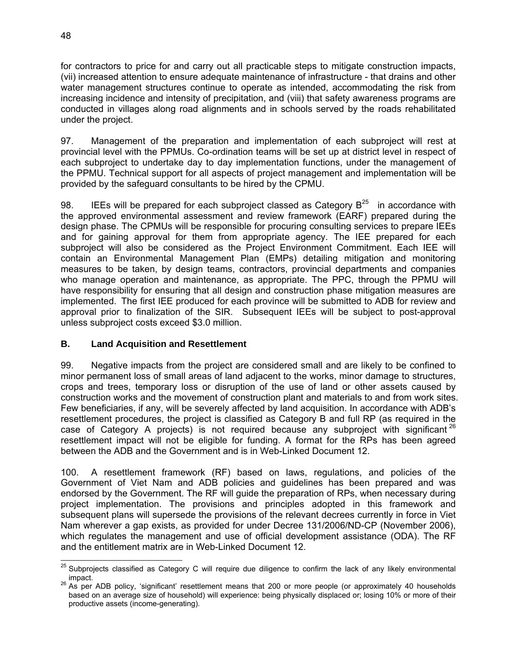for contractors to price for and carry out all practicable steps to mitigate construction impacts, (vii) increased attention to ensure adequate maintenance of infrastructure - that drains and other water management structures continue to operate as intended, accommodating the risk from increasing incidence and intensity of precipitation, and (viii) that safety awareness programs are conducted in villages along road alignments and in schools served by the roads rehabilitated under the project.

97. Management of the preparation and implementation of each subproject will rest at provincial level with the PPMUs. Co-ordination teams will be set up at district level in respect of each subproject to undertake day to day implementation functions, under the management of the PPMU. Technical support for all aspects of project management and implementation will be provided by the safeguard consultants to be hired by the CPMU.

98. IEEs will be prepared for each subproject classed as Category  $B^{25}$  in accordance with the approved environmental assessment and review framework (EARF) prepared during the design phase. The CPMUs will be responsible for procuring consulting services to prepare IEEs and for gaining approval for them from appropriate agency. The IEE prepared for each subproject will also be considered as the Project Environment Commitment. Each IEE will contain an Environmental Management Plan (EMPs) detailing mitigation and monitoring measures to be taken, by design teams, contractors, provincial departments and companies who manage operation and maintenance, as appropriate. The PPC, through the PPMU will have responsibility for ensuring that all design and construction phase mitigation measures are implemented. The first IEE produced for each province will be submitted to ADB for review and approval prior to finalization of the SIR. Subsequent IEEs will be subject to post-approval unless subproject costs exceed \$3.0 million.

## **B. Land Acquisition and Resettlement**

99. Negative impacts from the project are considered small and are likely to be confined to minor permanent loss of small areas of land adjacent to the works, minor damage to structures, crops and trees, temporary loss or disruption of the use of land or other assets caused by construction works and the movement of construction plant and materials to and from work sites. Few beneficiaries, if any, will be severely affected by land acquisition. In accordance with ADB's resettlement procedures, the project is classified as Category B and full RP (as required in the case of Category A projects) is not required because any subproject with significant  $26$ resettlement impact will not be eligible for funding. A format for the RPs has been agreed between the ADB and the Government and is in Web-Linked Document 12.

100. A resettlement framework (RF) based on laws, regulations, and policies of the Government of Viet Nam and ADB policies and guidelines has been prepared and was endorsed by the Government. The RF will guide the preparation of RPs, when necessary during project implementation. The provisions and principles adopted in this framework and subsequent plans will supersede the provisions of the relevant decrees currently in force in Viet Nam wherever a gap exists, as provided for under Decree 131/2006/ND-CP (November 2006), which regulates the management and use of official development assistance (ODA). The RF and the entitlement matrix are in Web-Linked Document 12.

 $\overline{a}$  $^{25}$  Subprojects classified as Category C will require due diligence to confirm the lack of any likely environmental

impact.<br><sup>26</sup> As per ADB policy, 'significant' resettlement means that 200 or more people (or approximately 40 households based on an average size of household) will experience: being physically displaced or; losing 10% or more of their productive assets (income-generating).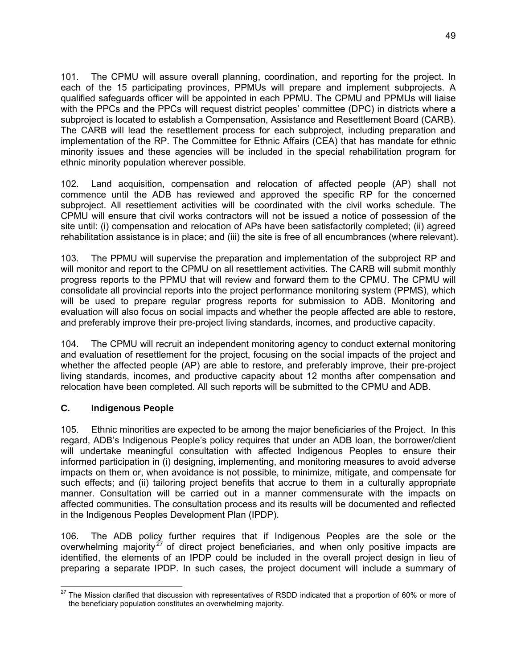101. The CPMU will assure overall planning, coordination, and reporting for the project. In each of the 15 participating provinces, PPMUs will prepare and implement subprojects. A qualified safeguards officer will be appointed in each PPMU. The CPMU and PPMUs will liaise with the PPCs and the PPCs will request district peoples' committee (DPC) in districts where a subproject is located to establish a Compensation, Assistance and Resettlement Board (CARB). The CARB will lead the resettlement process for each subproject, including preparation and implementation of the RP. The Committee for Ethnic Affairs (CEA) that has mandate for ethnic minority issues and these agencies will be included in the special rehabilitation program for ethnic minority population wherever possible.

102. Land acquisition, compensation and relocation of affected people (AP) shall not commence until the ADB has reviewed and approved the specific RP for the concerned subproject. All resettlement activities will be coordinated with the civil works schedule. The CPMU will ensure that civil works contractors will not be issued a notice of possession of the site until: (i) compensation and relocation of APs have been satisfactorily completed; (ii) agreed rehabilitation assistance is in place; and (iii) the site is free of all encumbrances (where relevant).

103. The PPMU will supervise the preparation and implementation of the subproject RP and will monitor and report to the CPMU on all resettlement activities. The CARB will submit monthly progress reports to the PPMU that will review and forward them to the CPMU. The CPMU will consolidate all provincial reports into the project performance monitoring system (PPMS), which will be used to prepare regular progress reports for submission to ADB. Monitoring and evaluation will also focus on social impacts and whether the people affected are able to restore, and preferably improve their pre-project living standards, incomes, and productive capacity.

104. The CPMU will recruit an independent monitoring agency to conduct external monitoring and evaluation of resettlement for the project, focusing on the social impacts of the project and whether the affected people (AP) are able to restore, and preferably improve, their pre-project living standards, incomes, and productive capacity about 12 months after compensation and relocation have been completed. All such reports will be submitted to the CPMU and ADB.

## **C. Indigenous People**

105. Ethnic minorities are expected to be among the major beneficiaries of the Project. In this regard, ADB's Indigenous People's policy requires that under an ADB loan, the borrower/client will undertake meaningful consultation with affected Indigenous Peoples to ensure their informed participation in (i) designing, implementing, and monitoring measures to avoid adverse impacts on them or, when avoidance is not possible, to minimize, mitigate, and compensate for such effects; and (ii) tailoring project benefits that accrue to them in a culturally appropriate manner. Consultation will be carried out in a manner commensurate with the impacts on affected communities. The consultation process and its results will be documented and reflected in the Indigenous Peoples Development Plan (IPDP).

106. The ADB policy further requires that if Indigenous Peoples are the sole or the overwhelming majority<sup>27</sup> of direct project beneficiaries, and when only positive impacts are identified, the elements of an IPDP could be included in the overall project design in lieu of preparing a separate IPDP. In such cases, the project document will include a summary of

  $^{27}$  The Mission clarified that discussion with representatives of RSDD indicated that a proportion of 60% or more of the beneficiary population constitutes an overwhelming majority.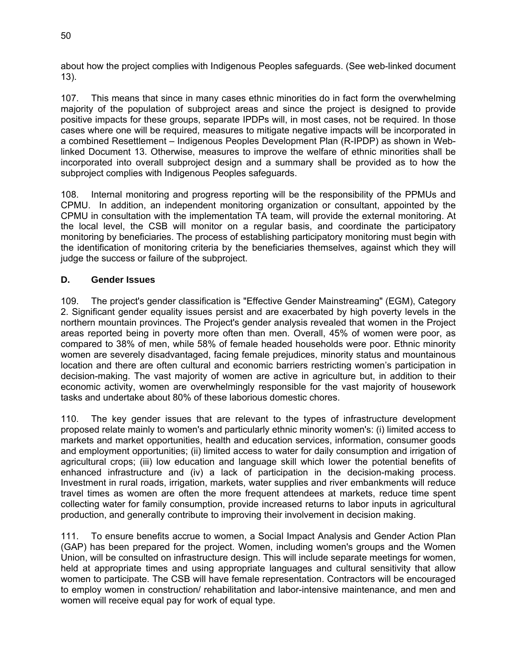about how the project complies with Indigenous Peoples safeguards. (See web-linked document 13).

107. This means that since in many cases ethnic minorities do in fact form the overwhelming majority of the population of subproject areas and since the project is designed to provide positive impacts for these groups, separate IPDPs will, in most cases, not be required. In those cases where one will be required, measures to mitigate negative impacts will be incorporated in a combined Resettlement – Indigenous Peoples Development Plan (R-IPDP) as shown in Weblinked Document 13. Otherwise, measures to improve the welfare of ethnic minorities shall be incorporated into overall subproject design and a summary shall be provided as to how the subproject complies with Indigenous Peoples safeguards.

108. Internal monitoring and progress reporting will be the responsibility of the PPMUs and CPMU. In addition, an independent monitoring organization or consultant, appointed by the CPMU in consultation with the implementation TA team, will provide the external monitoring. At the local level, the CSB will monitor on a regular basis, and coordinate the participatory monitoring by beneficiaries. The process of establishing participatory monitoring must begin with the identification of monitoring criteria by the beneficiaries themselves, against which they will judge the success or failure of the subproject.

#### **D. Gender Issues**

109. The project's gender classification is "Effective Gender Mainstreaming" (EGM), Category 2. Significant gender equality issues persist and are exacerbated by high poverty levels in the northern mountain provinces. The Project's gender analysis revealed that women in the Project areas reported being in poverty more often than men. Overall, 45% of women were poor, as compared to 38% of men, while 58% of female headed households were poor. Ethnic minority women are severely disadvantaged, facing female prejudices, minority status and mountainous location and there are often cultural and economic barriers restricting women's participation in decision-making. The vast majority of women are active in agriculture but, in addition to their economic activity, women are overwhelmingly responsible for the vast majority of housework tasks and undertake about 80% of these laborious domestic chores.

110. The key gender issues that are relevant to the types of infrastructure development proposed relate mainly to women's and particularly ethnic minority women's: (i) limited access to markets and market opportunities, health and education services, information, consumer goods and employment opportunities; (ii) limited access to water for daily consumption and irrigation of agricultural crops; (iii) low education and language skill which lower the potential benefits of enhanced infrastructure and (iv) a lack of participation in the decision-making process. Investment in rural roads, irrigation, markets, water supplies and river embankments will reduce travel times as women are often the more frequent attendees at markets, reduce time spent collecting water for family consumption, provide increased returns to labor inputs in agricultural production, and generally contribute to improving their involvement in decision making.

111. To ensure benefits accrue to women, a Social Impact Analysis and Gender Action Plan (GAP) has been prepared for the project. Women, including women's groups and the Women Union, will be consulted on infrastructure design. This will include separate meetings for women, held at appropriate times and using appropriate languages and cultural sensitivity that allow women to participate. The CSB will have female representation. Contractors will be encouraged to employ women in construction/ rehabilitation and labor-intensive maintenance, and men and women will receive equal pay for work of equal type.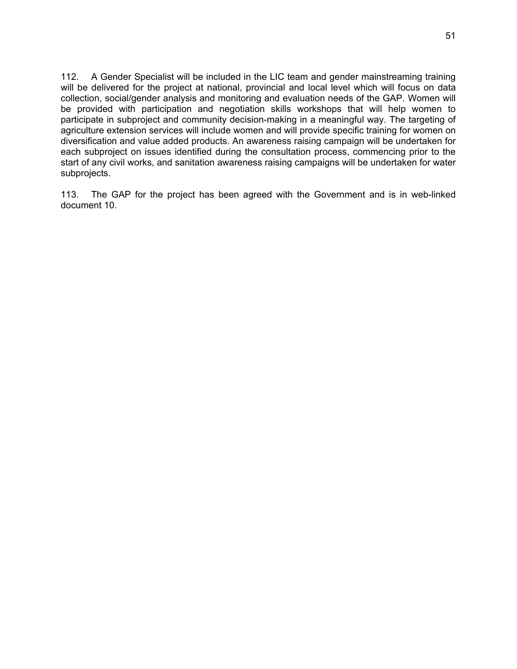112. A Gender Specialist will be included in the LIC team and gender mainstreaming training will be delivered for the project at national, provincial and local level which will focus on data collection, social/gender analysis and monitoring and evaluation needs of the GAP. Women will be provided with participation and negotiation skills workshops that will help women to participate in subproject and community decision-making in a meaningful way. The targeting of agriculture extension services will include women and will provide specific training for women on diversification and value added products. An awareness raising campaign will be undertaken for each subproject on issues identified during the consultation process, commencing prior to the start of any civil works, and sanitation awareness raising campaigns will be undertaken for water subprojects.

113. The GAP for the project has been agreed with the Government and is in web-linked document 10.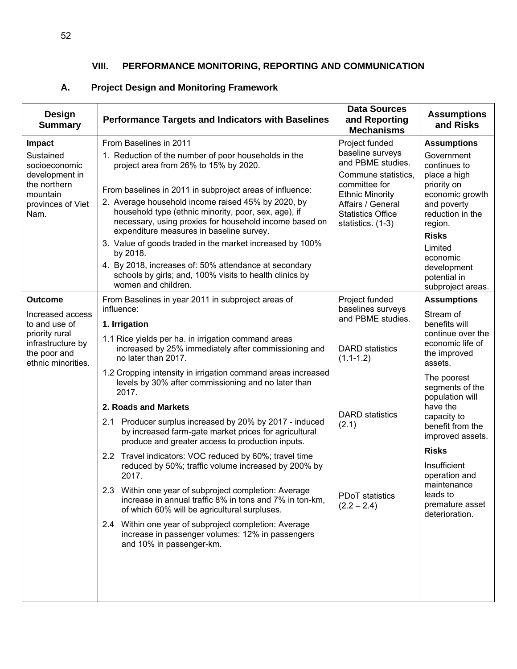## **VIII. PERFORMANCE MONITORING, REPORTING AND COMMUNICATION**

## **A. Project Design and Monitoring Framework**

| <b>Design</b><br><b>Summary</b>                                                                                                  | <b>Performance Targets and Indicators with Baselines</b>                                                                                                                                                                                                                                                                                                                                                                                                                                                                                                                                                                                                                                                                                                                                                                                                                                                                                                                                                              | <b>Data Sources</b><br>and Reporting<br><b>Mechanisms</b>                                                                                                                                       | <b>Assumptions</b><br>and Risks                                                                                                                                                                                                                                                                                                                                                    |
|----------------------------------------------------------------------------------------------------------------------------------|-----------------------------------------------------------------------------------------------------------------------------------------------------------------------------------------------------------------------------------------------------------------------------------------------------------------------------------------------------------------------------------------------------------------------------------------------------------------------------------------------------------------------------------------------------------------------------------------------------------------------------------------------------------------------------------------------------------------------------------------------------------------------------------------------------------------------------------------------------------------------------------------------------------------------------------------------------------------------------------------------------------------------|-------------------------------------------------------------------------------------------------------------------------------------------------------------------------------------------------|------------------------------------------------------------------------------------------------------------------------------------------------------------------------------------------------------------------------------------------------------------------------------------------------------------------------------------------------------------------------------------|
| <b>Impact</b><br>Sustained<br>socioeconomic<br>development in<br>the northern<br>mountain<br>provinces of Viet<br>Nam.           | From Baselines in 2011<br>1. Reduction of the number of poor households in the<br>project area from 26% to 15% by 2020.<br>From baselines in 2011 in subproject areas of influence:<br>2. Average household income raised 45% by 2020, by<br>household type (ethnic minority, poor, sex, age), if<br>necessary, using proxies for household income based on<br>expenditure measures in baseline survey.<br>3. Value of goods traded in the market increased by 100%<br>by 2018.<br>4. By 2018, increases of: 50% attendance at secondary<br>schools by girls; and, 100% visits to health clinics by                                                                                                                                                                                                                                                                                                                                                                                                                   | Project funded<br>baseline surveys<br>and PBME studies.<br>Commune statistics,<br>committee for<br><b>Ethnic Minority</b><br>Affairs / General<br><b>Statistics Office</b><br>statistics. (1-3) | <b>Assumptions</b><br>Government<br>continues to<br>place a high<br>priority on<br>economic growth<br>and poverty<br>reduction in the<br>region.<br><b>Risks</b><br>Limited<br>economic<br>development<br>potential in                                                                                                                                                             |
| <b>Outcome</b><br>Increased access<br>to and use of<br>priority rural<br>infrastructure by<br>the poor and<br>ethnic minorities. | women and children.<br>From Baselines in year 2011 in subproject areas of<br>influence:<br>1. Irrigation<br>1.1 Rice yields per ha. in irrigation command areas<br>increased by 25% immediately after commissioning and<br>no later than 2017.<br>1.2 Cropping intensity in irrigation command areas increased<br>levels by 30% after commissioning and no later than<br>2017.<br>2. Roads and Markets<br>2.1 Producer surplus increased by 20% by 2017 - induced<br>by increased farm-gate market prices for agricultural<br>produce and greater access to production inputs.<br>2.2 Travel indicators: VOC reduced by 60%; travel time<br>reduced by 50%; traffic volume increased by 200% by<br>2017.<br>2.3 Within one year of subproject completion: Average<br>increase in annual traffic 8% in tons and 7% in ton-km.<br>of which 60% will be agricultural surpluses.<br>2.4 Within one year of subproject completion: Average<br>increase in passenger volumes: 12% in passengers<br>and 10% in passenger-km. | Project funded<br>baselines surveys<br>and PBME studies.<br><b>DARD</b> statistics<br>$(1.1 - 1.2)$<br><b>DARD</b> statistics<br>(2.1)<br><b>PDoT</b> statistics<br>$(2.2 - 2.4)$               | subproject areas.<br><b>Assumptions</b><br>Stream of<br>benefits will<br>continue over the<br>economic life of<br>the improved<br>assets.<br>The poorest<br>segments of the<br>population will<br>have the<br>capacity to<br>benefit from the<br>improved assets.<br><b>Risks</b><br>Insufficient<br>operation and<br>maintenance<br>leads to<br>premature asset<br>deterioration. |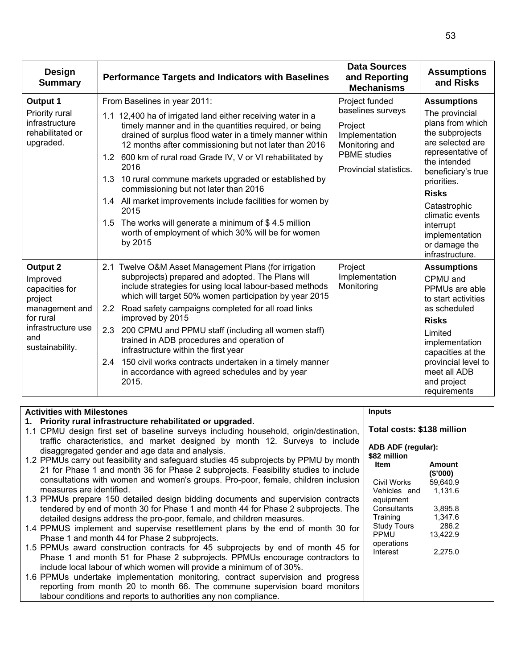| <b>Design</b><br><b>Summary</b>                                                                                                         | <b>Performance Targets and Indicators with Baselines</b>                                                                                                                                                                                                                                                                                                                                                                                                                                                                                                                                                                                                | <b>Data Sources</b><br>and Reporting<br><b>Mechanisms</b>                                                                           | <b>Assumptions</b><br>and Risks                                                                                                                                                                                                                                                                 |
|-----------------------------------------------------------------------------------------------------------------------------------------|---------------------------------------------------------------------------------------------------------------------------------------------------------------------------------------------------------------------------------------------------------------------------------------------------------------------------------------------------------------------------------------------------------------------------------------------------------------------------------------------------------------------------------------------------------------------------------------------------------------------------------------------------------|-------------------------------------------------------------------------------------------------------------------------------------|-------------------------------------------------------------------------------------------------------------------------------------------------------------------------------------------------------------------------------------------------------------------------------------------------|
| Output 1<br>Priority rural<br>infrastructure<br>rehabilitated or<br>upgraded.                                                           | From Baselines in year 2011:<br>1.1 12,400 ha of irrigated land either receiving water in a<br>timely manner and in the quantities required, or being<br>drained of surplus flood water in a timely manner within<br>12 months after commissioning but not later than 2016<br>1.2 600 km of rural road Grade IV, V or VI rehabilitated by<br>2016<br>1.3 10 rural commune markets upgraded or established by<br>commissioning but not later than 2016<br>1.4 All market improvements include facilities for women by<br>2015<br>1.5 The works will generate a minimum of \$4.5 million<br>worth of employment of which 30% will be for women<br>by 2015 | Project funded<br>baselines surveys<br>Project<br>Implementation<br>Monitoring and<br><b>PBME</b> studies<br>Provincial statistics. | <b>Assumptions</b><br>The provincial<br>plans from which<br>the subprojects<br>are selected are<br>representative of<br>the intended<br>beneficiary's true<br>priorities.<br><b>Risks</b><br>Catastrophic<br>climatic events<br>interrupt<br>implementation<br>or damage the<br>infrastructure. |
| <b>Output 2</b><br>Improved<br>capacities for<br>project<br>management and<br>for rural<br>infrastructure use<br>and<br>sustainability. | 2.1 Twelve O&M Asset Management Plans (for irrigation<br>subprojects) prepared and adopted. The Plans will<br>include strategies for using local labour-based methods<br>which will target 50% women participation by year 2015<br>Road safety campaigns completed for all road links<br>2.2 <sub>2</sub><br>improved by 2015<br>2.3<br>200 CPMU and PPMU staff (including all women staff)<br>trained in ADB procedures and operation of<br>infrastructure within the first year<br>150 civil works contracts undertaken in a timely manner<br>2.4<br>in accordance with agreed schedules and by year<br>2015.                                         | Project<br>Implementation<br>Monitoring                                                                                             | <b>Assumptions</b><br>CPMU and<br>PPMUs are able<br>to start activities<br>as scheduled<br><b>Risks</b><br>Limited<br>implementation<br>capacities at the<br>provincial level to<br>meet all ADB<br>and project<br>requirements                                                                 |

| <b>Activities with Milestones</b>                                                                                                                                            | <b>Inputs</b>                      |                     |
|------------------------------------------------------------------------------------------------------------------------------------------------------------------------------|------------------------------------|---------------------|
| 1. Priority rural infrastructure rehabilitated or upgraded.                                                                                                                  |                                    |                     |
| 1.1 CPMU design first set of baseline surveys including household, origin/destination,                                                                                       | Total costs: \$138 million         |                     |
| traffic characteristics, and market designed by month 12. Surveys to include<br>disaggregated gender and age data and analysis.                                              | ADB ADF (regular):<br>\$82 million |                     |
| 1.2 PPMUs carry out feasibility and safeguard studies 45 subprojects by PPMU by month<br>21 for Phase 1 and month 36 for Phase 2 subprojects. Feasibility studies to include | <b>Item</b>                        | Amount<br>(\$'000)  |
| consultations with women and women's groups. Pro-poor, female, children inclusion<br>measures are identified.                                                                | Civil Works<br>Vehicles and        | 59.640.9<br>1,131.6 |
| 1.3 PPMUs prepare 150 detailed design bidding documents and supervision contracts                                                                                            | equipment                          |                     |
| tendered by end of month 30 for Phase 1 and month 44 for Phase 2 subprojects. The                                                                                            | Consultants                        | 3.895.8             |
| detailed designs address the pro-poor, female, and children measures.                                                                                                        | Training<br><b>Study Tours</b>     | 1,347.6<br>286.2    |
| 1.4 PPMUS implement and supervise resettlement plans by the end of month 30 for                                                                                              | <b>PPMU</b>                        | 13,422.9            |
| Phase 1 and month 44 for Phase 2 subprojects.                                                                                                                                | operations                         |                     |
| 1.5 PPMUs award construction contracts for 45 subprojects by end of month 45 for                                                                                             | Interest                           | 2,275.0             |
| Phase 1 and month 51 for Phase 2 subprojects. PPMUs encourage contractors to                                                                                                 |                                    |                     |
| include local labour of which women will provide a minimum of of 30%.                                                                                                        |                                    |                     |
| 1.6 PPMUs undertake implementation monitoring, contract supervision and progress                                                                                             |                                    |                     |
| reporting from month 20 to month 66. The commune supervision board monitors                                                                                                  |                                    |                     |
| labour conditions and reports to authorities any non compliance.                                                                                                             |                                    |                     |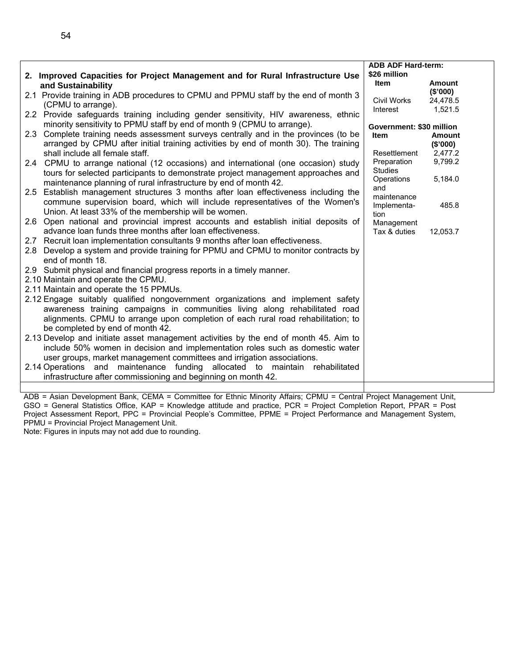|                                                                                         | <b>ADB ADF Hard-term:</b> |          |
|-----------------------------------------------------------------------------------------|---------------------------|----------|
| 2. Improved Capacities for Project Management and for Rural Infrastructure Use          | \$26 million              |          |
|                                                                                         | <b>Item</b>               | Amount   |
| and Sustainability                                                                      |                           | (\$'000) |
| 2.1 Provide training in ADB procedures to CPMU and PPMU staff by the end of month 3     | Civil Works               | 24,478.5 |
| (CPMU to arrange).                                                                      | Interest                  | 1,521.5  |
| 2.2 Provide safeguards training including gender sensitivity, HIV awareness, ethnic     |                           |          |
| minority sensitivity to PPMU staff by end of month 9 (CPMU to arrange).                 | Government: \$30 million  |          |
| Complete training needs assessment surveys centrally and in the provinces (to be<br>2.3 | <b>Item</b>               | Amount   |
| arranged by CPMU after initial training activities by end of month 30). The training    |                           | (\$'000) |
| shall include all female staff.                                                         | Resettlement              | 2,477.2  |
| 2.4 CPMU to arrange national (12 occasions) and international (one occasion) study      | Preparation               | 9,799.2  |
| tours for selected participants to demonstrate project management approaches and        | <b>Studies</b>            |          |
| maintenance planning of rural infrastructure by end of month 42.                        | Operations<br>and         | 5,184.0  |
| 2.5 Establish management structures 3 months after loan effectiveness including the     | maintenance               |          |
| commune supervision board, which will include representatives of the Women's            | Implementa-               | 485.8    |
| Union. At least 33% of the membership will be women.                                    | tion                      |          |
| 2.6 Open national and provincial imprest accounts and establish initial deposits of     | Management                |          |
| advance loan funds three months after loan effectiveness.                               | Tax & duties              | 12,053.7 |
| 2.7 Recruit loan implementation consultants 9 months after loan effectiveness.          |                           |          |
| 2.8 Develop a system and provide training for PPMU and CPMU to monitor contracts by     |                           |          |
| end of month 18.                                                                        |                           |          |
| 2.9 Submit physical and financial progress reports in a timely manner.                  |                           |          |
| 2.10 Maintain and operate the CPMU.                                                     |                           |          |
| 2.11 Maintain and operate the 15 PPMUs.                                                 |                           |          |
| 2.12 Engage suitably qualified nongovernment organizations and implement safety         |                           |          |
| awareness training campaigns in communities living along rehabilitated road             |                           |          |
| alignments. CPMU to arrange upon completion of each rural road rehabilitation; to       |                           |          |
| be completed by end of month 42.                                                        |                           |          |
|                                                                                         |                           |          |
| 2.13 Develop and initiate asset management activities by the end of month 45. Aim to    |                           |          |
| include 50% women in decision and implementation roles such as domestic water           |                           |          |
| user groups, market management committees and irrigation associations.                  |                           |          |
| 2.14 Operations and maintenance funding allocated to maintain rehabilitated             |                           |          |
| infrastructure after commissioning and beginning on month 42.                           |                           |          |
|                                                                                         |                           |          |

ADB = Asian Development Bank, CEMA = Committee for Ethnic Minority Affairs; CPMU = Central Project Management Unit, GSO = General Statistics Office, KAP = Knowledge attitude and practice, PCR = Project Completion Report, PPAR = Post Project Assessment Report, PPC = Provincial People's Committee, PPME = Project Performance and Management System, PPMU = Provincial Project Management Unit.

Note: Figures in inputs may not add due to rounding.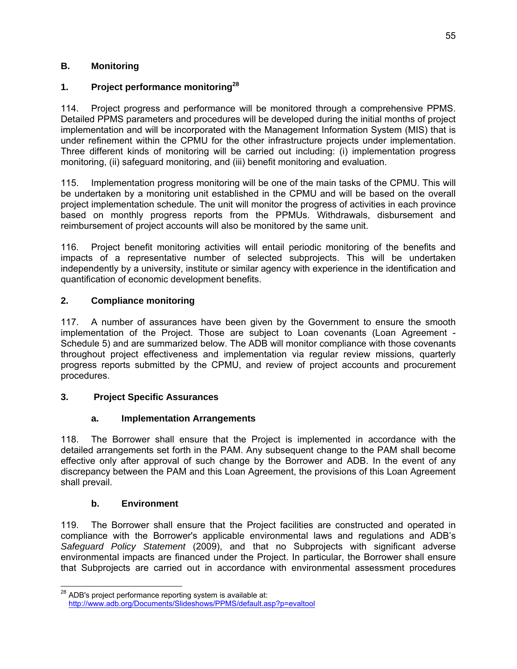## **B. Monitoring**

## **1. Project performance monitoring28**

114. Project progress and performance will be monitored through a comprehensive PPMS. Detailed PPMS parameters and procedures will be developed during the initial months of project implementation and will be incorporated with the Management Information System (MIS) that is under refinement within the CPMU for the other infrastructure projects under implementation. Three different kinds of monitoring will be carried out including: (i) implementation progress monitoring, (ii) safeguard monitoring, and (iii) benefit monitoring and evaluation.

115. Implementation progress monitoring will be one of the main tasks of the CPMU. This will be undertaken by a monitoring unit established in the CPMU and will be based on the overall project implementation schedule. The unit will monitor the progress of activities in each province based on monthly progress reports from the PPMUs. Withdrawals, disbursement and reimbursement of project accounts will also be monitored by the same unit.

116. Project benefit monitoring activities will entail periodic monitoring of the benefits and impacts of a representative number of selected subprojects. This will be undertaken independently by a university, institute or similar agency with experience in the identification and quantification of economic development benefits.

## **2. Compliance monitoring**

117. A number of assurances have been given by the Government to ensure the smooth implementation of the Project. Those are subject to Loan covenants (Loan Agreement - Schedule 5) and are summarized below. The ADB will monitor compliance with those covenants throughout project effectiveness and implementation via regular review missions, quarterly progress reports submitted by the CPMU, and review of project accounts and procurement procedures.

## **3. Project Specific Assurances**

## **a. Implementation Arrangements**

118. The Borrower shall ensure that the Project is implemented in accordance with the detailed arrangements set forth in the PAM. Any subsequent change to the PAM shall become effective only after approval of such change by the Borrower and ADB. In the event of any discrepancy between the PAM and this Loan Agreement, the provisions of this Loan Agreement shall prevail.

## **b. Environment**

119. The Borrower shall ensure that the Project facilities are constructed and operated in compliance with the Borrower's applicable environmental laws and regulations and ADB's *Safeguard Policy Statement* (2009), and that no Subprojects with significant adverse environmental impacts are financed under the Project. In particular, the Borrower shall ensure that Subprojects are carried out in accordance with environmental assessment procedures

<sup>-</sup> $^{28}$  ADB's project performance reporting system is available at: http://www.adb.org/Documents/Slideshows/PPMS/default.asp?p=evaltool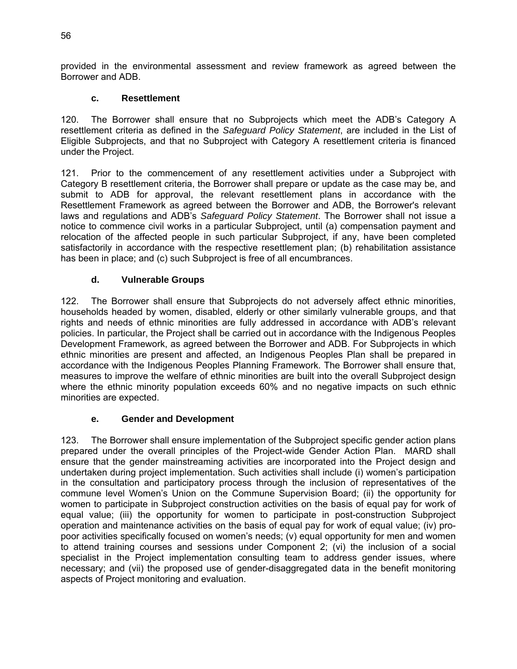provided in the environmental assessment and review framework as agreed between the Borrower and ADB.

#### **c. Resettlement**

120. The Borrower shall ensure that no Subprojects which meet the ADB's Category A resettlement criteria as defined in the *Safeguard Policy Statement*, are included in the List of Eligible Subprojects, and that no Subproject with Category A resettlement criteria is financed under the Project.

121. Prior to the commencement of any resettlement activities under a Subproject with Category B resettlement criteria, the Borrower shall prepare or update as the case may be, and submit to ADB for approval, the relevant resettlement plans in accordance with the Resettlement Framework as agreed between the Borrower and ADB, the Borrower's relevant laws and regulations and ADB's *Safeguard Policy Statement*. The Borrower shall not issue a notice to commence civil works in a particular Subproject, until (a) compensation payment and relocation of the affected people in such particular Subproject, if any, have been completed satisfactorily in accordance with the respective resettlement plan; (b) rehabilitation assistance has been in place; and (c) such Subproject is free of all encumbrances.

#### **d. Vulnerable Groups**

122. The Borrower shall ensure that Subprojects do not adversely affect ethnic minorities, households headed by women, disabled, elderly or other similarly vulnerable groups, and that rights and needs of ethnic minorities are fully addressed in accordance with ADB's relevant policies. In particular, the Project shall be carried out in accordance with the Indigenous Peoples Development Framework, as agreed between the Borrower and ADB. For Subprojects in which ethnic minorities are present and affected, an Indigenous Peoples Plan shall be prepared in accordance with the Indigenous Peoples Planning Framework. The Borrower shall ensure that, measures to improve the welfare of ethnic minorities are built into the overall Subproject design where the ethnic minority population exceeds 60% and no negative impacts on such ethnic minorities are expected.

#### **e. Gender and Development**

123. The Borrower shall ensure implementation of the Subproject specific gender action plans prepared under the overall principles of the Project-wide Gender Action Plan. MARD shall ensure that the gender mainstreaming activities are incorporated into the Project design and undertaken during project implementation. Such activities shall include (i) women's participation in the consultation and participatory process through the inclusion of representatives of the commune level Women's Union on the Commune Supervision Board; (ii) the opportunity for women to participate in Subproject construction activities on the basis of equal pay for work of equal value; (iii) the opportunity for women to participate in post-construction Subproject operation and maintenance activities on the basis of equal pay for work of equal value; (iv) propoor activities specifically focused on women's needs; (v) equal opportunity for men and women to attend training courses and sessions under Component 2; (vi) the inclusion of a social specialist in the Project implementation consulting team to address gender issues, where necessary; and (vii) the proposed use of gender-disaggregated data in the benefit monitoring aspects of Project monitoring and evaluation.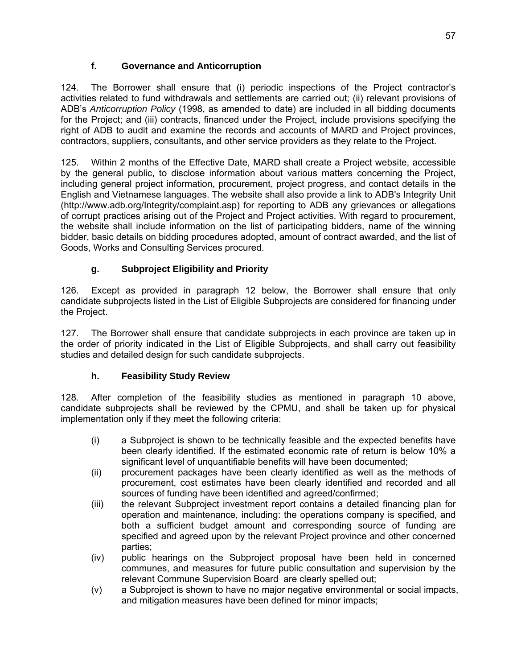## **f. Governance and Anticorruption**

124. The Borrower shall ensure that (i) periodic inspections of the Project contractor's activities related to fund withdrawals and settlements are carried out; (ii) relevant provisions of ADB's *Anticorruption Policy* (1998, as amended to date) are included in all bidding documents for the Project; and (iii) contracts, financed under the Project, include provisions specifying the right of ADB to audit and examine the records and accounts of MARD and Project provinces, contractors, suppliers, consultants, and other service providers as they relate to the Project.

125. Within 2 months of the Effective Date, MARD shall create a Project website, accessible by the general public, to disclose information about various matters concerning the Project, including general project information, procurement, project progress, and contact details in the English and Vietnamese languages. The website shall also provide a link to ADB's Integrity Unit (http://www.adb.org/Integrity/complaint.asp) for reporting to ADB any grievances or allegations of corrupt practices arising out of the Project and Project activities. With regard to procurement, the website shall include information on the list of participating bidders, name of the winning bidder, basic details on bidding procedures adopted, amount of contract awarded, and the list of Goods, Works and Consulting Services procured.

## **g. Subproject Eligibility and Priority**

126. Except as provided in paragraph 12 below, the Borrower shall ensure that only candidate subprojects listed in the List of Eligible Subprojects are considered for financing under the Project.

127. The Borrower shall ensure that candidate subprojects in each province are taken up in the order of priority indicated in the List of Eligible Subprojects, and shall carry out feasibility studies and detailed design for such candidate subprojects.

## **h. Feasibility Study Review**

128. After completion of the feasibility studies as mentioned in paragraph 10 above, candidate subprojects shall be reviewed by the CPMU, and shall be taken up for physical implementation only if they meet the following criteria:

- (i) a Subproject is shown to be technically feasible and the expected benefits have been clearly identified. If the estimated economic rate of return is below 10% a significant level of unquantifiable benefits will have been documented;
- (ii) procurement packages have been clearly identified as well as the methods of procurement, cost estimates have been clearly identified and recorded and all sources of funding have been identified and agreed/confirmed;
- (iii) the relevant Subproject investment report contains a detailed financing plan for operation and maintenance, including: the operations company is specified, and both a sufficient budget amount and corresponding source of funding are specified and agreed upon by the relevant Project province and other concerned parties;
- (iv) public hearings on the Subproject proposal have been held in concerned communes, and measures for future public consultation and supervision by the relevant Commune Supervision Board are clearly spelled out;
- (v) a Subproject is shown to have no major negative environmental or social impacts, and mitigation measures have been defined for minor impacts;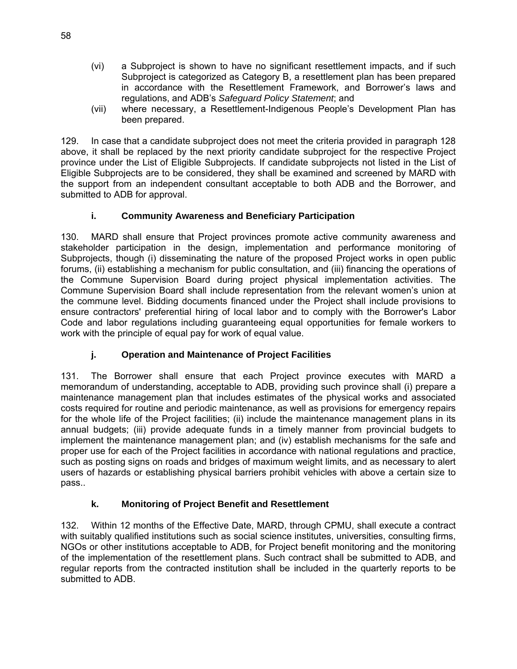- (vi) a Subproject is shown to have no significant resettlement impacts, and if such Subproject is categorized as Category B, a resettlement plan has been prepared in accordance with the Resettlement Framework, and Borrower's laws and regulations, and ADB's *Safeguard Policy Statement*; and
- (vii) where necessary, a Resettlement-Indigenous People's Development Plan has been prepared.

129. In case that a candidate subproject does not meet the criteria provided in paragraph 128 above, it shall be replaced by the next priority candidate subproject for the respective Project province under the List of Eligible Subprojects. If candidate subprojects not listed in the List of Eligible Subprojects are to be considered, they shall be examined and screened by MARD with the support from an independent consultant acceptable to both ADB and the Borrower, and submitted to ADB for approval.

## **i. Community Awareness and Beneficiary Participation**

130. MARD shall ensure that Project provinces promote active community awareness and stakeholder participation in the design, implementation and performance monitoring of Subprojects, though (i) disseminating the nature of the proposed Project works in open public forums, (ii) establishing a mechanism for public consultation, and (iii) financing the operations of the Commune Supervision Board during project physical implementation activities. The Commune Supervision Board shall include representation from the relevant women's union at the commune level. Bidding documents financed under the Project shall include provisions to ensure contractors' preferential hiring of local labor and to comply with the Borrower's Labor Code and labor regulations including guaranteeing equal opportunities for female workers to work with the principle of equal pay for work of equal value.

## **j. Operation and Maintenance of Project Facilities**

131. The Borrower shall ensure that each Project province executes with MARD a memorandum of understanding, acceptable to ADB, providing such province shall (i) prepare a maintenance management plan that includes estimates of the physical works and associated costs required for routine and periodic maintenance, as well as provisions for emergency repairs for the whole life of the Project facilities; (ii) include the maintenance management plans in its annual budgets; (iii) provide adequate funds in a timely manner from provincial budgets to implement the maintenance management plan; and (iv) establish mechanisms for the safe and proper use for each of the Project facilities in accordance with national regulations and practice, such as posting signs on roads and bridges of maximum weight limits, and as necessary to alert users of hazards or establishing physical barriers prohibit vehicles with above a certain size to pass..

## **k. Monitoring of Project Benefit and Resettlement**

132. Within 12 months of the Effective Date, MARD, through CPMU, shall execute a contract with suitably qualified institutions such as social science institutes, universities, consulting firms, NGOs or other institutions acceptable to ADB, for Project benefit monitoring and the monitoring of the implementation of the resettlement plans. Such contract shall be submitted to ADB, and regular reports from the contracted institution shall be included in the quarterly reports to be submitted to ADB.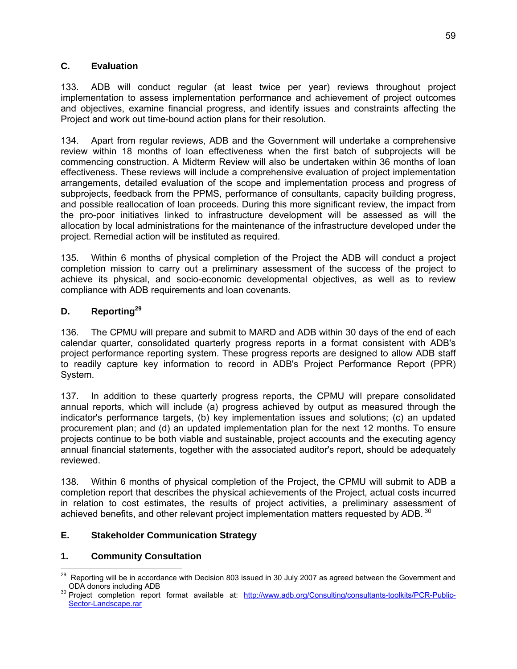#### **C. Evaluation**

133. ADB will conduct regular (at least twice per year) reviews throughout project implementation to assess implementation performance and achievement of project outcomes and objectives, examine financial progress, and identify issues and constraints affecting the Project and work out time-bound action plans for their resolution.

134. Apart from regular reviews, ADB and the Government will undertake a comprehensive review within 18 months of loan effectiveness when the first batch of subprojects will be commencing construction. A Midterm Review will also be undertaken within 36 months of loan effectiveness. These reviews will include a comprehensive evaluation of project implementation arrangements, detailed evaluation of the scope and implementation process and progress of subprojects, feedback from the PPMS, performance of consultants, capacity building progress, and possible reallocation of loan proceeds. During this more significant review, the impact from the pro-poor initiatives linked to infrastructure development will be assessed as will the allocation by local administrations for the maintenance of the infrastructure developed under the project. Remedial action will be instituted as required.

135. Within 6 months of physical completion of the Project the ADB will conduct a project completion mission to carry out a preliminary assessment of the success of the project to achieve its physical, and socio-economic developmental objectives, as well as to review compliance with ADB requirements and loan covenants.

## **D. Reporting29**

136. The CPMU will prepare and submit to MARD and ADB within 30 days of the end of each calendar quarter, consolidated quarterly progress reports in a format consistent with ADB's project performance reporting system. These progress reports are designed to allow ADB staff to readily capture key information to record in ADB's Project Performance Report (PPR) System.

137. In addition to these quarterly progress reports, the CPMU will prepare consolidated annual reports, which will include (a) progress achieved by output as measured through the indicator's performance targets, (b) key implementation issues and solutions; (c) an updated procurement plan; and (d) an updated implementation plan for the next 12 months. To ensure projects continue to be both viable and sustainable, project accounts and the executing agency annual financial statements, together with the associated auditor's report, should be adequately reviewed.

138. Within 6 months of physical completion of the Project, the CPMU will submit to ADB a completion report that describes the physical achievements of the Project, actual costs incurred in relation to cost estimates, the results of project activities, a preliminary assessment of achieved benefits, and other relevant project implementation matters requested by ADB.<sup>30</sup>

## **E. Stakeholder Communication Strategy**

## **1. Community Consultation**

  $^{29}$  Reporting will be in accordance with Decision 803 issued in 30 July 2007 as agreed between the Government and

oDA donors including ADB<br><sup>30</sup> Project completion report format available at: <u>http://www.adb.org/Consulting/consultants-toolkits/PCR-Public-</u> Sector-Landscape.rar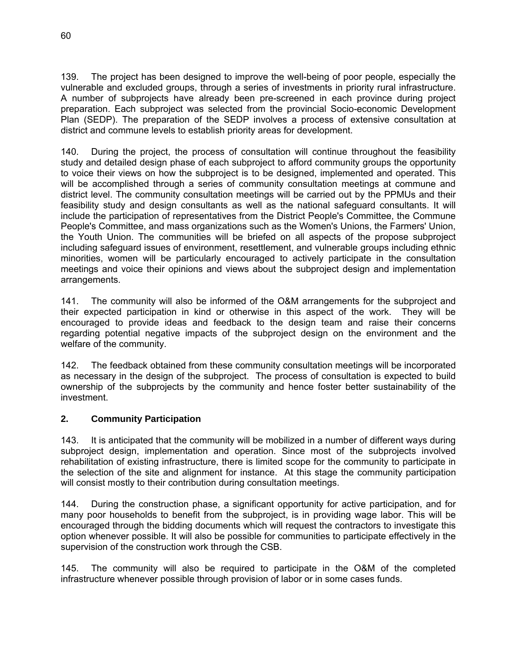139. The project has been designed to improve the well-being of poor people, especially the vulnerable and excluded groups, through a series of investments in priority rural infrastructure. A number of subprojects have already been pre-screened in each province during project preparation. Each subproject was selected from the provincial Socio-economic Development Plan (SEDP). The preparation of the SEDP involves a process of extensive consultation at district and commune levels to establish priority areas for development.

140. During the project, the process of consultation will continue throughout the feasibility study and detailed design phase of each subproject to afford community groups the opportunity to voice their views on how the subproject is to be designed, implemented and operated. This will be accomplished through a series of community consultation meetings at commune and district level. The community consultation meetings will be carried out by the PPMUs and their feasibility study and design consultants as well as the national safeguard consultants. It will include the participation of representatives from the District People's Committee, the Commune People's Committee, and mass organizations such as the Women's Unions, the Farmers' Union, the Youth Union. The communities will be briefed on all aspects of the propose subproject including safeguard issues of environment, resettlement, and vulnerable groups including ethnic minorities, women will be particularly encouraged to actively participate in the consultation meetings and voice their opinions and views about the subproject design and implementation arrangements.

141. The community will also be informed of the O&M arrangements for the subproject and their expected participation in kind or otherwise in this aspect of the work. They will be encouraged to provide ideas and feedback to the design team and raise their concerns regarding potential negative impacts of the subproject design on the environment and the welfare of the community.

142. The feedback obtained from these community consultation meetings will be incorporated as necessary in the design of the subproject. The process of consultation is expected to build ownership of the subprojects by the community and hence foster better sustainability of the investment.

## **2. Community Participation**

143. It is anticipated that the community will be mobilized in a number of different ways during subproject design, implementation and operation. Since most of the subprojects involved rehabilitation of existing infrastructure, there is limited scope for the community to participate in the selection of the site and alignment for instance. At this stage the community participation will consist mostly to their contribution during consultation meetings.

144. During the construction phase, a significant opportunity for active participation, and for many poor households to benefit from the subproject, is in providing wage labor. This will be encouraged through the bidding documents which will request the contractors to investigate this option whenever possible. It will also be possible for communities to participate effectively in the supervision of the construction work through the CSB.

145. The community will also be required to participate in the O&M of the completed infrastructure whenever possible through provision of labor or in some cases funds.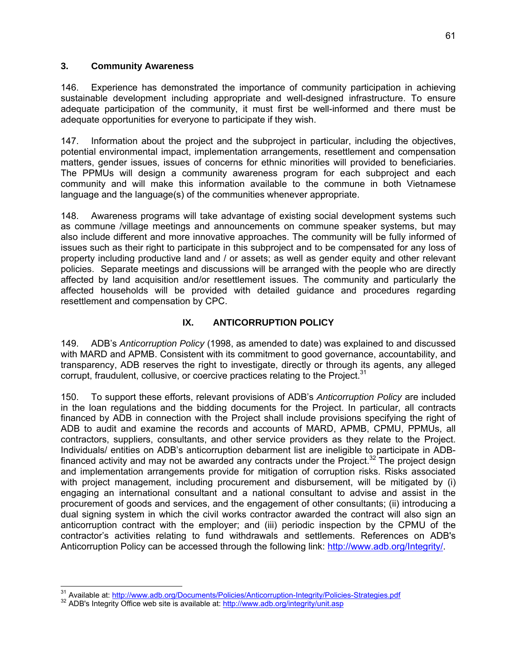#### **3. Community Awareness**

146. Experience has demonstrated the importance of community participation in achieving sustainable development including appropriate and well-designed infrastructure. To ensure adequate participation of the community, it must first be well-informed and there must be adequate opportunities for everyone to participate if they wish.

147. Information about the project and the subproject in particular, including the objectives, potential environmental impact, implementation arrangements, resettlement and compensation matters, gender issues, issues of concerns for ethnic minorities will provided to beneficiaries. The PPMUs will design a community awareness program for each subproject and each community and will make this information available to the commune in both Vietnamese language and the language(s) of the communities whenever appropriate.

148. Awareness programs will take advantage of existing social development systems such as commune /village meetings and announcements on commune speaker systems, but may also include different and more innovative approaches. The community will be fully informed of issues such as their right to participate in this subproject and to be compensated for any loss of property including productive land and / or assets; as well as gender equity and other relevant policies. Separate meetings and discussions will be arranged with the people who are directly affected by land acquisition and/or resettlement issues. The community and particularly the affected households will be provided with detailed guidance and procedures regarding resettlement and compensation by CPC.

#### **IX. ANTICORRUPTION POLICY**

149. ADB's *Anticorruption Policy* (1998, as amended to date) was explained to and discussed with MARD and APMB. Consistent with its commitment to good governance, accountability, and transparency, ADB reserves the right to investigate, directly or through its agents, any alleged corrupt, fraudulent, collusive, or coercive practices relating to the Project. $31$ 

150. To support these efforts, relevant provisions of ADB's *Anticorruption Policy* are included in the loan regulations and the bidding documents for the Project. In particular, all contracts financed by ADB in connection with the Project shall include provisions specifying the right of ADB to audit and examine the records and accounts of MARD, APMB, CPMU, PPMUs, all contractors, suppliers, consultants, and other service providers as they relate to the Project. Individuals/ entities on ADB's anticorruption debarment list are ineligible to participate in ADBfinanced activity and may not be awarded any contracts under the Project.<sup>32</sup> The project design and implementation arrangements provide for mitigation of corruption risks. Risks associated with project management, including procurement and disbursement, will be mitigated by (i) engaging an international consultant and a national consultant to advise and assist in the procurement of goods and services, and the engagement of other consultants; (ii) introducing a dual signing system in which the civil works contractor awarded the contract will also sign an anticorruption contract with the employer; and (iii) periodic inspection by the CPMU of the contractor's activities relating to fund withdrawals and settlements. References on ADB's Anticorruption Policy can be accessed through the following link: http://www.adb.org/Integrity/.

<sup>-</sup><sup>31</sup> Available at: <u>http://www.adb.org/Documents/Policies/Anticorruption-Integrity/Policies-Strategies.pdf<br><sup>32</sup> ADB's Integrity Office web site is available at: <u>http://www.adb.org/integrity/unit.asp</u></u>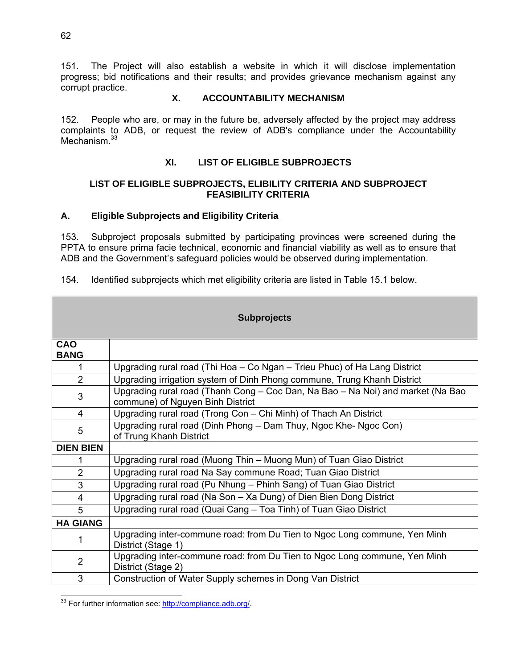151. The Project will also establish a website in which it will disclose implementation progress; bid notifications and their results; and provides grievance mechanism against any corrupt practice.

### **X. ACCOUNTABILITY MECHANISM**

152. People who are, or may in the future be, adversely affected by the project may address complaints to ADB, or request the review of ADB's compliance under the Accountability Mechanism.<sup>33</sup>

#### **XI. LIST OF ELIGIBLE SUBPROJECTS**

#### **LIST OF ELIGIBLE SUBPROJECTS, ELIBILITY CRITERIA AND SUBPROJECT FEASIBILITY CRITERIA**

#### **A. Eligible Subprojects and Eligibility Criteria**

153. Subproject proposals submitted by participating provinces were screened during the PPTA to ensure prima facie technical, economic and financial viability as well as to ensure that ADB and the Government's safeguard policies would be observed during implementation.

| 154. |  |  |  |  |  |  | Identified subprojects which met eligibility criteria are listed in Table 15.1 below. |
|------|--|--|--|--|--|--|---------------------------------------------------------------------------------------|
|------|--|--|--|--|--|--|---------------------------------------------------------------------------------------|

| <b>Subprojects</b>        |                                                                                                                     |  |
|---------------------------|---------------------------------------------------------------------------------------------------------------------|--|
|                           |                                                                                                                     |  |
| <b>CAO</b><br><b>BANG</b> |                                                                                                                     |  |
| 1                         | Upgrading rural road (Thi Hoa - Co Ngan - Trieu Phuc) of Ha Lang District                                           |  |
| $\overline{2}$            | Upgrading irrigation system of Dinh Phong commune, Trung Khanh District                                             |  |
| 3                         | Upgrading rural road (Thanh Cong - Coc Dan, Na Bao - Na Noi) and market (Na Bao<br>commune) of Nguyen Binh District |  |
| 4                         | Upgrading rural road (Trong Con – Chi Minh) of Thach An District                                                    |  |
| 5                         | Upgrading rural road (Dinh Phong - Dam Thuy, Ngoc Khe-Ngoc Con)<br>of Trung Khanh District                          |  |
| <b>DIEN BIEN</b>          |                                                                                                                     |  |
| 1                         | Upgrading rural road (Muong Thin - Muong Mun) of Tuan Giao District                                                 |  |
| $\overline{2}$            | Upgrading rural road Na Say commune Road; Tuan Giao District                                                        |  |
| 3                         | Upgrading rural road (Pu Nhung – Phinh Sang) of Tuan Giao District                                                  |  |
| $\overline{4}$            | Upgrading rural road (Na Son - Xa Dung) of Dien Bien Dong District                                                  |  |
| 5                         | Upgrading rural road (Quai Cang - Toa Tinh) of Tuan Giao District                                                   |  |
| <b>HA GIANG</b>           |                                                                                                                     |  |
|                           | Upgrading inter-commune road: from Du Tien to Ngoc Long commune, Yen Minh<br>District (Stage 1)                     |  |
| $\overline{2}$            | Upgrading inter-commune road: from Du Tien to Ngoc Long commune, Yen Minh<br>District (Stage 2)                     |  |
| 3                         | Construction of Water Supply schemes in Dong Van District                                                           |  |

 <sup>33</sup> For further information see: http://compliance.adb.org/.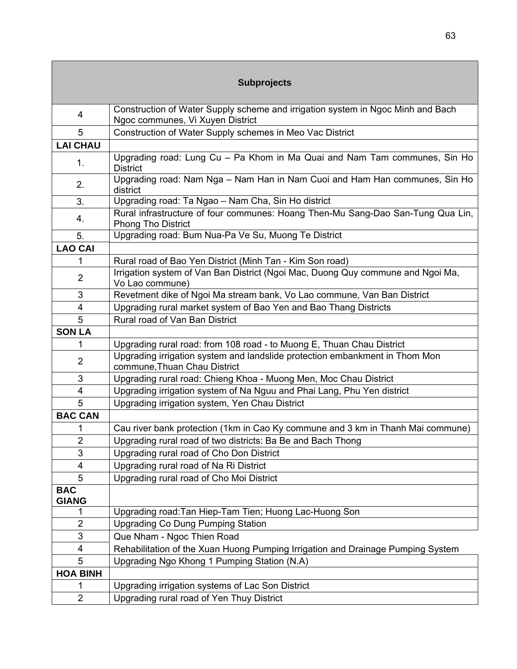| <b>Subprojects</b>         |                                                                                                                     |  |  |
|----------------------------|---------------------------------------------------------------------------------------------------------------------|--|--|
|                            |                                                                                                                     |  |  |
| 4                          | Construction of Water Supply scheme and irrigation system in Ngoc Minh and Bach<br>Ngoc communes, Vi Xuyen District |  |  |
| 5                          | Construction of Water Supply schemes in Meo Vac District                                                            |  |  |
| <b>LAI CHAU</b>            |                                                                                                                     |  |  |
| 1.                         | Upgrading road: Lung Cu - Pa Khom in Ma Quai and Nam Tam communes, Sin Ho<br><b>District</b>                        |  |  |
| 2.                         | Upgrading road: Nam Nga - Nam Han in Nam Cuoi and Ham Han communes, Sin Ho<br>district                              |  |  |
| 3.                         | Upgrading road: Ta Ngao - Nam Cha, Sin Ho district                                                                  |  |  |
| 4.                         | Rural infrastructure of four communes: Hoang Then-Mu Sang-Dao San-Tung Qua Lin,<br><b>Phong Tho District</b>        |  |  |
| 5.                         | Upgrading road: Bum Nua-Pa Ve Su, Muong Te District                                                                 |  |  |
| <b>LAO CAI</b>             |                                                                                                                     |  |  |
| 1                          | Rural road of Bao Yen District (Minh Tan - Kim Son road)                                                            |  |  |
| $\overline{2}$             | Irrigation system of Van Ban District (Ngoi Mac, Duong Quy commune and Ngoi Ma,<br>Vo Lao commune)                  |  |  |
| 3                          | Revetment dike of Ngoi Ma stream bank, Vo Lao commune, Van Ban District                                             |  |  |
| 4                          | Upgrading rural market system of Bao Yen and Bao Thang Districts                                                    |  |  |
| 5                          | Rural road of Van Ban District                                                                                      |  |  |
| <b>SON LA</b>              |                                                                                                                     |  |  |
| 1                          | Upgrading rural road: from 108 road - to Muong E, Thuan Chau District                                               |  |  |
| $\overline{2}$             | Upgrading irrigation system and landslide protection embankment in Thom Mon                                         |  |  |
|                            | commune, Thuan Chau District                                                                                        |  |  |
| 3                          | Upgrading rural road: Chieng Khoa - Muong Men, Moc Chau District                                                    |  |  |
| 4                          | Upgrading irrigation system of Na Nguu and Phai Lang, Phu Yen district                                              |  |  |
| 5                          | Upgrading irrigation system, Yen Chau District                                                                      |  |  |
| <b>BAC CAN</b>             |                                                                                                                     |  |  |
| 1                          | Cau river bank protection (1km in Cao Ky commune and 3 km in Thanh Mai commune)                                     |  |  |
| 2                          | Upgrading rural road of two districts: Ba Be and Bach Thong                                                         |  |  |
| 3                          | Upgrading rural road of Cho Don District                                                                            |  |  |
| 4                          | Upgrading rural road of Na Ri District                                                                              |  |  |
| 5                          | Upgrading rural road of Cho Moi District                                                                            |  |  |
| <b>BAC</b><br><b>GIANG</b> |                                                                                                                     |  |  |
|                            | Upgrading road: Tan Hiep-Tam Tien; Huong Lac-Huong Son                                                              |  |  |
| $\overline{2}$             | <b>Upgrading Co Dung Pumping Station</b>                                                                            |  |  |
| 3                          | Que Nham - Ngoc Thien Road                                                                                          |  |  |
| 4                          | Rehabilitation of the Xuan Huong Pumping Irrigation and Drainage Pumping System                                     |  |  |
| 5                          | Upgrading Ngo Khong 1 Pumping Station (N.A)                                                                         |  |  |
| <b>HOA BINH</b>            |                                                                                                                     |  |  |
| 1                          | Upgrading irrigation systems of Lac Son District                                                                    |  |  |
| $\overline{2}$             | Upgrading rural road of Yen Thuy District                                                                           |  |  |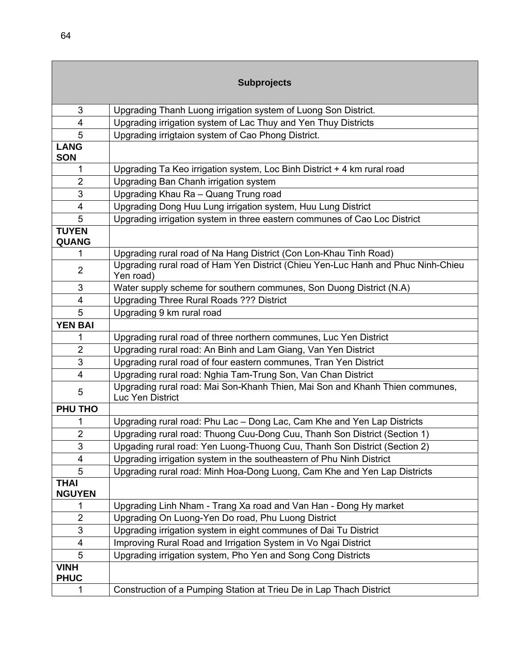|                              | <b>Subprojects</b>                                                                               |
|------------------------------|--------------------------------------------------------------------------------------------------|
| 3                            | Upgrading Thanh Luong irrigation system of Luong Son District.                                   |
| $\overline{4}$               | Upgrading irrigation system of Lac Thuy and Yen Thuy Districts                                   |
| 5                            | Upgrading irrigtaion system of Cao Phong District.                                               |
| <b>LANG</b>                  |                                                                                                  |
| <b>SON</b>                   |                                                                                                  |
| 1                            | Upgrading Ta Keo irrigation system, Loc Binh District + 4 km rural road                          |
| $\overline{2}$               | Upgrading Ban Chanh irrigation system                                                            |
| 3                            | Upgrading Khau Ra - Quang Trung road                                                             |
| $\overline{\mathbf{4}}$      | Upgrading Dong Huu Lung irrigation system, Huu Lung District                                     |
| 5                            | Upgrading irrigation system in three eastern communes of Cao Loc District                        |
| <b>TUYEN</b><br><b>QUANG</b> |                                                                                                  |
| 1                            | Upgrading rural road of Na Hang District (Con Lon-Khau Tinh Road)                                |
| $\overline{2}$               | Upgrading rural road of Ham Yen District (Chieu Yen-Luc Hanh and Phuc Ninh-Chieu<br>Yen road)    |
| 3                            | Water supply scheme for southern communes, Son Duong District (N.A)                              |
| $\overline{4}$               | <b>Upgrading Three Rural Roads ??? District</b>                                                  |
| 5                            | Upgrading 9 km rural road                                                                        |
| <b>YEN BAI</b>               |                                                                                                  |
| 1                            | Upgrading rural road of three northern communes, Luc Yen District                                |
| $\overline{2}$               | Upgrading rural road: An Binh and Lam Giang, Van Yen District                                    |
| 3                            | Upgrading rural road of four eastern communes, Tran Yen District                                 |
| $\overline{4}$               | Upgrading rural road: Nghia Tam-Trung Son, Van Chan District                                     |
| 5                            | Upgrading rural road: Mai Son-Khanh Thien, Mai Son and Khanh Thien communes,<br>Luc Yen District |
| <b>PHU THO</b>               |                                                                                                  |
| 1                            | Upgrading rural road: Phu Lac - Dong Lac, Cam Khe and Yen Lap Districts                          |
| $\overline{2}$               | Upgrading rural road: Thuong Cuu-Dong Cuu, Thanh Son District (Section 1)                        |
| 3                            | Upgading rural road: Yen Luong-Thuong Cuu, Thanh Son District (Section 2)                        |
| 4                            | Upgrading irrigation system in the southeastern of Phu Ninh District                             |
| 5                            | Upgrading rural road: Minh Hoa-Dong Luong, Cam Khe and Yen Lap Districts                         |
| <b>THAI</b><br><b>NGUYEN</b> |                                                                                                  |
| 1                            | Upgrading Linh Nham - Trang Xa road and Van Han - Đong Hy market                                 |
| $\overline{2}$               | Upgrading On Luong-Yen Do road, Phu Luong District                                               |
| 3                            | Upgrading irrigation system in eight communes of Dai Tu District                                 |
| 4                            | Improving Rural Road and Irrigation System in Vo Ngai District                                   |
| 5                            | Upgrading irrigation system, Pho Yen and Song Cong Districts                                     |
| <b>VINH</b><br><b>PHUC</b>   |                                                                                                  |
| 1                            | Construction of a Pumping Station at Trieu De in Lap Thach District                              |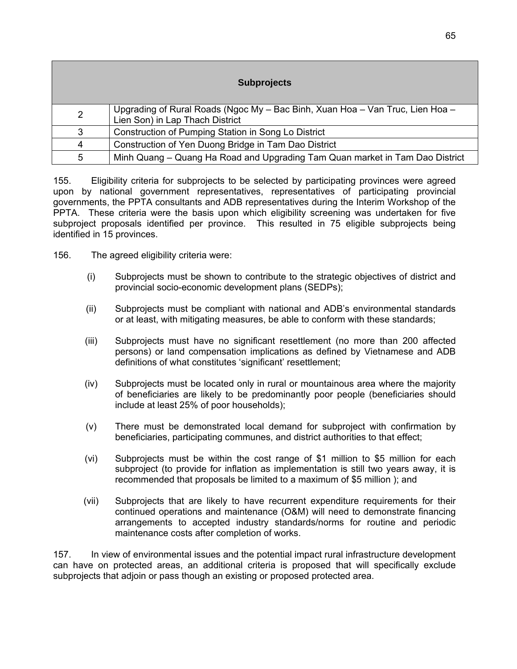|                | <b>Subprojects</b>                                                                                               |
|----------------|------------------------------------------------------------------------------------------------------------------|
| $\overline{2}$ | Upgrading of Rural Roads (Ngoc My – Bac Binh, Xuan Hoa – Van Truc, Lien Hoa –<br>Lien Son) in Lap Thach District |
| 3              | Construction of Pumping Station in Song Lo District                                                              |
| $\overline{4}$ | Construction of Yen Duong Bridge in Tam Dao District                                                             |
| 5              | Minh Quang - Quang Ha Road and Upgrading Tam Quan market in Tam Dao District                                     |

155. Eligibility criteria for subprojects to be selected by participating provinces were agreed upon by national government representatives, representatives of participating provincial governments, the PPTA consultants and ADB representatives during the Interim Workshop of the PPTA. These criteria were the basis upon which eligibility screening was undertaken for five subproject proposals identified per province. This resulted in 75 eligible subprojects being identified in 15 provinces.

- 156. The agreed eligibility criteria were:
	- (i) Subprojects must be shown to contribute to the strategic objectives of district and provincial socio-economic development plans (SEDPs);
	- (ii) Subprojects must be compliant with national and ADB's environmental standards or at least, with mitigating measures, be able to conform with these standards;
	- (iii) Subprojects must have no significant resettlement (no more than 200 affected persons) or land compensation implications as defined by Vietnamese and ADB definitions of what constitutes 'significant' resettlement;
	- (iv) Subprojects must be located only in rural or mountainous area where the majority of beneficiaries are likely to be predominantly poor people (beneficiaries should include at least 25% of poor households);
	- (v) There must be demonstrated local demand for subproject with confirmation by beneficiaries, participating communes, and district authorities to that effect;
	- (vi) Subprojects must be within the cost range of \$1 million to \$5 million for each subproject (to provide for inflation as implementation is still two years away, it is recommended that proposals be limited to a maximum of \$5 million ); and
	- (vii) Subprojects that are likely to have recurrent expenditure requirements for their continued operations and maintenance (O&M) will need to demonstrate financing arrangements to accepted industry standards/norms for routine and periodic maintenance costs after completion of works.

157. In view of environmental issues and the potential impact rural infrastructure development can have on protected areas, an additional criteria is proposed that will specifically exclude subprojects that adjoin or pass though an existing or proposed protected area.